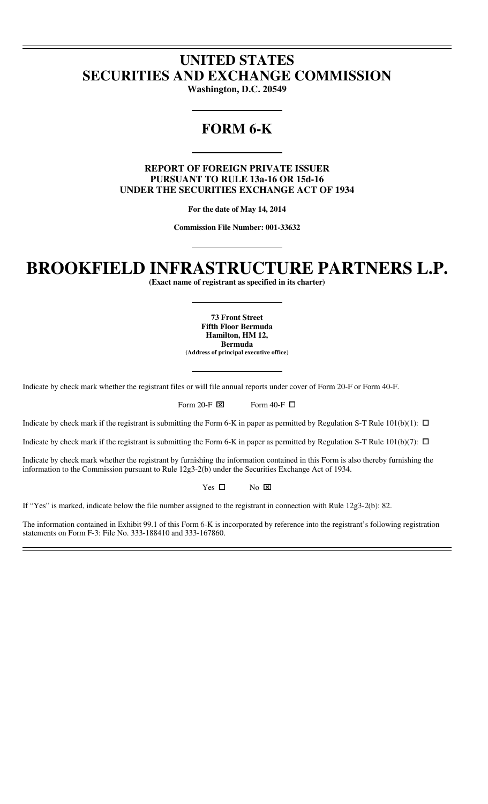# **UNITED STATES SECURITIES AND EXCHANGE COMMISSION**

**Washington, D.C. 20549** 

# **FORM 6-K**

**REPORT OF FOREIGN PRIVATE ISSUER PURSUANT TO RULE 13a-16 OR 15d-16 UNDER THE SECURITIES EXCHANGE ACT OF 1934** 

**For the date of May 14, 2014** 

**Commission File Number: 001-33632** 

# **BROOKFIELD INFRASTRUCTURE PARTNERS L.P.**

**(Exact name of registrant as specified in its charter)** 

**73 Front Street Fifth Floor Bermuda Hamilton, HM 12, Bermuda (Address of principal executive office)** 

Indicate by check mark whether the registrant files or will file annual reports under cover of Form 20-F or Form 40-F.

Form 20-F  $\boxtimes$ Form 40-F  $\Box$ 

Indicate by check mark if the registrant is submitting the Form 6-K in paper as permitted by Regulation S-T Rule  $101(b)(1)$ :  $\Box$ 

Indicate by check mark if the registrant is submitting the Form 6-K in paper as permitted by Regulation S-T Rule  $101(b)(7)$ :  $\Box$ 

Indicate by check mark whether the registrant by furnishing the information contained in this Form is also thereby furnishing the information to the Commission pursuant to Rule 12g3-2(b) under the Securities Exchange Act of 1934.

> Yes  $\quad \Box$ No ⌧

If "Yes" is marked, indicate below the file number assigned to the registrant in connection with Rule 12g3-2(b): 82.

The information contained in Exhibit 99.1 of this Form 6-K is incorporated by reference into the registrant's following registration statements on Form F-3: File No. 333-188410 and 333-167860.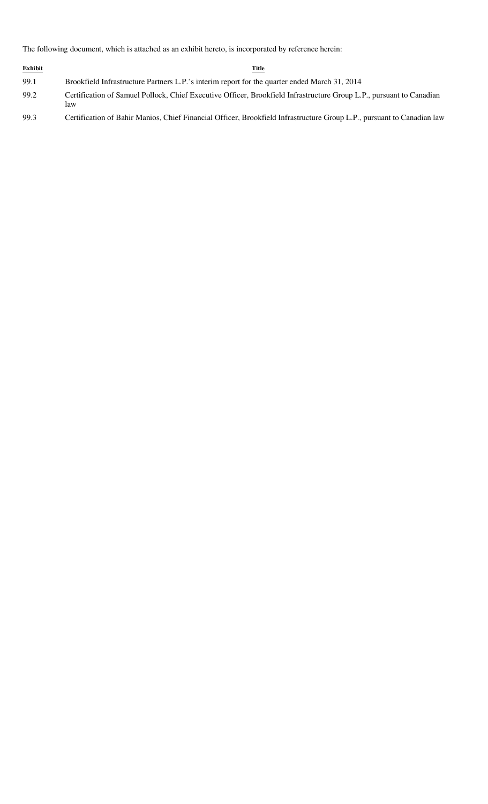The following document, which is attached as an exhibit hereto, is incorporated by reference herein:

| <b>Exhibit</b> | Title                                                                                                                       |
|----------------|-----------------------------------------------------------------------------------------------------------------------------|
| 99.1           | Brookfield Infrastructure Partners L.P.'s interim report for the quarter ended March 31, 2014                               |
| 99.2           | Certification of Samuel Pollock, Chief Executive Officer, Brookfield Infrastructure Group L.P., pursuant to Canadian<br>law |
| 99.3           | Certification of Bahir Manios, Chief Financial Officer, Brookfield Infrastructure Group L.P., pursuant to Canadian law      |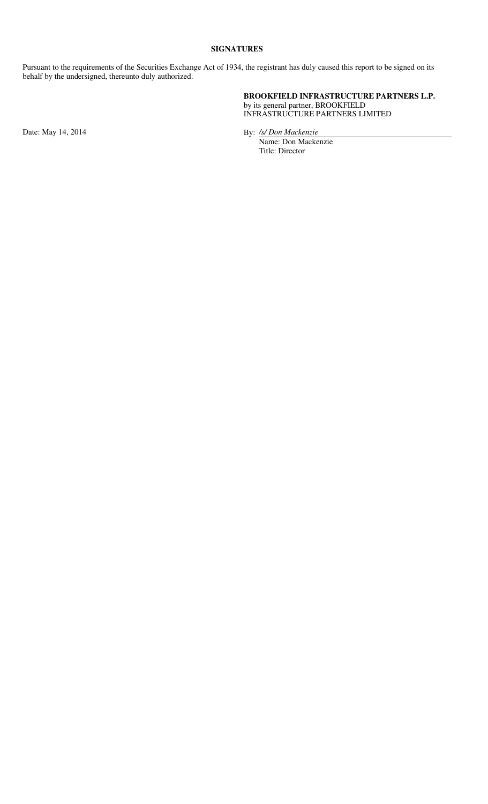## **SIGNATURES**

Pursuant to the requirements of the Securities Exchange Act of 1934, the registrant has duly caused this report to be signed on its behalf by the undersigned, thereunto duly authorized.

> **BROOKFIELD INFRASTRUCTURE PARTNERS L.P.** by its general partner, BROOKFIELD INFRASTRUCTURE PARTNERS LIMITED

Date: May 14, 2014 By: */s/ Don Mackenzie*

 Name: Don Mackenzie Title: Director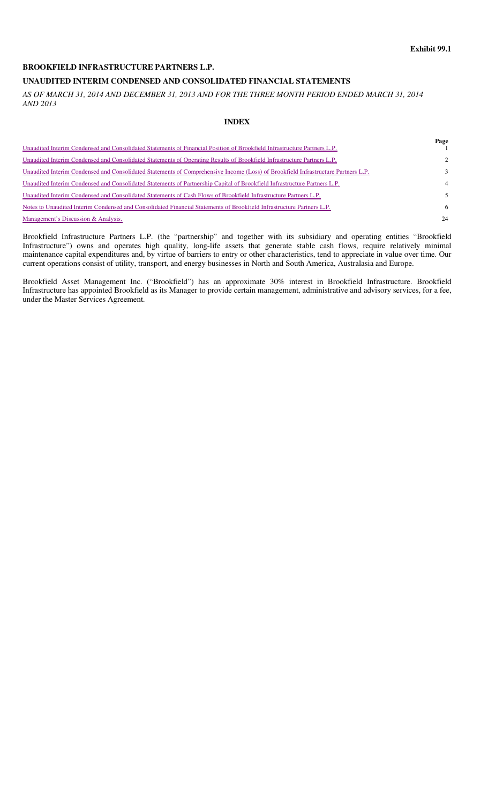# **UNAUDITED INTERIM CONDENSED AND CONSOLIDATED FINANCIAL STATEMENTS**

*AS OF MARCH 31, 2014 AND DECEMBER 31, 2013 AND FOR THE THREE MONTH PERIOD ENDED MARCH 31, 2014 AND 2013* 

# **INDEX**

| Unaudited Interim Condensed and Consolidated Statements of Financial Position of Brookfield Infrastructure Partners L.P.          | Page          |
|-----------------------------------------------------------------------------------------------------------------------------------|---------------|
| Unaudited Interim Condensed and Consolidated Statements of Operating Results of Brookfield Infrastructure Partners L.P.           | $\mathcal{L}$ |
| Unaudited Interim Condensed and Consolidated Statements of Comprehensive Income (Loss) of Brookfield Infrastructure Partners L.P. | 3             |
| Unaudited Interim Condensed and Consolidated Statements of Partnership Capital of Brookfield Infrastructure Partners L.P.         | 4             |
| Unaudited Interim Condensed and Consolidated Statements of Cash Flows of Brookfield Infrastructure Partners L.P.                  |               |
| Notes to Unaudited Interim Condensed and Consolidated Financial Statements of Brookfield Infrastructure Partners L.P.             | 6             |
| Management's Discussion & Analysis.                                                                                               | 24            |

Brookfield Infrastructure Partners L.P. (the "partnership" and together with its subsidiary and operating entities "Brookfield Infrastructure") owns and operates high quality, long-life assets that generate stable cash flows, require relatively minimal maintenance capital expenditures and, by virtue of barriers to entry or other characteristics, tend to appreciate in value over time. Our current operations consist of utility, transport, and energy businesses in North and South America, Australasia and Europe.

Brookfield Asset Management Inc. ("Brookfield") has an approximate 30% interest in Brookfield Infrastructure. Brookfield Infrastructure has appointed Brookfield as its Manager to provide certain management, administrative and advisory services, for a fee, under the Master Services Agreement.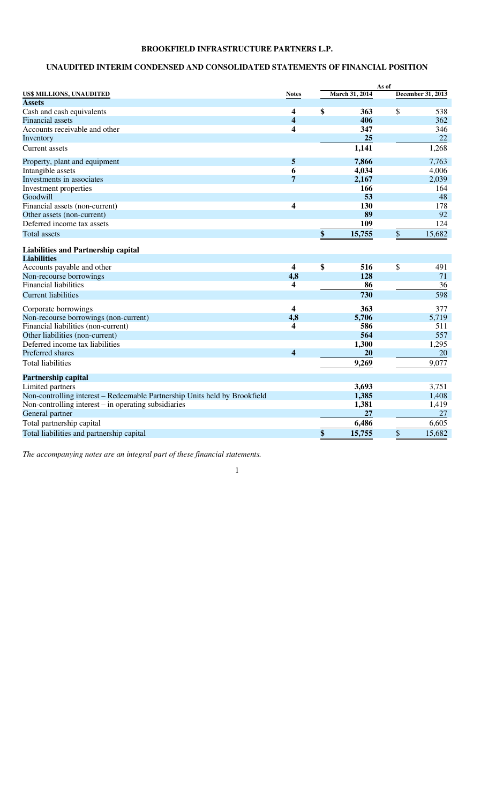# **UNAUDITED INTERIM CONDENSED AND CONSOLIDATED STATEMENTS OF FINANCIAL POSITION**

|                                                                            |                         |                | As of |                   |
|----------------------------------------------------------------------------|-------------------------|----------------|-------|-------------------|
| US\$ MILLIONS, UNAUDITED                                                   | <b>Notes</b>            | March 31, 2014 |       | December 31, 2013 |
| <b>Assets</b>                                                              |                         |                |       |                   |
| Cash and cash equivalents                                                  | 4                       | \$<br>363      | \$    | 538               |
| <b>Financial</b> assets                                                    | $\overline{\mathbf{4}}$ | 406            |       | 362               |
| Accounts receivable and other                                              | $\overline{\mathbf{4}}$ | 347            |       | 346               |
| Inventory                                                                  |                         | 25             |       | 22                |
| Current assets                                                             |                         | 1,141          |       | 1,268             |
| Property, plant and equipment                                              | 5                       | 7,866          |       | 7,763             |
| Intangible assets                                                          | 6                       | 4,034          |       | 4,006             |
| Investments in associates                                                  | 7                       | 2,167          |       | 2,039             |
| Investment properties                                                      |                         | 166            |       | 164               |
| Goodwill                                                                   |                         | 53             |       | 48                |
| Financial assets (non-current)                                             | $\overline{\mathbf{4}}$ | 130            |       | 178               |
| Other assets (non-current)                                                 |                         | 89             |       | 92                |
| Deferred income tax assets                                                 |                         | 109            |       | 124               |
| <b>Total assets</b>                                                        |                         | \$<br>15,755   | \$    | 15,682            |
| <b>Liabilities and Partnership capital</b>                                 |                         |                |       |                   |
| <b>Liabilities</b>                                                         |                         |                |       |                   |
| Accounts payable and other                                                 | $\overline{\mathbf{4}}$ | \$<br>516      | \$    | 491               |
| Non-recourse borrowings                                                    | 4,8                     | 128            |       | 71                |
| <b>Financial liabilities</b>                                               | 4                       | 86             |       | 36                |
| <b>Current liabilities</b>                                                 |                         | 730            |       | 598               |
| Corporate borrowings                                                       | 4                       | 363            |       | 377               |
| Non-recourse borrowings (non-current)                                      | 4,8                     | 5,706          |       | 5,719             |
| Financial liabilities (non-current)                                        | 4                       | 586            |       | 511               |
| Other liabilities (non-current)                                            |                         | 564            |       | 557               |
| Deferred income tax liabilities                                            |                         | 1,300          |       | 1,295             |
| Preferred shares                                                           | $\overline{\mathbf{4}}$ | 20             |       | 20                |
| <b>Total liabilities</b>                                                   |                         | 9,269          |       | 9,077             |
| <b>Partnership capital</b>                                                 |                         |                |       |                   |
| Limited partners                                                           |                         | 3,693          |       | 3,751             |
| Non-controlling interest – Redeemable Partnership Units held by Brookfield |                         | 1,385          |       | 1,408             |
| Non-controlling interest $-$ in operating subsidiaries                     |                         | 1,381          |       | 1,419             |
| General partner                                                            |                         | 27             |       | 27                |
| Total partnership capital                                                  |                         | 6,486          |       | 6,605             |
| Total liabilities and partnership capital                                  |                         | \$<br>15,755   | \$    | 15,682            |

*The accompanying notes are an integral part of these financial statements.*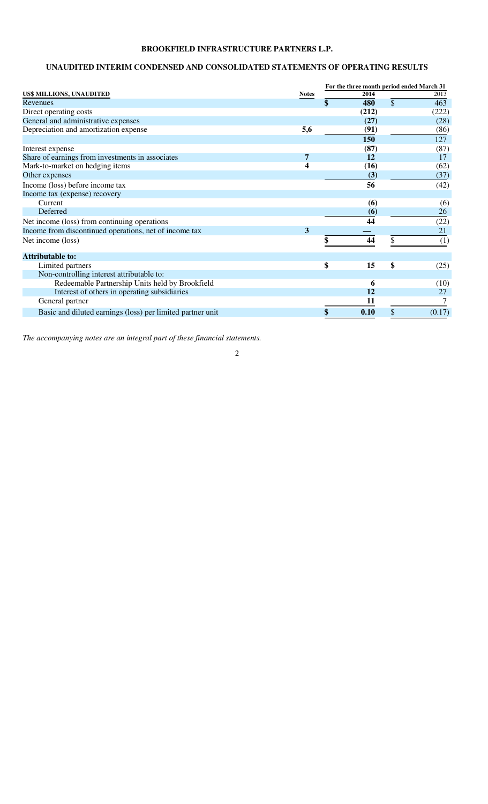# **UNAUDITED INTERIM CONDENSED AND CONSOLIDATED STATEMENTS OF OPERATING RESULTS**

|                                                            |                  | For the three month period ended March 31 |       |    |        |  |  |  |
|------------------------------------------------------------|------------------|-------------------------------------------|-------|----|--------|--|--|--|
| US\$ MILLIONS, UNAUDITED                                   | <b>Notes</b>     |                                           | 2014  |    | 2013   |  |  |  |
| Revenues                                                   |                  | \$                                        | 480   | \$ | 463    |  |  |  |
| Direct operating costs                                     |                  |                                           | (212) |    | (222)  |  |  |  |
| General and administrative expenses                        |                  |                                           | (27)  |    | (28)   |  |  |  |
| Depreciation and amortization expense                      | 5,6              |                                           | (91)  |    | (86)   |  |  |  |
|                                                            |                  |                                           | 150   |    | 127    |  |  |  |
| Interest expense                                           |                  |                                           | (87)  |    | (87)   |  |  |  |
| Share of earnings from investments in associates           | 7                |                                           | 12    |    | 17     |  |  |  |
| Mark-to-market on hedging items                            | $\boldsymbol{4}$ |                                           | (16)  |    | (62)   |  |  |  |
| Other expenses                                             |                  |                                           | (3)   |    | (37)   |  |  |  |
| Income (loss) before income tax                            |                  |                                           | 56    |    | (42)   |  |  |  |
| Income tax (expense) recovery                              |                  |                                           |       |    |        |  |  |  |
| Current                                                    |                  |                                           | (6)   |    | (6)    |  |  |  |
| Deferred                                                   |                  |                                           | (6)   |    | 26     |  |  |  |
| Net income (loss) from continuing operations               |                  |                                           | 44    |    | (22)   |  |  |  |
| Income from discontinued operations, net of income tax     | 3                |                                           |       |    | 21     |  |  |  |
| Net income (loss)                                          |                  |                                           | 44    | \$ | (1)    |  |  |  |
|                                                            |                  |                                           |       |    |        |  |  |  |
| <b>Attributable to:</b>                                    |                  |                                           |       |    |        |  |  |  |
| Limited partners                                           |                  | \$                                        | 15    | \$ | (25)   |  |  |  |
| Non-controlling interest attributable to:                  |                  |                                           |       |    |        |  |  |  |
| Redeemable Partnership Units held by Brookfield            |                  |                                           | 6     |    | (10)   |  |  |  |
| Interest of others in operating subsidiaries               |                  |                                           | 12    |    | 27     |  |  |  |
| General partner                                            |                  |                                           |       |    |        |  |  |  |
| Basic and diluted earnings (loss) per limited partner unit |                  |                                           | 0.10  |    | (0.17) |  |  |  |

*The accompanying notes are an integral part of these financial statements.*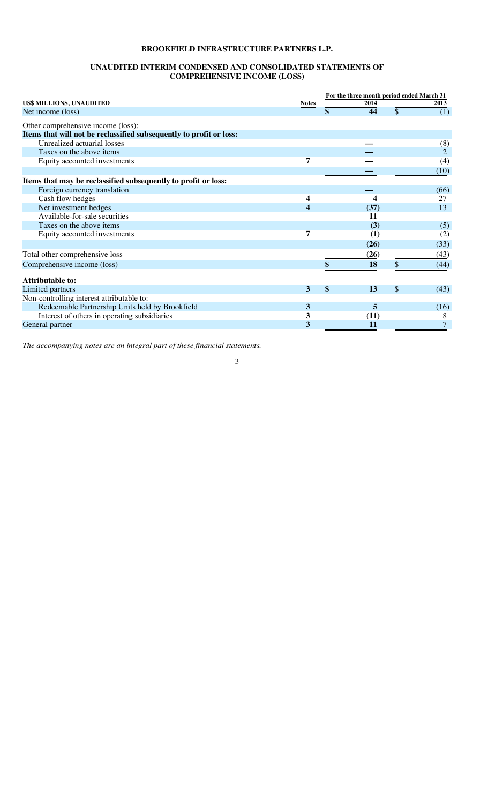#### **UNAUDITED INTERIM CONDENSED AND CONSOLIDATED STATEMENTS OF COMPREHENSIVE INCOME (LOSS)**

|                                                                     |              | For the three month period ended March 31 |     |                |
|---------------------------------------------------------------------|--------------|-------------------------------------------|-----|----------------|
| US\$ MILLIONS, UNAUDITED                                            | <b>Notes</b> | 2014                                      |     | 2013           |
| Net income (loss)                                                   |              | \$<br>44                                  | \$  | (1)            |
| Other comprehensive income (loss):                                  |              |                                           |     |                |
| Items that will not be reclassified subsequently to profit or loss: |              |                                           |     |                |
| Unrealized actuarial losses                                         |              |                                           |     | (8)            |
| Taxes on the above items                                            |              |                                           |     | $\overline{2}$ |
| Equity accounted investments                                        | 7            |                                           |     | (4)            |
|                                                                     |              |                                           |     | (10)           |
| Items that may be reclassified subsequently to profit or loss:      |              |                                           |     |                |
| Foreign currency translation                                        |              |                                           |     | (66)           |
| Cash flow hedges                                                    | 4            |                                           |     | 27             |
| Net investment hedges                                               | 4            | (37)                                      |     | 13             |
| Available-for-sale securities                                       |              | 11                                        |     |                |
| Taxes on the above items                                            |              | (3)                                       |     | (5)            |
| Equity accounted investments                                        | 7            | (1)                                       |     | (2)            |
|                                                                     |              | (26)                                      |     | (33)           |
| Total other comprehensive loss                                      |              | (26)                                      |     | (43)           |
| Comprehensive income (loss)                                         |              | 18                                        | S   | (44)           |
| Attributable to:                                                    |              |                                           |     |                |
| Limited partners                                                    | 3            | \$<br>13                                  | \$. | (43)           |
| Non-controlling interest attributable to:                           |              |                                           |     |                |
| Redeemable Partnership Units held by Brookfield                     | 3            | 5                                         |     | (16)           |
| Interest of others in operating subsidiaries                        | 3            | (11)                                      |     | 8              |
| General partner                                                     | 3            | 11                                        |     | 7              |

*The accompanying notes are an integral part of these financial statements.*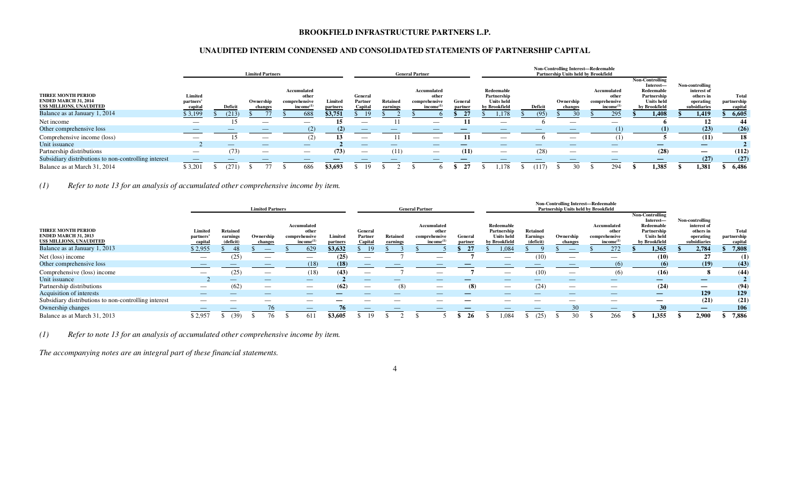## **UNAUDITED INTERIM CONDENSED AND CONSOLIDATED STATEMENTS OF PARTNERSHIP CAPITAL**

|                                                                               |                                 |                |           |                                 | Non-Controlling Interest-Redeemable<br><b>Limited Partners</b><br><b>General Partner</b><br><b>Partnership Units held by Brookfield</b> |                                                                |                     |                               |                                |  |                                                               |                    |                                                                 |         |           |                          |                                                                |                                                                                                        |                                                                          |                        |       |
|-------------------------------------------------------------------------------|---------------------------------|----------------|-----------|---------------------------------|-----------------------------------------------------------------------------------------------------------------------------------------|----------------------------------------------------------------|---------------------|-------------------------------|--------------------------------|--|---------------------------------------------------------------|--------------------|-----------------------------------------------------------------|---------|-----------|--------------------------|----------------------------------------------------------------|--------------------------------------------------------------------------------------------------------|--------------------------------------------------------------------------|------------------------|-------|
| THREE MONTH PERIOD<br><b>ENDED MARCH 31, 2014</b><br>US\$ MILLIONS, UNAUDITED | Limited<br>partners'<br>capita  | <b>Deficit</b> | Ownership | <b>change</b>                   |                                                                                                                                         | Accumulated<br>other<br>comprehensive<br>income <sup>(1)</sup> | Limited<br>partners | General<br>Partner<br>Capital | Retained<br>earnings           |  | Accumulated<br>other<br>comprehensive<br>income <sup>(1</sup> | General<br>partner | Redeemable<br>Partnership<br><b>Units held</b><br>by Brookfield | Deficit | Ownership | changes                  | Accumulated<br>other<br>comprehensive<br>income <sup>(1)</sup> | <b>Non-Controlling</b><br>Interest-<br>Redeemable<br>Partnership<br><b>Units</b> held<br>by Brookfield | Non-controlling<br>interest of<br>others in<br>operating<br>subsidiaries | partnership<br>capital | Total |
| Balance as at January 1, 2014                                                 | \$3,199                         | (213)          |           |                                 |                                                                                                                                         | 688                                                            | \$3,751             | $\perp$                       |                                |  |                                                               |                    | 1,178                                                           |         |           |                          | 295                                                            | 1,408                                                                                                  | 1,419                                                                    | 6,605                  |       |
| Net income                                                                    | $\overline{\phantom{a}}$        |                |           | $\overbrace{\hspace{25mm}}^{}$  |                                                                                                                                         |                                                                |                     |                               |                                |  |                                                               |                    |                                                                 |         |           |                          |                                                                |                                                                                                        | 12                                                                       |                        | 44    |
| Other comprehensive loss                                                      |                                 |                |           |                                 |                                                                                                                                         |                                                                | (2)                 |                               |                                |  |                                                               |                    |                                                                 |         |           |                          |                                                                | (1)                                                                                                    | (23)                                                                     |                        | (26)  |
| Comprehensive income (loss)                                                   | $\overbrace{\phantom{aaaaa}}$   |                |           | $\overbrace{\hspace{25mm}}^{}$  |                                                                                                                                         | (2)                                                            |                     | $\overbrace{\phantom{aaaaa}}$ |                                |  |                                                               |                    |                                                                 |         |           |                          |                                                                |                                                                                                        | (11)                                                                     |                        | 18    |
| Unit issuance                                                                 |                                 |                |           |                                 |                                                                                                                                         |                                                                |                     |                               | _                              |  | $\overline{\phantom{a}}$                                      |                    | __                                                              | __      |           |                          | $\overline{\phantom{m}}$                                       | —                                                                                                      | $\overline{\phantom{0}}$                                                 |                        |       |
| Partnership distributions                                                     | $\hspace{0.1mm}-\hspace{0.1mm}$ | (73)           |           | $\hspace{0.1mm}-\hspace{0.1mm}$ |                                                                                                                                         |                                                                | (73)                | $\overline{\phantom{m}}$      | (11)                           |  | $\hspace{0.1mm}-\hspace{0.1mm}$                               | (11)               |                                                                 | (28)    |           | $\overline{\phantom{m}}$ | $\overline{\phantom{a}}$                                       | (28)                                                                                                   |                                                                          |                        | (112) |
| Subsidiary distributions to non-controlling interest                          | $\overline{\phantom{a}}$        |                |           |                                 |                                                                                                                                         |                                                                |                     |                               | $\overbrace{\hspace{25mm}}^{}$ |  |                                                               |                    |                                                                 |         |           |                          | $\overbrace{\hspace{25mm}}^{}$                                 |                                                                                                        | (27)                                                                     |                        | (27)  |
| Balance as at March 31, 2014                                                  | \$3,201                         | (271)          |           |                                 |                                                                                                                                         | 686                                                            | \$3,693             |                               |                                |  |                                                               |                    | 1.178                                                           | (117)   |           |                          | 294                                                            | 1,385                                                                                                  | 1,381                                                                    | 6.486                  |       |

*(1) Refer to note 13 for an analysis of accumulated other comprehensive income by item.*

|                                                                                      | <b>Limited Partners</b>         |                                         |                          |                                                                |                     | <b>General Partner</b>        |                      |                                                                |                    |                                                                 | Non-Controlling Interest-Redeemable<br>Partnership Units held by Brookfield |                                                                                                                                                                                                                                                                                                                                                                                               |                                                                |                                                                                                        |                                                                          |                                 |
|--------------------------------------------------------------------------------------|---------------------------------|-----------------------------------------|--------------------------|----------------------------------------------------------------|---------------------|-------------------------------|----------------------|----------------------------------------------------------------|--------------------|-----------------------------------------------------------------|-----------------------------------------------------------------------------|-----------------------------------------------------------------------------------------------------------------------------------------------------------------------------------------------------------------------------------------------------------------------------------------------------------------------------------------------------------------------------------------------|----------------------------------------------------------------|--------------------------------------------------------------------------------------------------------|--------------------------------------------------------------------------|---------------------------------|
| <b>THREE MONTH PERIOD</b><br><b>ENDED MARCH 31, 2013</b><br>US\$ MILLIONS, UNAUDITED | Limited<br>partners'<br>capital | <b>Retained</b><br>earnings<br>(deficit | Ownership<br>changes     | Accumulated<br>other<br>comprehensive<br>income <sup>(1)</sup> | Limited<br>partners | General<br>Partner<br>Capital | Retained<br>earnings | Accumulated<br>other<br>comprehensive<br>income <sup>(1)</sup> | General<br>partner | Redeemable<br>Partnership<br><b>Units</b> held<br>by Brookfield | <b>Retained</b><br><b>Earnings</b><br>(deficit)                             | Ownership<br>changes                                                                                                                                                                                                                                                                                                                                                                          | Accumulated<br>other<br>comprehensive<br>income <sup>(1)</sup> | <b>Non-Controlling</b><br>Interest-<br>Redeemable<br>Partnership<br><b>Units</b> held<br>by Brookfield | Non-controlling<br>interest of<br>others in<br>operating<br>subsidiaries | Total<br>partnership<br>capital |
| Balance as at January 1, 2013                                                        | \$2,955                         | -48                                     | $\overline{\phantom{a}}$ | 629                                                            | \$3,632             | 19                            |                      |                                                                |                    | 1,084                                                           |                                                                             |                                                                                                                                                                                                                                                                                                                                                                                               | 272                                                            | 1,365                                                                                                  | 2,784                                                                    | 7,808                           |
| Net (loss) income                                                                    | $\overbrace{\phantom{12332}}$   | (25)                                    | $\hspace{0.05cm}$        | $\overbrace{\phantom{13333}}$                                  | (25)                | $\overbrace{\phantom{aaaaa}}$ |                      |                                                                |                    | $\overbrace{\phantom{aaaaa}}$                                   | (10)                                                                        | $\hspace{1.0cm} \overline{\hspace{1.0cm} \hspace{1.0cm} \hspace{1.0cm} } \hspace{1.0cm} \hspace{1.0cm} \overline{\hspace{1.0cm} \hspace{1.0cm} \hspace{1.0cm} } \hspace{1.0cm} \hspace{1.0cm} \overline{\hspace{1.0cm} \hspace{1.0cm} \hspace{1.0cm} } \hspace{1.0cm} \hspace{1.0cm} \overline{\hspace{1.0cm} \hspace{1.0cm} \hspace{1.0cm} } \hspace{1.0cm} \hspace{1.0cm} \hspace{1.0cm} }$ | $\hspace{0.05cm}$                                              | (10)                                                                                                   | 27                                                                       | (1)                             |
| Other comprehensive loss                                                             |                                 |                                         |                          | (18)                                                           | (18)                | $\overbrace{\phantom{aaaaa}}$ |                      |                                                                |                    |                                                                 |                                                                             |                                                                                                                                                                                                                                                                                                                                                                                               |                                                                | (6)                                                                                                    | (19)                                                                     | (43)                            |
| Comprehensive (loss) income                                                          | $\overbrace{\hspace{25mm}}^{}$  | (25)                                    | $\overline{\phantom{a}}$ | (18)                                                           | (43)                | $\overline{\phantom{m}}$      |                      |                                                                |                    | $\overbrace{\phantom{aaaaa}}$                                   | (10)                                                                        | $\hspace{0.05cm}$                                                                                                                                                                                                                                                                                                                                                                             | (6)                                                            | (16)                                                                                                   | -0                                                                       | (44)                            |
| Unit issuance                                                                        |                                 |                                         |                          | $\hspace{0.1mm}-\hspace{0.1mm}$                                |                     |                               |                      |                                                                |                    |                                                                 |                                                                             |                                                                                                                                                                                                                                                                                                                                                                                               | $\hspace{0.1mm}-\hspace{0.1mm}$                                |                                                                                                        | $\overline{\phantom{0}}$                                                 |                                 |
| Partnership distributions                                                            | $\overbrace{\phantom{aaaaa}}$   | (62)                                    | $\hspace{0.05cm}$        | $\overbrace{\phantom{12333}}$                                  | (62)                | $\overbrace{\phantom{aaaaa}}$ | (8)                  |                                                                | (8)                | $\hspace{0.1mm}-\hspace{0.1mm}$                                 | (24)                                                                        | $\hspace{1.0cm} \overline{\hspace{1.0cm} \hspace{1.0cm} \hspace{1.0cm} } \hspace{1.0cm} \hspace{1.0cm} \overline{\hspace{1.0cm} \hspace{1.0cm} \hspace{1.0cm} } \hspace{1.0cm} \hspace{1.0cm} \overline{\hspace{1.0cm} \hspace{1.0cm} \hspace{1.0cm} } \hspace{1.0cm} \hspace{1.0cm} \overline{\hspace{1.0cm} \hspace{1.0cm} \hspace{1.0cm} } \hspace{1.0cm} \hspace{1.0cm} \hspace{1.0cm} }$ | $\hspace{0.05cm}$                                              | (24)                                                                                                   |                                                                          | (94)                            |
| Acquisition of interests                                                             |                                 |                                         | $-$                      |                                                                |                     |                               |                      |                                                                |                    |                                                                 |                                                                             |                                                                                                                                                                                                                                                                                                                                                                                               |                                                                |                                                                                                        | 129                                                                      | 129                             |
| Subsidiary distributions to non-controlling interest                                 | $\overbrace{\hspace{25mm}}^{}$  |                                         |                          |                                                                |                     |                               |                      |                                                                |                    |                                                                 |                                                                             |                                                                                                                                                                                                                                                                                                                                                                                               | $\overline{\phantom{m}}$                                       |                                                                                                        | (21)                                                                     | (21)                            |
| Ownership changes                                                                    |                                 |                                         | 76                       |                                                                | 76                  |                               |                      |                                                                |                    |                                                                 |                                                                             | 30                                                                                                                                                                                                                                                                                                                                                                                            |                                                                | 30                                                                                                     | —                                                                        | 106                             |
| Balance as at March 31, 2013                                                         | \$2,957                         | (39)                                    | 76.                      | 611                                                            | \$3,605             | 19                            |                      |                                                                | -26                | .084                                                            | (25)                                                                        | 30                                                                                                                                                                                                                                                                                                                                                                                            | 266                                                            | 1,355                                                                                                  | 2.900                                                                    | 7,886                           |

4

*(1) Refer to note 13 for an analysis of accumulated other comprehensive income by item.*

*The accompanying notes are an integral part of these financial statements.*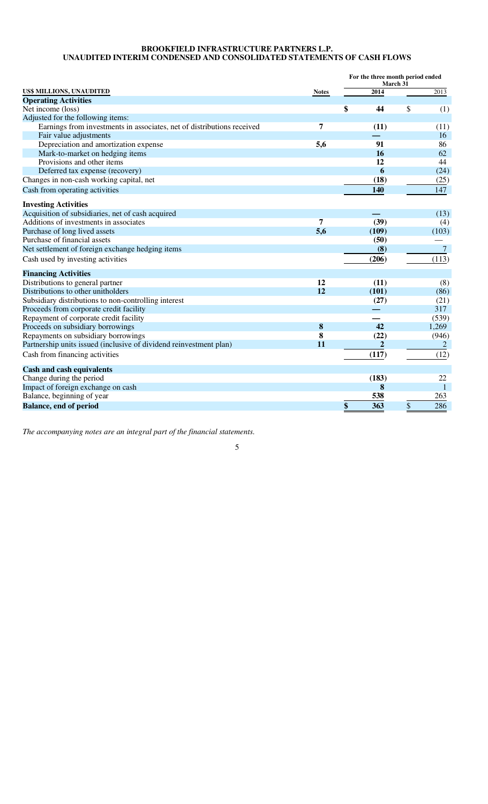## **BROOKFIELD INFRASTRUCTURE PARTNERS L.P. UNAUDITED INTERIM CONDENSED AND CONSOLIDATED STATEMENTS OF CASH FLOWS**

|                                                                        |              |    | March 31       | For the three month period ended |                   |  |
|------------------------------------------------------------------------|--------------|----|----------------|----------------------------------|-------------------|--|
| US\$ MILLIONS, UNAUDITED                                               | <b>Notes</b> |    | 2014           |                                  | $\overline{2013}$ |  |
| <b>Operating Activities</b>                                            |              |    |                |                                  |                   |  |
| Net income (loss)                                                      |              | \$ | 44             | \$                               | (1)               |  |
| Adjusted for the following items:                                      |              |    |                |                                  |                   |  |
| Earnings from investments in associates, net of distributions received | 7            |    | (11)           |                                  | (11)              |  |
| Fair value adjustments                                                 |              |    |                |                                  | 16                |  |
| Depreciation and amortization expense                                  | 5,6          |    | 91             |                                  | 86                |  |
| Mark-to-market on hedging items                                        |              |    | 16             |                                  | 62                |  |
| Provisions and other items                                             |              |    | 12             |                                  | 44                |  |
| Deferred tax expense (recovery)                                        |              |    | 6              |                                  | (24)              |  |
| Changes in non-cash working capital, net                               |              |    | (18)           |                                  | (25)              |  |
| Cash from operating activities                                         |              |    | 140            |                                  | 147               |  |
| <b>Investing Activities</b>                                            |              |    |                |                                  |                   |  |
| Acquisition of subsidiaries, net of cash acquired                      |              |    |                |                                  | (13)              |  |
| Additions of investments in associates                                 | 7            |    | (39)           |                                  | (4)               |  |
| Purchase of long lived assets                                          | 5,6          |    | (109)          |                                  | (103)             |  |
| Purchase of financial assets                                           |              |    | (50)           |                                  |                   |  |
| Net settlement of foreign exchange hedging items                       |              |    | (8)            |                                  | $\overline{7}$    |  |
| Cash used by investing activities                                      |              |    | (206)          |                                  | (113)             |  |
| <b>Financing Activities</b>                                            |              |    |                |                                  |                   |  |
| Distributions to general partner                                       | 12           |    | (11)           |                                  | (8)               |  |
| Distributions to other unitholders                                     | 12           |    | (101)          |                                  | (86)              |  |
| Subsidiary distributions to non-controlling interest                   |              |    | (27)           |                                  | (21)              |  |
| Proceeds from corporate credit facility                                |              |    |                |                                  | 317               |  |
| Repayment of corporate credit facility                                 |              |    |                |                                  | (539)             |  |
| Proceeds on subsidiary borrowings                                      | $\bf{8}$     |    | 42             |                                  | 1,269             |  |
| Repayments on subsidiary borrowings                                    | 8            |    | (22)           |                                  | (946)             |  |
| Partnership units issued (inclusive of dividend reinvestment plan)     | 11           |    | $\overline{2}$ |                                  | $\overline{2}$    |  |
| Cash from financing activities                                         |              |    | (117)          |                                  | (12)              |  |
| <b>Cash and cash equivalents</b>                                       |              |    |                |                                  |                   |  |
| Change during the period                                               |              |    | (183)          |                                  | 22                |  |
| Impact of foreign exchange on cash                                     |              |    | 8              |                                  | 1                 |  |
| Balance, beginning of year                                             |              |    | 538            |                                  | 263               |  |
| <b>Balance, end of period</b>                                          |              | \$ | 363            | \$                               | 286               |  |

*The accompanying notes are an integral part of the financial statements.*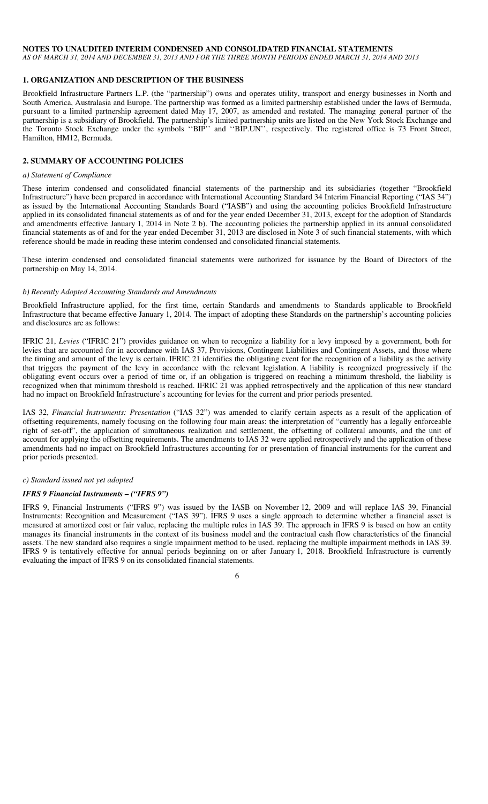## **NOTES TO UNAUDITED INTERIM CONDENSED AND CONSOLIDATED FINANCIAL STATEMENTS**

*AS OF MARCH 31, 2014 AND DECEMBER 31, 2013 AND FOR THE THREE MONTH PERIODS ENDED MARCH 31, 2014 AND 2013* 

## **1. ORGANIZATION AND DESCRIPTION OF THE BUSINESS**

Brookfield Infrastructure Partners L.P. (the "partnership") owns and operates utility, transport and energy businesses in North and South America, Australasia and Europe. The partnership was formed as a limited partnership established under the laws of Bermuda, pursuant to a limited partnership agreement dated May 17, 2007, as amended and restated. The managing general partner of the partnership is a subsidiary of Brookfield. The partnership's limited partnership units are listed on the New York Stock Exchange and the Toronto Stock Exchange under the symbols ''BIP'' and ''BIP.UN'', respectively. The registered office is 73 Front Street, Hamilton, HM12, Bermuda.

## **2. SUMMARY OF ACCOUNTING POLICIES**

#### *a) Statement of Compliance*

These interim condensed and consolidated financial statements of the partnership and its subsidiaries (together "Brookfield Infrastructure") have been prepared in accordance with International Accounting Standard 34 Interim Financial Reporting ("IAS 34") as issued by the International Accounting Standards Board ("IASB") and using the accounting policies Brookfield Infrastructure applied in its consolidated financial statements as of and for the year ended December 31, 2013, except for the adoption of Standards and amendments effective January 1, 2014 in Note 2 b). The accounting policies the partnership applied in its annual consolidated financial statements as of and for the year ended December 31, 2013 are disclosed in Note 3 of such financial statements, with which reference should be made in reading these interim condensed and consolidated financial statements.

These interim condensed and consolidated financial statements were authorized for issuance by the Board of Directors of the partnership on May 14, 2014.

#### *b) Recently Adopted Accounting Standards and Amendments*

Brookfield Infrastructure applied, for the first time, certain Standards and amendments to Standards applicable to Brookfield Infrastructure that became effective January 1, 2014. The impact of adopting these Standards on the partnership's accounting policies and disclosures are as follows:

IFRIC 21, *Levies* ("IFRIC 21") provides guidance on when to recognize a liability for a levy imposed by a government, both for levies that are accounted for in accordance with IAS 37, Provisions, Contingent Liabilities and Contingent Assets, and those where the timing and amount of the levy is certain. IFRIC 21 identifies the obligating event for the recognition of a liability as the activity that triggers the payment of the levy in accordance with the relevant legislation. A liability is recognized progressively if the obligating event occurs over a period of time or, if an obligation is triggered on reaching a minimum threshold, the liability is recognized when that minimum threshold is reached. IFRIC 21 was applied retrospectively and the application of this new standard had no impact on Brookfield Infrastructure's accounting for levies for the current and prior periods presented.

IAS 32, *Financial Instruments: Presentation* ("IAS 32") was amended to clarify certain aspects as a result of the application of offsetting requirements, namely focusing on the following four main areas: the interpretation of "currently has a legally enforceable right of set-off", the application of simultaneous realization and settlement, the offsetting of collateral amounts, and the unit of account for applying the offsetting requirements. The amendments to IAS 32 were applied retrospectively and the application of these amendments had no impact on Brookfield Infrastructures accounting for or presentation of financial instruments for the current and prior periods presented.

#### *c) Standard issued not yet adopted*

#### *IFRS 9 Financial Instruments – ("IFRS 9")*

IFRS 9, Financial Instruments ("IFRS 9") was issued by the IASB on November 12, 2009 and will replace IAS 39, Financial Instruments: Recognition and Measurement ("IAS 39"). IFRS 9 uses a single approach to determine whether a financial asset is measured at amortized cost or fair value, replacing the multiple rules in IAS 39. The approach in IFRS 9 is based on how an entity manages its financial instruments in the context of its business model and the contractual cash flow characteristics of the financial assets. The new standard also requires a single impairment method to be used, replacing the multiple impairment methods in IAS 39. IFRS 9 is tentatively effective for annual periods beginning on or after January 1, 2018. Brookfield Infrastructure is currently evaluating the impact of IFRS 9 on its consolidated financial statements.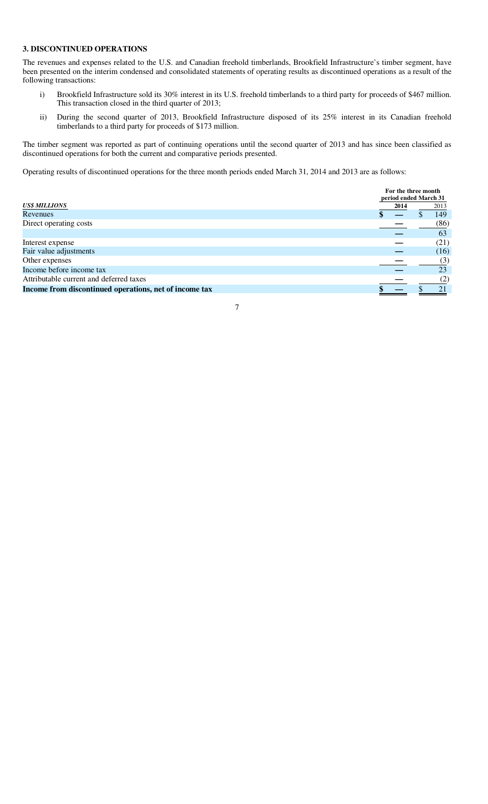# **3. DISCONTINUED OPERATIONS**

The revenues and expenses related to the U.S. and Canadian freehold timberlands, Brookfield Infrastructure's timber segment, have been presented on the interim condensed and consolidated statements of operating results as discontinued operations as a result of the following transactions:

- i) Brookfield Infrastructure sold its 30% interest in its U.S. freehold timberlands to a third party for proceeds of \$467 million. This transaction closed in the third quarter of 2013;
- ii) During the second quarter of 2013, Brookfield Infrastructure disposed of its 25% interest in its Canadian freehold timberlands to a third party for proceeds of \$173 million.

The timber segment was reported as part of continuing operations until the second quarter of 2013 and has since been classified as discontinued operations for both the current and comparative periods presented.

Operating results of discontinued operations for the three month periods ended March 31, 2014 and 2013 are as follows:

|                                                        |      | For the three month<br>period ended March 31 |      |  |
|--------------------------------------------------------|------|----------------------------------------------|------|--|
| <b>US\$ MILLIONS</b>                                   | 2014 |                                              | 2013 |  |
| <b>Revenues</b>                                        |      |                                              | 149  |  |
| Direct operating costs                                 |      |                                              | (86) |  |
|                                                        |      |                                              | 63   |  |
| Interest expense                                       |      |                                              | (21) |  |
| Fair value adjustments                                 |      |                                              | (16) |  |
| Other expenses                                         |      |                                              | (3)  |  |
| Income before income tax                               |      |                                              | 23   |  |
| Attributable current and deferred taxes                |      |                                              | (2)  |  |
| Income from discontinued operations, net of income tax |      |                                              | 21   |  |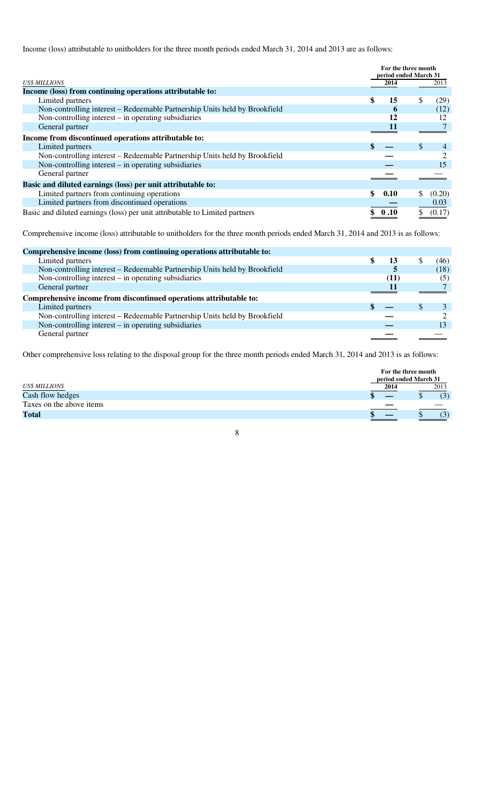Income (loss) attributable to unitholders for the three month periods ended March 31, 2014 and 2013 are as follows:

|                                                                             | For the three month<br>period ended March 31 |     |        |
|-----------------------------------------------------------------------------|----------------------------------------------|-----|--------|
| <b>US\$ MILLIONS</b>                                                        | 2014                                         |     | 2013   |
| Income (loss) from continuing operations attributable to:                   |                                              |     |        |
| Limited partners                                                            | 15                                           | \$  | (29)   |
| Non-controlling interest – Redeemable Partnership Units held by Brookfield  | 6                                            |     | (12)   |
| Non-controlling interest $-$ in operating subsidiaries                      | 12                                           |     |        |
| General partner                                                             | 11                                           |     |        |
| Income from discontinued operations attributable to:                        |                                              |     |        |
| Limited partners                                                            |                                              | \$. |        |
| Non-controlling interest – Redeemable Partnership Units held by Brookfield  |                                              |     |        |
| Non-controlling interest $-$ in operating subsidiaries                      |                                              |     | 15     |
| General partner                                                             |                                              |     |        |
| Basic and diluted earnings (loss) per unit attributable to:                 |                                              |     |        |
| Limited partners from continuing operations                                 | 0.10                                         |     | (0.20) |
| Limited partners from discontinued operations                               |                                              |     | 0.03   |
| Basic and diluted earnings (loss) per unit attributable to Limited partners | 0.10                                         |     | (0.17) |

Comprehensive income (loss) attributable to unitholders for the three month periods ended March 31, 2014 and 2013 is as follows:

| Comprehensive income (loss) from continuing operations attributable to:    |      |   |      |
|----------------------------------------------------------------------------|------|---|------|
|                                                                            |      |   |      |
| Limited partners                                                           | 13   |   | (46) |
| Non-controlling interest – Redeemable Partnership Units held by Brookfield |      |   | (18) |
| Non-controlling interest $-$ in operating subsidiaries                     | (11) |   | (5)  |
| General partner                                                            |      |   |      |
| Comprehensive income from discontinued operations attributable to:         |      |   |      |
| Limited partners                                                           |      | S |      |
| Non-controlling interest – Redeemable Partnership Units held by Brookfield |      |   |      |
| Non-controlling interest – in operating subsidiaries                       |      |   |      |
| General partner                                                            |      |   |      |
|                                                                            |      |   |      |

Other comprehensive loss relating to the disposal group for the three month periods ended March 31, 2014 and 2013 is as follows:

|                          | For the three month<br>period ended March 31 |      |
|--------------------------|----------------------------------------------|------|
| <b>US\$ MILLIONS</b>     | 2014                                         | 2013 |
| Cash flow hedges         |                                              | (3)  |
| Taxes on the above items |                                              |      |
| <b>Total</b>             |                                              | (3)  |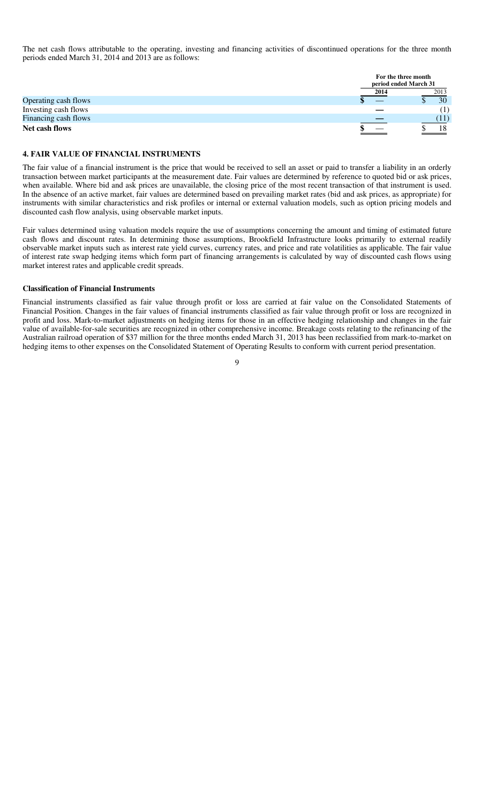The net cash flows attributable to the operating, investing and financing activities of discontinued operations for the three month periods ended March 31, 2014 and 2013 are as follows:

|                      |      | For the three month<br>period ended March 31 |
|----------------------|------|----------------------------------------------|
|                      | 2014 | 2013                                         |
| Operating cash flows |      | 30                                           |
| Investing cash flows |      | $\left( 1\right)$                            |
| Financing cash flows |      |                                              |
| Net cash flows       |      | 18                                           |

## **4. FAIR VALUE OF FINANCIAL INSTRUMENTS**

The fair value of a financial instrument is the price that would be received to sell an asset or paid to transfer a liability in an orderly transaction between market participants at the measurement date. Fair values are determined by reference to quoted bid or ask prices, when available. Where bid and ask prices are unavailable, the closing price of the most recent transaction of that instrument is used. In the absence of an active market, fair values are determined based on prevailing market rates (bid and ask prices, as appropriate) for instruments with similar characteristics and risk profiles or internal or external valuation models, such as option pricing models and discounted cash flow analysis, using observable market inputs.

Fair values determined using valuation models require the use of assumptions concerning the amount and timing of estimated future cash flows and discount rates. In determining those assumptions, Brookfield Infrastructure looks primarily to external readily observable market inputs such as interest rate yield curves, currency rates, and price and rate volatilities as applicable. The fair value of interest rate swap hedging items which form part of financing arrangements is calculated by way of discounted cash flows using market interest rates and applicable credit spreads.

#### **Classification of Financial Instruments**

Financial instruments classified as fair value through profit or loss are carried at fair value on the Consolidated Statements of Financial Position. Changes in the fair values of financial instruments classified as fair value through profit or loss are recognized in profit and loss. Mark-to-market adjustments on hedging items for those in an effective hedging relationship and changes in the fair value of available-for-sale securities are recognized in other comprehensive income. Breakage costs relating to the refinancing of the Australian railroad operation of \$37 million for the three months ended March 31, 2013 has been reclassified from mark-to-market on hedging items to other expenses on the Consolidated Statement of Operating Results to conform with current period presentation.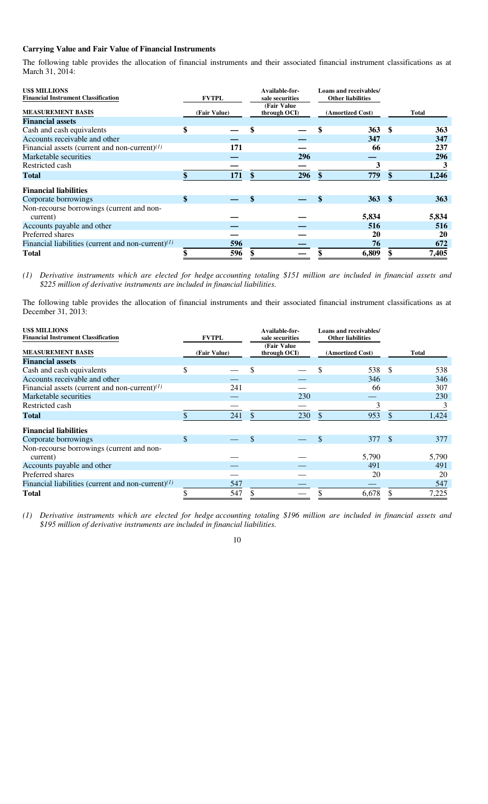# **Carrying Value and Fair Value of Financial Instruments**

The following table provides the allocation of financial instruments and their associated financial instrument classifications as at March 31, 2014:

| <b>US\$ MILLIONS</b><br><b>Financial Instrument Classification</b> | <b>FVTPL</b> |    | Available-for-<br>sale securities |    | Loans and receivables/<br><b>Other liabilities</b> |     |              |
|--------------------------------------------------------------------|--------------|----|-----------------------------------|----|----------------------------------------------------|-----|--------------|
| <b>MEASUREMENT BASIS</b>                                           | (Fair Value) |    | (Fair Value<br>through OCI)       |    | (Amortized Cost)                                   |     | <b>Total</b> |
| <b>Financial assets</b>                                            |              |    |                                   |    |                                                    |     |              |
| Cash and cash equivalents                                          | \$           |    |                                   |    | <b>363</b>                                         | -\$ | 363          |
| Accounts receivable and other                                      |              |    |                                   |    | 347                                                |     | 347          |
| Financial assets (current and non-current) $(1)$                   | 171          |    |                                   |    | 66                                                 |     | 237          |
| Marketable securities                                              |              |    | 296                               |    |                                                    |     | 296          |
| Restricted cash                                                    |              |    |                                   |    | 3                                                  |     |              |
| <b>Total</b>                                                       | 171          | \$ | 296                               | \$ | 779                                                | \$  | 1,246        |
| <b>Financial liabilities</b>                                       |              |    |                                   |    |                                                    |     |              |
| Corporate borrowings                                               | \$           |    |                                   | \$ | $363*$                                             |     | 363          |
| Non-recourse borrowings (current and non-                          |              |    |                                   |    |                                                    |     |              |
| current)                                                           |              |    |                                   |    | 5,834                                              |     | 5,834        |
| Accounts payable and other                                         |              |    |                                   |    | 516                                                |     | 516          |
| Preferred shares                                                   |              |    |                                   |    | 20                                                 |     | 20           |
| Financial liabilities (current and non-current) $(1)$              | 596          |    |                                   |    | 76                                                 |     | 672          |
| <b>Total</b>                                                       | 596          |    |                                   |    | 6,809                                              |     | 7,405        |

*(1) Derivative instruments which are elected for hedge accounting totaling \$151 million are included in financial assets and \$225 million of derivative instruments are included in financial liabilities.* 

The following table provides the allocation of financial instruments and their associated financial instrument classifications as at December 31, 2013:

| <b>US\$ MILLIONS</b>                                  |              |     |                 | Available-for-              |     | <b>Loans and receivables/</b> |               |       |
|-------------------------------------------------------|--------------|-----|-----------------|-----------------------------|-----|-------------------------------|---------------|-------|
| <b>Financial Instrument Classification</b>            | <b>FVTPL</b> |     | sale securities |                             |     | <b>Other liabilities</b>      |               |       |
| <b>MEASUREMENT BASIS</b>                              | (Fair Value) |     |                 | (Fair Value<br>through OCI) |     | (Amortized Cost)              |               | Total |
| <b>Financial assets</b>                               |              |     |                 |                             |     |                               |               |       |
| Cash and cash equivalents                             | \$           |     | \$              |                             | \$  | 538                           | -S            | 538   |
| Accounts receivable and other                         |              |     |                 |                             |     | 346                           |               | 346   |
| Financial assets (current and non-current) $^{(1)}$   |              | 241 |                 |                             |     | 66                            |               | 307   |
| Marketable securities                                 |              |     |                 | 230                         |     |                               |               | 230   |
| Restricted cash                                       |              |     |                 |                             |     |                               |               |       |
| <b>Total</b>                                          | S            | 241 | S               | 230                         | \$. | 953                           | <sup>\$</sup> | 1,424 |
| <b>Financial liabilities</b>                          |              |     |                 |                             |     |                               |               |       |
| Corporate borrowings                                  | \$           |     | \$              |                             | \$  | 377 \$                        |               | 377   |
| Non-recourse borrowings (current and non-             |              |     |                 |                             |     |                               |               |       |
| current)                                              |              |     |                 |                             |     | 5,790                         |               | 5,790 |
| Accounts payable and other                            |              |     |                 |                             |     | 491                           |               | 491   |
| Preferred shares                                      |              |     |                 |                             |     | 20                            |               | 20    |
| Financial liabilities (current and non-current) $(1)$ |              | 547 |                 |                             |     |                               |               | 547   |
| Total                                                 |              | 547 |                 |                             |     | 6,678                         |               | 7,225 |

*(1) Derivative instruments which are elected for hedge accounting totaling \$196 million are included in financial assets and \$195 million of derivative instruments are included in financial liabilities.*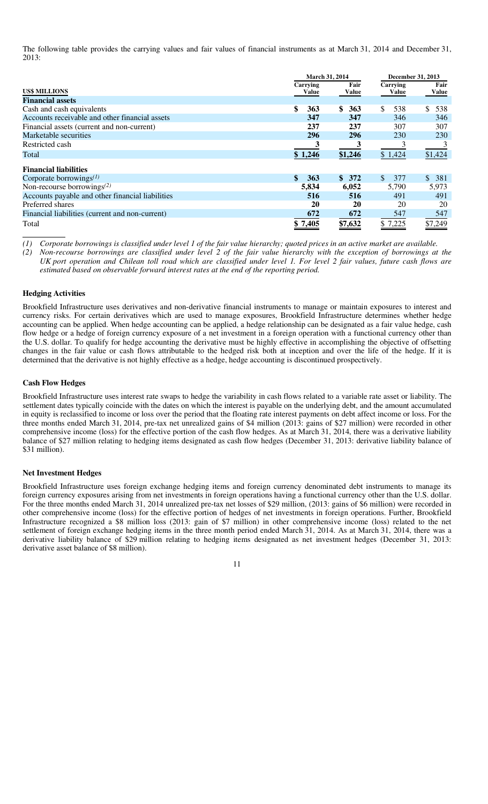The following table provides the carrying values and fair values of financial instruments as at March 31, 2014 and December 31, 2013:

|                                                  | March 31, 2014    |               |                      | December 31, 2013 |
|--------------------------------------------------|-------------------|---------------|----------------------|-------------------|
| <b>US\$ MILLIONS</b>                             | Carrying<br>Value | Fair<br>Value | Carrying<br>Value    | Fair<br>Value     |
| <b>Financial assets</b>                          |                   |               |                      |                   |
| Cash and cash equivalents                        | \$<br>363         | \$.<br>363    | \$.<br>538           | \$.<br>538        |
| Accounts receivable and other financial assets   | 347               | 347           | 346                  | 346               |
| Financial assets (current and non-current)       | 237               | 237           | 307                  | 307               |
| Marketable securities                            | 296               | 296           | 230                  | 230               |
| Restricted cash                                  |                   | 3             |                      |                   |
| Total                                            | \$1,246           | \$1,246       | \$1,424              | \$1,424           |
| <b>Financial liabilities</b>                     |                   |               |                      |                   |
| Corporate borrowings $^{(1)}$                    | \$<br>363         | \$372         | <sup>\$</sup><br>377 | \$381             |
| Non-recourse borrowings $^{(2)}$                 | 5,834             | 6,052         | 5,790                | 5,973             |
| Accounts payable and other financial liabilities | 516               | 516           | 491                  | 491               |
| Preferred shares                                 | 20                | 20            | 20                   | 20                |
| Financial liabilities (current and non-current)  | 672               | 672           | 547                  | 547               |
| Total                                            | \$7,405           | \$7,632       | \$7,225              | \$7,249           |

*(1) Corporate borrowings is classified under level 1 of the fair value hierarchy; quoted prices in an active market are available.* 

*(2) Non-recourse borrowings are classified under level 2 of the fair value hierarchy with the exception of borrowings at the UK port operation and Chilean toll road which are classified under level 1. For level 2 fair values, future cash flows are estimated based on observable forward interest rates at the end of the reporting period.* 

## **Hedging Activities**

Brookfield Infrastructure uses derivatives and non-derivative financial instruments to manage or maintain exposures to interest and currency risks. For certain derivatives which are used to manage exposures, Brookfield Infrastructure determines whether hedge accounting can be applied. When hedge accounting can be applied, a hedge relationship can be designated as a fair value hedge, cash flow hedge or a hedge of foreign currency exposure of a net investment in a foreign operation with a functional currency other than the U.S. dollar. To qualify for hedge accounting the derivative must be highly effective in accomplishing the objective of offsetting changes in the fair value or cash flows attributable to the hedged risk both at inception and over the life of the hedge. If it is determined that the derivative is not highly effective as a hedge, hedge accounting is discontinued prospectively.

## **Cash Flow Hedges**

Brookfield Infrastructure uses interest rate swaps to hedge the variability in cash flows related to a variable rate asset or liability. The settlement dates typically coincide with the dates on which the interest is payable on the underlying debt, and the amount accumulated in equity is reclassified to income or loss over the period that the floating rate interest payments on debt affect income or loss. For the three months ended March 31, 2014, pre-tax net unrealized gains of \$4 million (2013: gains of \$27 million) were recorded in other comprehensive income (loss) for the effective portion of the cash flow hedges. As at March 31, 2014, there was a derivative liability balance of \$27 million relating to hedging items designated as cash flow hedges (December 31, 2013: derivative liability balance of \$31 million).

## **Net Investment Hedges**

Brookfield Infrastructure uses foreign exchange hedging items and foreign currency denominated debt instruments to manage its foreign currency exposures arising from net investments in foreign operations having a functional currency other than the U.S. dollar. For the three months ended March 31, 2014 unrealized pre-tax net losses of \$29 million, (2013: gains of \$6 million) were recorded in other comprehensive income (loss) for the effective portion of hedges of net investments in foreign operations. Further, Brookfield Infrastructure recognized a \$8 million loss (2013: gain of \$7 million) in other comprehensive income (loss) related to the net settlement of foreign exchange hedging items in the three month period ended March 31, 2014. As at March 31, 2014, there was a derivative liability balance of \$29 million relating to hedging items designated as net investment hedges (December 31, 2013: derivative asset balance of \$8 million).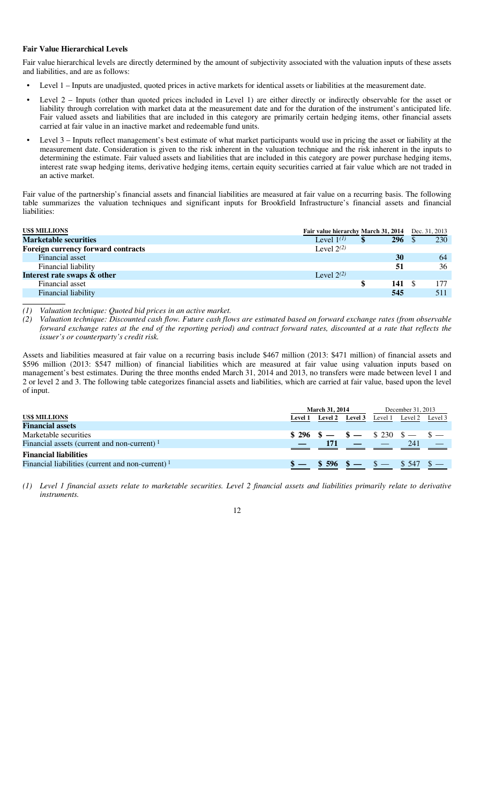## **Fair Value Hierarchical Levels**

Fair value hierarchical levels are directly determined by the amount of subjectivity associated with the valuation inputs of these assets and liabilities, and are as follows:

- Level 1 Inputs are unadjusted, quoted prices in active markets for identical assets or liabilities at the measurement date.
- Level 2 Inputs (other than quoted prices included in Level 1) are either directly or indirectly observable for the asset or liability through correlation with market data at the measurement date and for the duration of the instrument's anticipated life. Fair valued assets and liabilities that are included in this category are primarily certain hedging items, other financial assets carried at fair value in an inactive market and redeemable fund units.
- Level 3 Inputs reflect management's best estimate of what market participants would use in pricing the asset or liability at the measurement date. Consideration is given to the risk inherent in the valuation technique and the risk inherent in the inputs to determining the estimate. Fair valued assets and liabilities that are included in this category are power purchase hedging items, interest rate swap hedging items, derivative hedging items, certain equity securities carried at fair value which are not traded in an active market.

Fair value of the partnership's financial assets and financial liabilities are measured at fair value on a recurring basis. The following table summarizes the valuation techniques and significant inputs for Brookfield Infrastructure's financial assets and financial liabilities:

| <b>US\$ MILLIONS</b>               | Fair value hierarchy March 31, 2014 |            | Dec. 31, 2013 |
|------------------------------------|-------------------------------------|------------|---------------|
| <b>Marketable securities</b>       | Level $1^{(1)}$                     | <b>296</b> | 230           |
| Foreign currency forward contracts | Level $2^{(2)}$                     |            |               |
| Financial asset                    |                                     | 30         | 64            |
| Financial liability                |                                     | 51         | 36            |
| Interest rate swaps & other        | Level $2^{(2)}$                     |            |               |
| Financial asset                    |                                     | 141        | 177           |
| Financial liability                |                                     | 545        | 511           |

*(1) Valuation technique: Quoted bid prices in an active market.* 

*(2) Valuation technique: Discounted cash flow. Future cash flows are estimated based on forward exchange rates (from observable forward exchange rates at the end of the reporting period) and contract forward rates, discounted at a rate that reflects the issuer's or counterparty's credit risk.* 

Assets and liabilities measured at fair value on a recurring basis include \$467 million (2013: \$471 million) of financial assets and \$596 million (2013: \$547 million) of financial liabilities which are measured at fair value using valuation inputs based on management's best estimates. During the three months ended March 31, 2014 and 2013, no transfers were made between level 1 and 2 or level 2 and 3. The following table categorizes financial assets and liabilities, which are carried at fair value, based upon the level of input.

|                                                     |                | <b>March 31, 2014</b>                                                               |  |                               | December 31, 2013 |         |  |
|-----------------------------------------------------|----------------|-------------------------------------------------------------------------------------|--|-------------------------------|-------------------|---------|--|
| <b>US\$ MILLIONS</b>                                | <b>Level 1</b> | Level 2 Level 3                                                                     |  | Level 1                       | Level 2           | Level 3 |  |
| <b>Financial assets</b>                             |                |                                                                                     |  |                               |                   |         |  |
| Marketable securities                               |                | $$296$ $$ - $ - $ - $230$ $$ - $ -$                                                 |  |                               |                   |         |  |
| Financial assets (current and non-current) $1$      |                | 171                                                                                 |  | the company of the company of | 241               |         |  |
| <b>Financial liabilities</b>                        |                |                                                                                     |  |                               |                   |         |  |
| Financial liabilities (current and non-current) $1$ |                | $\frac{$-8.596}{10}$ $\frac{$-8.596}{10}$ $\frac{$-8.547}{10}$ $\frac{$-8.547}{10}$ |  |                               |                   |         |  |
|                                                     |                |                                                                                     |  |                               |                   |         |  |

*<sup>(1)</sup> Level 1 financial assets relate to marketable securities. Level 2 financial assets and liabilities primarily relate to derivative instruments.* 

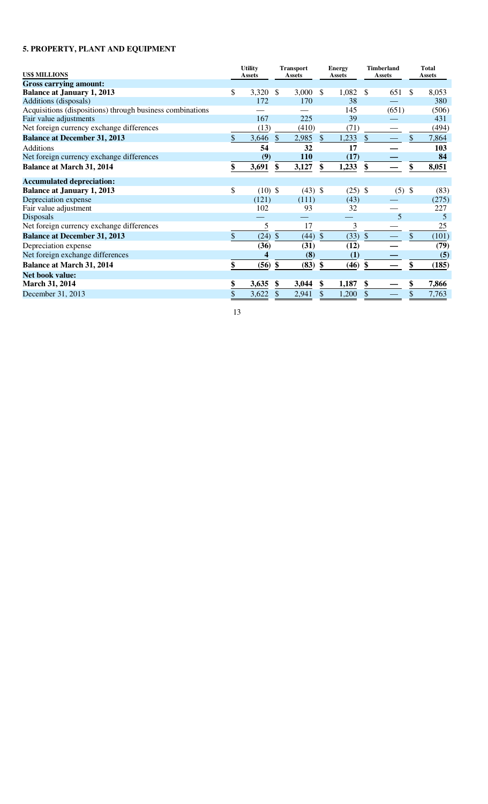# **5. PROPERTY, PLANT AND EQUIPMENT**

| <b>US\$ MILLIONS</b>                                      |               | <b>Utility</b><br><b>Assets</b> |               | <b>Transport</b><br>Assets |               | <b>Energy</b><br>Assets |             | <b>Timberland</b><br><b>Assets</b> |               | <b>Total</b><br>Assets |
|-----------------------------------------------------------|---------------|---------------------------------|---------------|----------------------------|---------------|-------------------------|-------------|------------------------------------|---------------|------------------------|
| <b>Gross carrying amount:</b>                             |               |                                 |               |                            |               |                         |             |                                    |               |                        |
| <b>Balance at January 1, 2013</b>                         | \$            | 3,320                           | <sup>\$</sup> | 3,000                      | \$.           | 1,082                   | \$          | 651                                | <sup>\$</sup> | 8,053                  |
| Additions (disposals)                                     |               | 172                             |               | 170                        |               | 38                      |             |                                    |               | 380                    |
| Acquisitions (dispositions) through business combinations |               |                                 |               |                            |               | 145                     |             | (651)                              |               | (506)                  |
| Fair value adjustments                                    |               | 167                             |               | 225                        |               | 39                      |             |                                    |               | 431                    |
| Net foreign currency exchange differences                 |               | (13)                            |               | (410)                      |               | (71)                    |             |                                    |               | (494)                  |
| <b>Balance at December 31, 2013</b>                       | $\mathcal{S}$ | 3,646                           | $\mathcal{S}$ | 2,985                      | $\mathcal{S}$ | 1,233                   | $\$\,$      |                                    | $\mathcal{S}$ | 7,864                  |
| <b>Additions</b>                                          |               | 54                              |               | 32                         |               | 17                      |             |                                    |               | 103                    |
| Net foreign currency exchange differences                 |               | (9)                             |               | 110                        |               | (17)                    |             |                                    |               | 84                     |
| <b>Balance at March 31, 2014</b>                          | \$            | 3,691                           | \$            | 3,127                      | \$            | 1,233                   | \$          |                                    | \$            | 8,051                  |
| <b>Accumulated depreciation:</b>                          |               |                                 |               |                            |               |                         |             |                                    |               |                        |
| <b>Balance at January 1, 2013</b>                         | \$            | $(10)$ \$                       |               | $(43)$ \$                  |               | $(25)$ \$               |             | $(5)$ \$                           |               | (83)                   |
| Depreciation expense                                      |               | (121)                           |               | (111)                      |               | (43)                    |             |                                    |               | (275)                  |
| Fair value adjustment                                     |               | 102                             |               | 93                         |               | 32                      |             |                                    |               | 227                    |
| <b>Disposals</b>                                          |               |                                 |               |                            |               |                         |             | 5                                  |               | 5                      |
| Net foreign currency exchange differences                 |               | 5                               |               | 17                         |               | 3                       |             |                                    |               | 25                     |
| <b>Balance at December 31, 2013</b>                       | $\mathbb{S}$  | $(24)$ \$                       |               | $(44)$ \$                  |               | (33)                    | $\sqrt{\ }$ |                                    | $\mathcal{S}$ | (101)                  |
| Depreciation expense                                      |               | (36)                            |               | (31)                       |               | (12)                    |             |                                    |               | (79)                   |
| Net foreign exchange differences                          |               | $\overline{\bf{4}}$             |               | (8)                        |               | (1)                     |             |                                    |               | (5)                    |
| <b>Balance at March 31, 2014</b>                          |               | $(56)$ \$                       |               | $(83)$ \$                  |               | (46)                    | \$          |                                    | \$            | (185)                  |
| <b>Net book value:</b>                                    |               |                                 |               |                            |               |                         |             |                                    |               |                        |
| March 31, 2014                                            | \$            | 3,635                           | S             | 3,044                      | \$            | 1,187                   | \$          |                                    |               | 7,866                  |
| December 31, 2013                                         | \$            | 3,622                           | \$            | 2,941                      | \$            | 1,200                   | \$          |                                    |               | 7,763                  |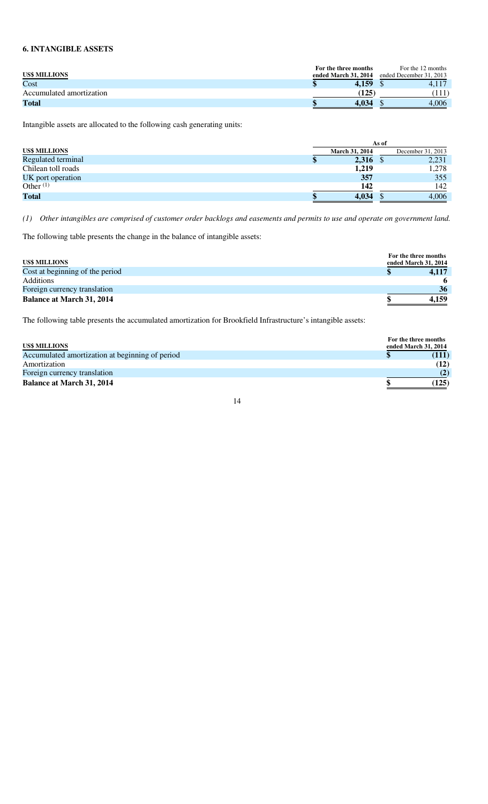# **6. INTANGIBLE ASSETS**

|                          | For the three months | For the 12 months       |
|--------------------------|----------------------|-------------------------|
| <b>US\$ MILLIONS</b>     | ended March 31, 2014 | ended December 31, 2013 |
| Cost                     | 4,159                |                         |
| Accumulated amortization | 125                  |                         |
| <b>Total</b>             | 4.034                | 4.006                   |

Intangible assets are allocated to the following cash generating units:

|                      | As of |                       |  |                   |  |
|----------------------|-------|-----------------------|--|-------------------|--|
| <b>US\$ MILLIONS</b> |       | <b>March 31, 2014</b> |  | December 31, 2013 |  |
| Regulated terminal   |       | 2,316                 |  | 2,231             |  |
| Chilean toll roads   |       | 1,219                 |  | 1,278             |  |
| UK port operation    |       | 357                   |  | 355               |  |
| Other $(1)$          |       | 142                   |  | 142               |  |
| <b>Total</b>         |       | 4,034                 |  | 4,006             |  |

*(1) Other intangibles are comprised of customer order backlogs and easements and permits to use and operate on government land.* 

The following table presents the change in the balance of intangible assets:

| <b>US\$ MILLIONS</b>             | For the three months<br>ended March 31, 2014 |
|----------------------------------|----------------------------------------------|
| Cost at beginning of the period  | 4.117                                        |
| Additions                        | 6                                            |
| Foreign currency translation     | 36                                           |
| <b>Balance at March 31, 2014</b> | 4.159                                        |

The following table presents the accumulated amortization for Brookfield Infrastructure's intangible assets:

|                                                 | For the three months |       |
|-------------------------------------------------|----------------------|-------|
| <b>US\$ MILLIONS</b>                            | ended March 31, 2014 |       |
| Accumulated amortization at beginning of period |                      |       |
| Amortization                                    |                      | (12)  |
| Foreign currency translation                    |                      | (2)   |
| <b>Balance at March 31, 2014</b>                |                      | (125) |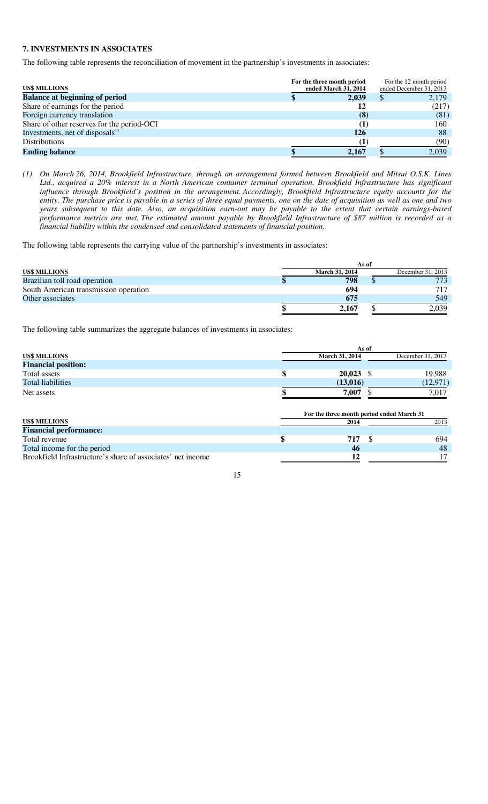# **7. INVESTMENTS IN ASSOCIATES**

The following table represents the reconciliation of movement in the partnership's investments in associates:

| <b>US\$ MILLIONS</b>                         | For the three month period<br>ended March 31, 2014 | For the 12 month period<br>ended December 31, 2013 |       |  |
|----------------------------------------------|----------------------------------------------------|----------------------------------------------------|-------|--|
| <b>Balance at beginning of period</b>        | 2,039                                              |                                                    | 2,179 |  |
| Share of earnings for the period             |                                                    |                                                    | (217) |  |
| Foreign currency translation                 | (8)                                                |                                                    | (81)  |  |
| Share of other reserves for the period-OCI   |                                                    |                                                    | 160   |  |
| Investments, net of disposals <sup>(1)</sup> | 126                                                |                                                    | 88    |  |
| <b>Distributions</b>                         |                                                    |                                                    | (90)  |  |
| <b>Ending balance</b>                        | 2.167                                              |                                                    | 2.039 |  |

*(1) On March 26, 2014, Brookfield Infrastructure, through an arrangement formed between Brookfield and Mitsui O.S.K. Lines Ltd., acquired a 20% interest in a North American container terminal operation. Brookfield Infrastructure has significant influence through Brookfield's position in the arrangement. Accordingly, Brookfield Infrastructure equity accounts for the entity. The purchase price is payable in a series of three equal payments, one on the date of acquisition as well as one and two years subsequent to this date. Also, an acquisition earn-out may be payable to the extent that certain earnings-based performance metrics are met. The estimated amount payable by Brookfield Infrastructure of \$87 million is recorded as a financial liability within the condensed and consolidated statements of financial position.* 

The following table represents the carrying value of the partnership's investments in associates:

|                                       |                       | As of |                   |
|---------------------------------------|-----------------------|-------|-------------------|
| <b>US\$ MILLIONS</b>                  | <b>March 31, 2014</b> |       | December 31, 2013 |
| Brazilian toll road operation         | 798                   |       | 773               |
| South American transmission operation | 694                   |       | 717               |
| Other associates                      | 675                   |       | 549               |
|                                       | 2,167                 |       | 2,039             |

The following table summarizes the aggregate balances of investments in associates:

| <b>March 31, 2014</b> |       | December 31, 2013                                                                     |
|-----------------------|-------|---------------------------------------------------------------------------------------|
|                       |       |                                                                                       |
| \$                    |       | 19,988                                                                                |
|                       |       | (12, 971)                                                                             |
|                       |       | 7,017                                                                                 |
| 2014                  |       | 2013                                                                                  |
|                       |       |                                                                                       |
|                       |       |                                                                                       |
| \$<br>717             |       | 694                                                                                   |
| 46                    |       | 48                                                                                    |
| 12                    |       | 17                                                                                    |
|                       | 7,007 | As of<br>$20,023$ \$<br>(13,016)<br>For the three month period ended March 31<br>- \$ |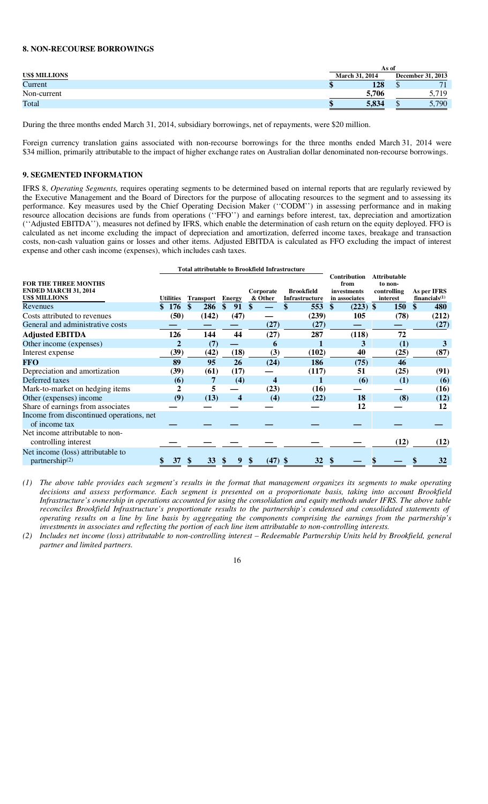## **8. NON-RECOURSE BORROWINGS**

|               |                       | As of             |
|---------------|-----------------------|-------------------|
| US\$ MILLIONS | <b>March 31, 2014</b> | December 31, 2013 |
| Current       | 128<br>w              | 71                |
| Non-current   | 5.706                 | 5,719             |
| Total         | 5.834<br>٠п           | 5.790             |

During the three months ended March 31, 2014, subsidiary borrowings, net of repayments, were \$20 million.

Foreign currency translation gains associated with non-recourse borrowings for the three months ended March 31, 2014 were \$34 million, primarily attributable to the impact of higher exchange rates on Australian dollar denominated non-recourse borrowings.

## **9. SEGMENTED INFORMATION**

IFRS 8, *Operating Segments,* requires operating segments to be determined based on internal reports that are regularly reviewed by the Executive Management and the Board of Directors for the purpose of allocating resources to the segment and to assessing its performance. Key measures used by the Chief Operating Decision Maker (''CODM'') in assessing performance and in making resource allocation decisions are funds from operations (''FFO'') and earnings before interest, tax, depreciation and amortization (''Adjusted EBITDA''), measures not defined by IFRS, which enable the determination of cash return on the equity deployed. FFO is calculated as net income excluding the impact of depreciation and amortization, deferred income taxes, breakage and transaction costs, non-cash valuation gains or losses and other items. Adjusted EBITDA is calculated as FFO excluding the impact of interest expense and other cash income (expenses), which includes cash taxes.

|                                                                                    |    |                  |    | <b>Total attributable to Brookfield Infrastructure</b> |               |    |                      |                                     |                   |                                                             |                                                           |            |                  |             |
|------------------------------------------------------------------------------------|----|------------------|----|--------------------------------------------------------|---------------|----|----------------------|-------------------------------------|-------------------|-------------------------------------------------------------|-----------------------------------------------------------|------------|------------------|-------------|
| <b>FOR THE THREE MONTHS</b><br><b>ENDED MARCH 31, 2014</b><br><b>US\$ MILLIONS</b> |    | <b>Utilities</b> |    | <b>Transport</b>                                       | <b>Energy</b> |    | Corporate<br>& Other | <b>Brookfield</b><br>Infrastructure |                   | <b>Contribution</b><br>from<br>investments<br>in associates | <b>Attributable</b><br>to non-<br>controlling<br>interest |            | financials $(1)$ | As per IFRS |
| Revenues                                                                           | \$ | <b>176</b>       | \$ | 286                                                    | \$<br>91      | \$ |                      | 553                                 | $\boldsymbol{\$}$ | $(223)$ \$                                                  |                                                           | <b>150</b> | \$               | 480         |
| Costs attributed to revenues                                                       |    | (50)             |    | (142)                                                  | (47)          |    |                      | (239)                               |                   | 105                                                         |                                                           | (78)       |                  | (212)       |
| General and administrative costs                                                   |    |                  |    |                                                        |               |    | (27)                 | (27)                                |                   |                                                             |                                                           |            |                  | (27)        |
| <b>Adjusted EBITDA</b>                                                             |    | 126              |    | 144                                                    | 44            |    | (27)                 | 287                                 |                   | (118)                                                       |                                                           | 72         |                  |             |
| Other income (expenses)                                                            |    |                  |    | (7)                                                    |               |    | 6                    |                                     |                   | 3                                                           |                                                           | (1)        |                  |             |
| Interest expense                                                                   |    | (39)             |    | (42)                                                   | (18)          |    | (3)                  | (102)                               |                   | 40                                                          |                                                           | (25)       |                  | (87)        |
| <b>FFO</b>                                                                         |    | 89               |    | 95                                                     | 26            |    | (24)                 | 186                                 |                   | (75)                                                        |                                                           | 46         |                  |             |
| Depreciation and amortization                                                      |    | (39)             |    | (61)                                                   | (17)          |    |                      | (117)                               |                   | 51                                                          |                                                           | (25)       |                  | (91)        |
| Deferred taxes                                                                     |    | (6)              |    | 7                                                      | (4)           |    | $\boldsymbol{4}$     |                                     |                   | (6)                                                         |                                                           | (1)        |                  | (6)         |
| Mark-to-market on hedging items                                                    |    |                  |    | 5                                                      |               |    | (23)                 | (16)                                |                   |                                                             |                                                           |            |                  | (16)        |
| Other (expenses) income                                                            |    | (9)              |    | (13)                                                   | 4             |    | (4)                  | (22)                                |                   | 18                                                          |                                                           | (8)        |                  | (12)        |
| Share of earnings from associates                                                  |    |                  |    |                                                        |               |    |                      |                                     |                   | 12                                                          |                                                           |            |                  | 12          |
| Income from discontinued operations, net<br>of income tax                          |    |                  |    |                                                        |               |    |                      |                                     |                   |                                                             |                                                           |            |                  |             |
| Net income attributable to non-<br>controlling interest                            |    |                  |    |                                                        |               |    |                      |                                     |                   |                                                             |                                                           | (12)       |                  | (12)        |
|                                                                                    |    |                  |    |                                                        |               |    |                      |                                     |                   |                                                             |                                                           |            |                  |             |
| Net income (loss) attributable to<br>partnership <sup>(2)</sup>                    |    | 37               | ъ  | <b>33</b>                                              | 9             |    | $(47)$ \$            | 32                                  |                   |                                                             |                                                           |            |                  | 32          |

*(1) The above table provides each segment's results in the format that management organizes its segments to make operating decisions and assess performance. Each segment is presented on a proportionate basis, taking into account Brookfield Infrastructure's ownership in operations accounted for using the consolidation and equity methods under IFRS. The above table reconciles Brookfield Infrastructure's proportionate results to the partnership's condensed and consolidated statements of operating results on a line by line basis by aggregating the components comprising the earnings from the partnership's investments in associates and reflecting the portion of each line item attributable to non-controlling interests.* 

*(2) Includes net income (loss) attributable to non-controlling interest – Redeemable Partnership Units held by Brookfield, general partner and limited partners.* 

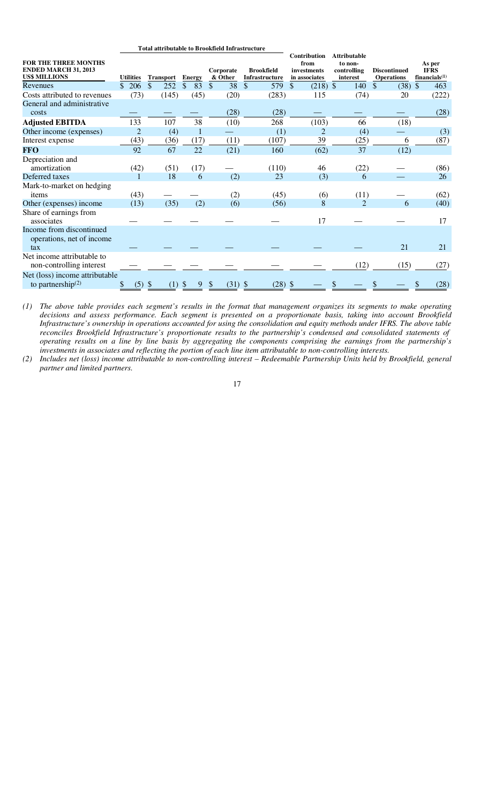|                                                                                    | <b>Total attributable to Brookfield Infrastructure</b> |                  |                                |                      |                                     |                                                      |                                                           |                                          |                                           |
|------------------------------------------------------------------------------------|--------------------------------------------------------|------------------|--------------------------------|----------------------|-------------------------------------|------------------------------------------------------|-----------------------------------------------------------|------------------------------------------|-------------------------------------------|
| <b>FOR THE THREE MONTHS</b><br><b>ENDED MARCH 31, 2013</b><br><b>US\$ MILLIONS</b> | <b>Utilities</b>                                       | <b>Transport</b> | <b>Energy</b>                  | Corporate<br>& Other | <b>Brookfield</b><br>Infrastructure | Contribution<br>from<br>investments<br>in associates | <b>Attributable</b><br>to non-<br>controlling<br>interest | <b>Discontinued</b><br><b>Operations</b> | As per<br><b>IFRS</b><br>financials $(1)$ |
| Revenues                                                                           | 206<br>\$.                                             | \$<br>252        | 83<br>S                        | 38<br>$\mathbb{S}$   | \$<br>579                           | \$<br>$(218)$ \$                                     | 140                                                       | (38)<br>S                                | $\mathcal{S}$<br>463                      |
| Costs attributed to revenues                                                       | (73)                                                   | (145)            | (45)                           | (20)                 | (283)                               | 115                                                  | (74)                                                      | 20                                       | (222)                                     |
| General and administrative<br>costs                                                |                                                        |                  |                                | (28)                 | (28)                                |                                                      |                                                           |                                          | (28)                                      |
| <b>Adjusted EBITDA</b>                                                             | 133                                                    | 107              | 38                             | (10)                 | 268                                 | (103)                                                | 66                                                        | (18)                                     |                                           |
| Other income (expenses)                                                            | $\overline{2}$                                         | (4)              |                                |                      | (1)                                 | 2                                                    | (4)                                                       |                                          | (3)                                       |
| Interest expense                                                                   | (43)                                                   | (36)             | (17)                           | (11)                 | (107)                               | 39                                                   | (25)                                                      | 6                                        | (87)                                      |
| <b>FFO</b>                                                                         | 92                                                     | 67               | 22                             | (21)                 | 160                                 | (62)                                                 | 37                                                        | (12)                                     |                                           |
| Depreciation and<br>amortization                                                   | (42)                                                   | (51)             | (17)                           |                      | (110)                               | 46                                                   | (22)                                                      |                                          | (86)                                      |
| Deferred taxes                                                                     | 1                                                      | 18               | 6                              | (2)                  | 23                                  | (3)                                                  | 6                                                         |                                          | 26                                        |
| Mark-to-market on hedging<br>items                                                 | (43)                                                   |                  |                                | (2)                  | (45)                                | (6)                                                  | (11)                                                      |                                          | (62)                                      |
| Other (expenses) income                                                            | (13)                                                   | (35)             | (2)                            | (6)                  | (56)                                | 8                                                    | $\overline{2}$                                            | 6                                        | (40)                                      |
| Share of earnings from<br>associates                                               |                                                        |                  |                                |                      |                                     | 17                                                   |                                                           |                                          | 17                                        |
| Income from discontinued<br>operations, net of income<br>tax                       |                                                        |                  |                                |                      |                                     |                                                      |                                                           | 21                                       | 21                                        |
| Net income attributable to<br>non-controlling interest                             |                                                        |                  |                                |                      |                                     |                                                      | (12)                                                      | (15)                                     | (27)                                      |
| Net (loss) income attributable<br>to partnership $(2)$                             | $(5)$ \$<br>\$                                         | (1)              | $\boldsymbol{\mathsf{S}}$<br>9 | \$<br>(31)           | (28)<br>\$                          | \$                                                   |                                                           |                                          | (28)                                      |

*(1) The above table provides each segment's results in the format that management organizes its segments to make operating decisions and assess performance. Each segment is presented on a proportionate basis, taking into account Brookfield Infrastructure's ownership in operations accounted for using the consolidation and equity methods under IFRS. The above table reconciles Brookfield Infrastructure's proportionate results to the partnership's condensed and consolidated statements of operating results on a line by line basis by aggregating the components comprising the earnings from the partnership's investments in associates and reflecting the portion of each line item attributable to non-controlling interests.* 

*(2) Includes net (loss) income attributable to non-controlling interest – Redeemable Partnership Units held by Brookfield, general partner and limited partners.*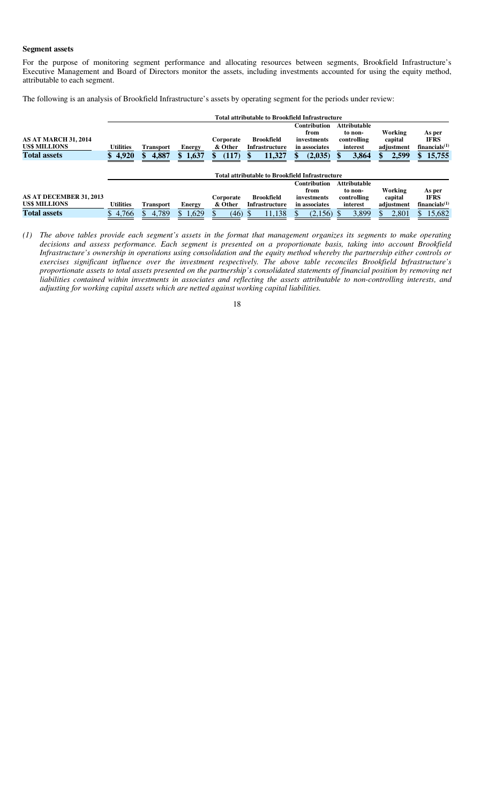#### **Segment assets**

For the purpose of monitoring segment performance and allocating resources between segments, Brookfield Infrastructure's Executive Management and Board of Directors monitor the assets, including investments accounted for using the equity method, attributable to each segment.

The following is an analysis of Brookfield Infrastructure's assets by operating segment for the periods under review:

|                                              |                  |                  |             |                      | <b>Total attributable to Brookfield Infrastructure</b> |                                                             |                                                           |                                  |                                           |
|----------------------------------------------|------------------|------------------|-------------|----------------------|--------------------------------------------------------|-------------------------------------------------------------|-----------------------------------------------------------|----------------------------------|-------------------------------------------|
| <b>AS AT MARCH 31, 2014</b><br>US\$ MILLIONS | <b>Utilities</b> | <b>Transport</b> | Energy      | Corporate<br>& Other | Brookfield<br>Infrastructure                           | <b>Contribution</b><br>from<br>investments<br>in associates | <b>Attributable</b><br>to non-<br>controlling<br>interest | Working<br>capital<br>adjustment | As per<br><b>IFRS</b><br>financials $(1)$ |
| <b>Total assets</b>                          | 4,920<br>S.      | 4,887<br>\$      | 1,637<br>\$ | (117)                | 11,327                                                 | (2,035)                                                     | 3,864                                                     | 2,599                            | 15,755                                    |
|                                              |                  |                  |             |                      | <b>Total attributable to Brookfield Infrastructure</b> |                                                             |                                                           |                                  |                                           |
|                                              |                  |                  |             |                      |                                                        | <b>Contribution</b>                                         | <b>Attributable</b>                                       |                                  |                                           |
|                                              |                  |                  |             |                      |                                                        | from                                                        | to non-                                                   | Working                          | As per                                    |
| AS AT DECEMBER 31, 2013                      |                  |                  |             | Corporate            | <b>Brookfield</b>                                      | investments                                                 | controlling                                               | capital                          | <b>IFRS</b>                               |
| <b>US\$ MILLIONS</b>                         | <b>Utilities</b> | <b>Transport</b> | Energy      | & Other              | Infrastructure                                         | in associates                                               | interest                                                  | adjustment                       | financials $(1)$                          |
| <b>Total assets</b>                          | 4,766<br>S       | 4,789<br>S.      | 1,629       | (46)                 | 11,138                                                 | (2,156)                                                     | 3,899                                                     | 2,801                            | 15,682                                    |

*(1) The above tables provide each segment's assets in the format that management organizes its segments to make operating decisions and assess performance. Each segment is presented on a proportionate basis, taking into account Brookfield Infrastructure's ownership in operations using consolidation and the equity method whereby the partnership either controls or exercises significant influence over the investment respectively. The above table reconciles Brookfield Infrastructure's proportionate assets to total assets presented on the partnership's consolidated statements of financial position by removing net liabilities contained within investments in associates and reflecting the assets attributable to non-controlling interests, and adjusting for working capital assets which are netted against working capital liabilities.*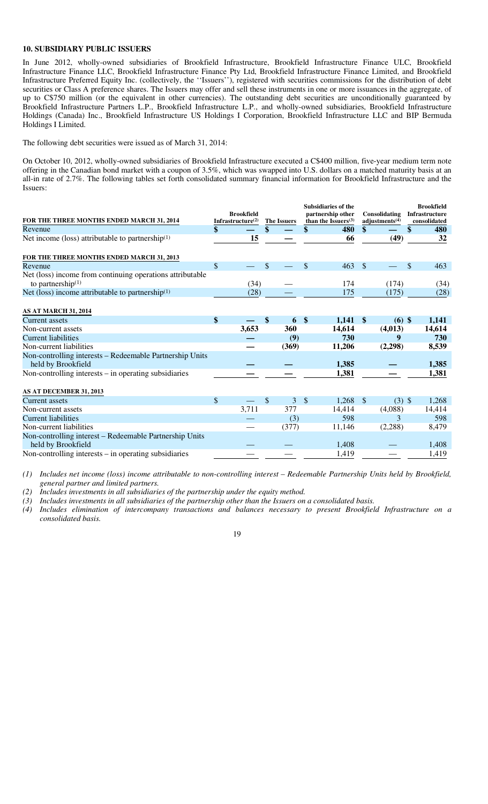## **10. SUBSIDIARY PUBLIC ISSUERS**

In June 2012, wholly-owned subsidiaries of Brookfield Infrastructure, Brookfield Infrastructure Finance ULC, Brookfield Infrastructure Finance LLC, Brookfield Infrastructure Finance Pty Ltd, Brookfield Infrastructure Finance Limited, and Brookfield Infrastructure Preferred Equity Inc. (collectively, the ''Issuers''), registered with securities commissions for the distribution of debt securities or Class A preference shares. The Issuers may offer and sell these instruments in one or more issuances in the aggregate, of up to C\$750 million (or the equivalent in other currencies). The outstanding debt securities are unconditionally guaranteed by Brookfield Infrastructure Partners L.P., Brookfield Infrastructure L.P., and wholly-owned subsidiaries, Brookfield Infrastructure Holdings (Canada) Inc., Brookfield Infrastructure US Holdings I Corporation, Brookfield Infrastructure LLC and BIP Bermuda Holdings I Limited.

The following debt securities were issued as of March 31, 2014:

On October 10, 2012, wholly-owned subsidiaries of Brookfield Infrastructure executed a C\$400 million, five-year medium term note offering in the Canadian bond market with a coupon of 3.5%, which was swapped into U.S. dollars on a matched maturity basis at an all-in rate of 2.7%. The following tables set forth consolidated summary financial information for Brookfield Infrastructure and the Issuers:

| FOR THE THREE MONTHS ENDED MARCH 31, 2014                                         |               | <b>Brookfield</b><br>Infrastructure $(2)$ | <b>The Issuers</b> |       | <b>Subsidiaries of the</b><br>partnership other<br>than the Issuers $(3)$ |        |               | Consolidating<br>adjustments $(4)$ | <b>Brookfield</b><br>Infrastructure<br>consolidated |
|-----------------------------------------------------------------------------------|---------------|-------------------------------------------|--------------------|-------|---------------------------------------------------------------------------|--------|---------------|------------------------------------|-----------------------------------------------------|
| Revenue                                                                           | \$            |                                           | \$                 |       | \$                                                                        | 480    | \$            |                                    | \$<br>480                                           |
| Net income (loss) attributable to partnership $(1)$                               |               | 15                                        |                    |       |                                                                           | 66     |               | (49)                               | 32                                                  |
| FOR THE THREE MONTHS ENDED MARCH 31, 2013                                         |               |                                           |                    |       |                                                                           |        |               |                                    |                                                     |
| Revenue                                                                           | \$            |                                           | \$                 |       | $\mathcal{S}$                                                             | 463    | $\mathcal{S}$ |                                    | \$<br>463                                           |
| Net (loss) income from continuing operations attributable<br>to partnership $(1)$ |               | (34)                                      |                    |       |                                                                           | 174    |               | (174)                              | (34)                                                |
| Net (loss) income attributable to partnership $(1)$                               |               | (28)                                      |                    |       |                                                                           | 175    |               | (175)                              | (28)                                                |
| <b>AS AT MARCH 31, 2014</b>                                                       |               |                                           |                    |       |                                                                           |        |               |                                    |                                                     |
| <b>Current assets</b>                                                             | \$            |                                           | \$                 | 6     | $\mathbf{\$}$                                                             | 1,141  | $\mathbf{\$}$ | $(6)$ \$                           | 1,141                                               |
| Non-current assets                                                                |               | 3,653                                     |                    | 360   |                                                                           | 14,614 |               | (4,013)                            | 14,614                                              |
| <b>Current liabilities</b>                                                        |               |                                           |                    | (9)   |                                                                           | 730    |               | 9                                  | 730                                                 |
| Non-current liabilities                                                           |               |                                           |                    | (369) |                                                                           | 11,206 |               | (2,298)                            | 8,539                                               |
| Non-controlling interests - Redeemable Partnership Units<br>held by Brookfield    |               |                                           |                    |       |                                                                           | 1,385  |               |                                    | 1,385                                               |
| Non-controlling interests $-$ in operating subsidiaries                           |               |                                           |                    |       |                                                                           | 1,381  |               |                                    | 1,381                                               |
| AS AT DECEMBER 31, 2013                                                           |               |                                           |                    |       |                                                                           |        |               |                                    |                                                     |
| <b>Current assets</b>                                                             | $\mathcal{S}$ |                                           | $\mathcal{S}$      | 3     | $\sqrt[6]{\frac{1}{2}}$                                                   | 1,268  | $\mathcal{S}$ | $(3)$ \$                           | 1,268                                               |
| Non-current assets                                                                |               | 3,711                                     |                    | 377   |                                                                           | 14,414 |               | (4,088)                            | 14,414                                              |
| <b>Current liabilities</b>                                                        |               |                                           |                    | (3)   |                                                                           | 598    |               | 3                                  | 598                                                 |
| Non-current liabilities                                                           |               |                                           |                    | (377) |                                                                           | 11,146 |               | (2,288)                            | 8,479                                               |
| Non-controlling interest – Redeemable Partnership Units                           |               |                                           |                    |       |                                                                           |        |               |                                    |                                                     |
| held by Brookfield                                                                |               |                                           |                    |       |                                                                           | 1,408  |               |                                    | 1,408                                               |
| Non-controlling interests $-$ in operating subsidiaries                           |               |                                           |                    |       |                                                                           | 1,419  |               |                                    | 1,419                                               |

*(1) Includes net income (loss) income attributable to non-controlling interest – Redeemable Partnership Units held by Brookfield, general partner and limited partners.* 

*(2) Includes investments in all subsidiaries of the partnership under the equity method.* 

*(3) Includes investments in all subsidiaries of the partnership other than the Issuers on a consolidated basis.* 

*(4) Includes elimination of intercompany transactions and balances necessary to present Brookfield Infrastructure on a consolidated basis.*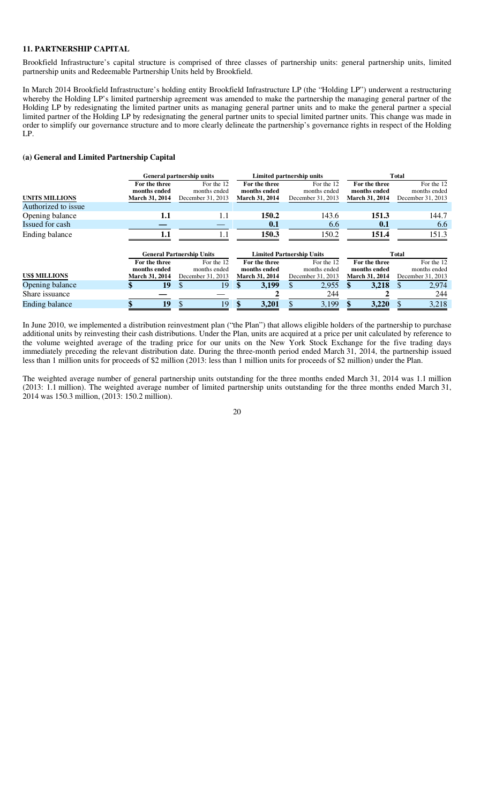### **11. PARTNERSHIP CAPITAL**

Brookfield Infrastructure's capital structure is comprised of three classes of partnership units: general partnership units, limited partnership units and Redeemable Partnership Units held by Brookfield.

In March 2014 Brookfield Infrastructure's holding entity Brookfield Infrastructure LP (the "Holding LP") underwent a restructuring whereby the Holding LP's limited partnership agreement was amended to make the partnership the managing general partner of the Holding LP by redesignating the limited partner units as managing general partner units and to make the general partner a special limited partner of the Holding LP by redesignating the general partner units to special limited partner units. This change was made in order to simplify our governance structure and to more clearly delineate the partnership's governance rights in respect of the Holding LP.

## **(a) General and Limited Partnership Capital**

|                       |                                                 | <b>General partnership units</b>                |                                                 | Limited partnership units                       | <b>T</b> otal                                   |                                                 |  |  |  |  |  |
|-----------------------|-------------------------------------------------|-------------------------------------------------|-------------------------------------------------|-------------------------------------------------|-------------------------------------------------|-------------------------------------------------|--|--|--|--|--|
| <b>UNITS MILLIONS</b> | For the three<br>months ended<br>March 31, 2014 | For the 12<br>months ended<br>December 31, 2013 | For the three<br>months ended<br>March 31, 2014 | For the 12<br>months ended<br>December 31, 2013 | For the three<br>months ended<br>March 31, 2014 | For the 12<br>months ended<br>December 31, 2013 |  |  |  |  |  |
| Authorized to issue   |                                                 |                                                 |                                                 |                                                 |                                                 |                                                 |  |  |  |  |  |
| Opening balance       | 1.1                                             | 1.1                                             | 150.2                                           | 143.6                                           | 151.3                                           | 144.7                                           |  |  |  |  |  |
| Issued for cash       |                                                 |                                                 | 0.1                                             | 6.6                                             | 0.1                                             | 6.6                                             |  |  |  |  |  |
| Ending balance        | 1.1                                             | 1.1                                             | 150.3                                           | 150.2                                           | 151.4                                           | 151.3                                           |  |  |  |  |  |
|                       |                                                 | <b>General Partnership Units</b>                |                                                 | <b>Limited Partnership Units</b>                |                                                 | Total                                           |  |  |  |  |  |
| <b>US\$ MILLIONS</b>  | For the three<br>months ended<br>March 31, 2014 | For the 12<br>months ended<br>December 31, 2013 | For the three<br>months ended<br>March 31, 2014 | For the 12<br>months ended<br>December 31, 2013 | For the three<br>months ended<br>March 31, 2014 | For the 12<br>months ended<br>December 31, 2013 |  |  |  |  |  |
| Opening balance       | 19                                              | 19<br>\$.                                       | 3,199<br>\$                                     | 2,955<br>\$                                     | 3,218<br>\$.                                    | 2,974<br><sup>\$</sup>                          |  |  |  |  |  |
| Share issuance        |                                                 |                                                 |                                                 | 244                                             |                                                 | 244                                             |  |  |  |  |  |
| <b>Ending balance</b> | 19                                              | 19<br>\$                                        | 3,201                                           | 3,199                                           | 3,220                                           | 3,218<br>\$                                     |  |  |  |  |  |

In June 2010, we implemented a distribution reinvestment plan ("the Plan") that allows eligible holders of the partnership to purchase additional units by reinvesting their cash distributions. Under the Plan, units are acquired at a price per unit calculated by reference to the volume weighted average of the trading price for our units on the New York Stock Exchange for the five trading days immediately preceding the relevant distribution date. During the three-month period ended March 31, 2014, the partnership issued less than 1 million units for proceeds of \$2 million (2013: less than 1 million units for proceeds of \$2 million) under the Plan.

The weighted average number of general partnership units outstanding for the three months ended March 31, 2014 was 1.1 million (2013: 1.1 million). The weighted average number of limited partnership units outstanding for the three months ended March 31, 2014 was 150.3 million, (2013: 150.2 million).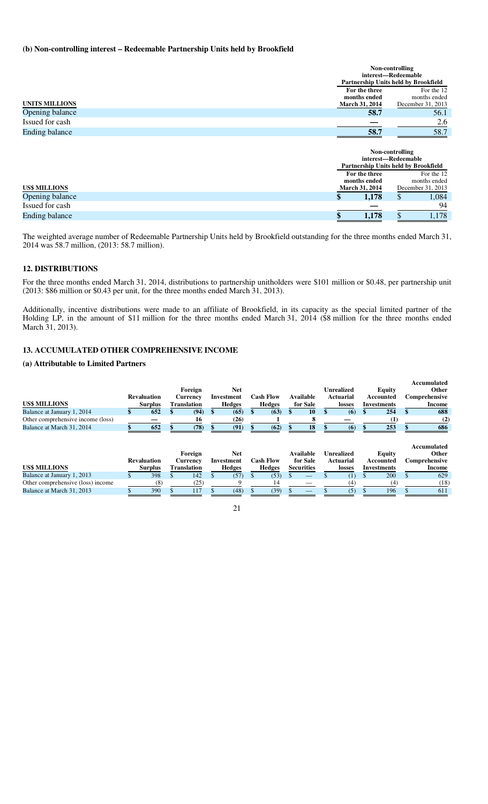# **(b) Non-controlling interest – Redeemable Partnership Units held by Brookfield**

|                       |                       | Non-controlling                      |
|-----------------------|-----------------------|--------------------------------------|
|                       |                       | interest-Redeemable                  |
|                       |                       | Partnership Units held by Brookfield |
|                       | For the three         | For the 12                           |
|                       | months ended          | months ended                         |
| <b>UNITS MILLIONS</b> | <b>March 31, 2014</b> | December 31, 2013                    |
| Opening balance       | 58.7                  | 56.1                                 |
| Issued for cash       |                       | 2.6                                  |
| <b>Ending balance</b> | 58.7                  | 58.7                                 |
|                       |                       |                                      |
|                       |                       | Non-controlling                      |
|                       |                       | interest-Redeemable                  |
|                       |                       | Partnership Units held by Brookfield |
|                       | For the three         | For the 12                           |
|                       | months ended          | months ended                         |
| <b>US\$ MILLIONS</b>  | <b>March 31, 2014</b> | December 31, 2013                    |
| Opening balance       | 1,178                 | \$<br>1,084                          |
| Issued for cash       |                       | 94                                   |

The weighted average number of Redeemable Partnership Units held by Brookfield outstanding for the three months ended March 31, 2014 was 58.7 million, (2013: 58.7 million).

**Ending balance 8 1,178 \$** 1,178

## **12. DISTRIBUTIONS**

For the three months ended March 31, 2014, distributions to partnership unitholders were \$101 million or \$0.48, per partnership unit (2013: \$86 million or \$0.43 per unit, for the three months ended March 31, 2013).

Additionally, incentive distributions were made to an affiliate of Brookfield, in its capacity as the special limited partner of the Holding LP, in the amount of \$11 million for the three months ended March 31, 2014 (\$8 million for the three months ended March 31, 2013).

## **13. ACCUMULATED OTHER COMPREHENSIVE INCOME**

## **(a) Attributable to Limited Partners**

|                                   |                    |                    |  |               |     |                  |  |                   |  |                   |                    |                    | Accumulated          |
|-----------------------------------|--------------------|--------------------|--|---------------|-----|------------------|--|-------------------|--|-------------------|--------------------|--------------------|----------------------|
|                                   |                    | Foreign            |  | Net           |     |                  |  |                   |  | <b>Unrealized</b> |                    | Equity             | Other                |
|                                   | <b>Revaluation</b> | Currency           |  | Investment    |     | <b>Cash Flow</b> |  | Available         |  | Actuarial         |                    | Accounted          | Comprehensive        |
| <b>US\$ MILLIONS</b>              | <b>Surplus</b>     | <b>Translation</b> |  | <b>Hedges</b> |     | <b>Hedges</b>    |  | for Sale          |  | losses            | <b>Investments</b> |                    | Income               |
| Balance at January 1, 2014        | 652                | (94)               |  | (65)          |     | (63)             |  | 10                |  | (6)               |                    | 254                | 688                  |
| Other comprehensive income (loss) |                    | 16                 |  | (26)          |     |                  |  |                   |  |                   |                    |                    | (2)                  |
| Balance at March 31, 2014         | 652                | (78)               |  | (91)          |     | (62)             |  | 18                |  | (6)               |                    | 253                | 686                  |
|                                   |                    | Foreign            |  | <b>Net</b>    |     |                  |  | Available         |  | <b>Unrealized</b> |                    | Equity             | Accumulated<br>Other |
|                                   | <b>Revaluation</b> | Currency           |  | Investment    |     | <b>Cash Flow</b> |  | for Sale          |  | Actuarial         |                    | Accounted          | Comprehensive        |
| <b>US\$ MILLIONS</b>              | <b>Surplus</b>     | <b>Translation</b> |  | <b>Hedges</b> |     | <b>Hedges</b>    |  | <b>Securities</b> |  | losses            |                    | <b>Investments</b> | Income               |
| Balance at January 1, 2013        | 398                | 142                |  | (57)          | \$. | (53)             |  |                   |  | (1)               |                    | 200                | 629                  |
| Other comprehensive (loss) income | (8)                | (25)               |  |               |     | 14               |  |                   |  | (4)               |                    | (4)                | (18)                 |
|                                   |                    |                    |  |               |     |                  |  |                   |  |                   |                    |                    |                      |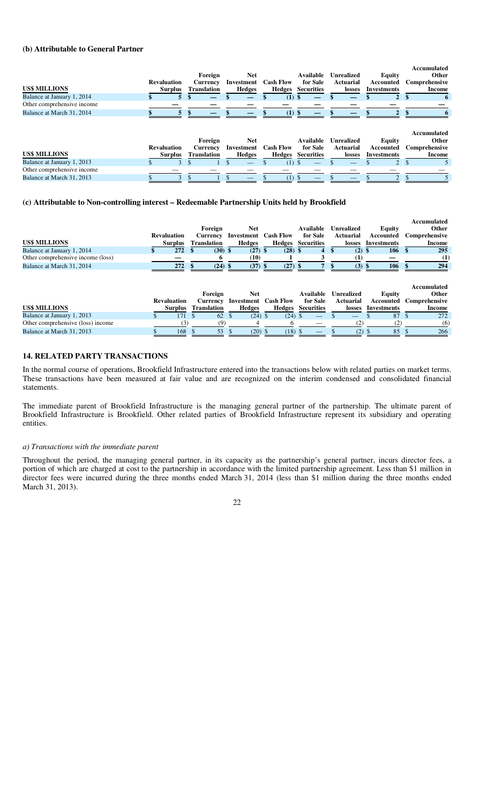#### **(b) Attributable to General Partner**

|                            |                    |                    |               |                  |                   |                   |             | Accumulated   |
|----------------------------|--------------------|--------------------|---------------|------------------|-------------------|-------------------|-------------|---------------|
|                            |                    | Foreign            | Net           |                  | Available         | <b>Unrealized</b> | Equity      | Other         |
|                            | <b>Revaluation</b> | <b>Currency</b>    | Investment    | <b>Cash Flow</b> | for Sale          | Actuarial         | Accounted   | Comprehensive |
| <b>US\$ MILLIONS</b>       | Surplus            | <b>Translation</b> | <b>Hedges</b> | Hedges           | <b>Securities</b> | losses            | Investments | Income        |
| Balance at January 1, 2014 |                    |                    |               | (1) \$           |                   | –                 |             |               |
| Other comprehensive income |                    |                    |               |                  |                   |                   |             |               |
| Balance at March 31, 2014  |                    | _                  |               | (1) S            |                   |                   |             |               |

|                            |                    |                    |            |                  |                   |                   |             | Accumulated   |
|----------------------------|--------------------|--------------------|------------|------------------|-------------------|-------------------|-------------|---------------|
|                            |                    | Foreign            | Net        |                  | Available         | <b>Unrealized</b> | Equity      | Other         |
|                            | <b>Revaluation</b> | <b>Currency</b>    | Investment | <b>Cash Flow</b> | for Sale          | Actuarial         | Accounted   | Comprehensive |
| <b>US\$ MILLIONS</b>       | Surplus            | <b>Translation</b> | Hedges     | Hedges           | <b>Securities</b> | losses            | Investments | Income        |
| Balance at January 1, 2013 |                    |                    |            |                  |                   |                   |             |               |
| Other comprehensive income |                    |                    |            |                  |                   |                   |             |               |
| Balance at March 31, 2013  |                    |                    |            |                  |                   |                   |             |               |

## **(c) Attributable to Non-controlling interest – Redeemable Partnership Units held by Brookfield**

|                                   |                    |                    |                             |           |                   |                  |             | Accumulated   |
|-----------------------------------|--------------------|--------------------|-----------------------------|-----------|-------------------|------------------|-------------|---------------|
|                                   |                    | Foreign            | Net                         |           | Available         | Unrealized       | Equity      | Other         |
|                                   | <b>Revaluation</b> | Currency           | <b>Investment</b> Cash Flow |           | for Sale          | <b>Actuarial</b> | Accounted   | Comprehensive |
| <b>US\$ MILLIONS</b>              | <b>Surplus</b>     | <b>Translation</b> | <b>Hedges</b>               | Hedges    | <b>Securities</b> | losses           | Investments | Income        |
| Balance at January 1, 2014        | 272S               | $(30)$ \$          | $(27)$ \$                   | $(28)$ \$ | 4                 | $(2)$ \$         | 106         | 295           |
| Other comprehensive income (loss) |                    |                    | (10)                        |           |                   |                  |             | (1)           |
| Balance at March 31, 2014         | 272                | $(24)$ \$          | $(37)$ \$                   | $(27)$ \$ |                   | (3)              | 106<br>S    | 294           |

|                                   |                    |                    |                             |           |                   |                   |             | Accumulated   |
|-----------------------------------|--------------------|--------------------|-----------------------------|-----------|-------------------|-------------------|-------------|---------------|
|                                   |                    | Foreign            | Net                         |           | Available         | <b>Unrealized</b> | Equity      | Other         |
|                                   | <b>Revaluation</b> | Currency           | <b>Investment</b> Cash Flow |           | for Sale          | <b>Actuarial</b>  | Accounted   | Comprehensive |
| <b>US\$ MILLIONS</b>              | <b>Surplus</b>     | <b>Translation</b> | Hedges                      | Hedges    | <b>Securities</b> | losses            | Investments | Income        |
| Balance at January 1, 2013        |                    | 62                 | $(24)$ \$                   | $(24)$ \$ |                   | __                | 87          | 272           |
| Other comprehensive (loss) income | 3                  |                    |                             |           |                   |                   |             | (6)           |
| Balance at March 31, 2013         | 168                | 53                 | $(20)$ \$                   | (18)      |                   | (2)               | 85          | 266           |

## **14. RELATED PARTY TRANSACTIONS**

In the normal course of operations, Brookfield Infrastructure entered into the transactions below with related parties on market terms. These transactions have been measured at fair value and are recognized on the interim condensed and consolidated financial statements.

The immediate parent of Brookfield Infrastructure is the managing general partner of the partnership. The ultimate parent of Brookfield Infrastructure is Brookfield. Other related parties of Brookfield Infrastructure represent its subsidiary and operating entities.

#### *a) Transactions with the immediate parent*

Throughout the period, the managing general partner, in its capacity as the partnership's general partner, incurs director fees, a portion of which are charged at cost to the partnership in accordance with the limited partnership agreement. Less than \$1 million in director fees were incurred during the three months ended March 31, 2014 (less than \$1 million during the three months ended March 31, 2013).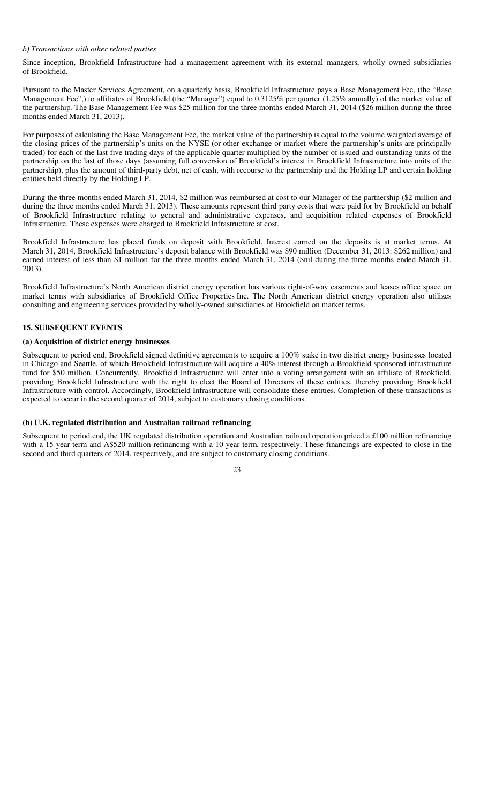### *b) Transactions with other related parties*

Since inception, Brookfield Infrastructure had a management agreement with its external managers, wholly owned subsidiaries of Brookfield.

Pursuant to the Master Services Agreement, on a quarterly basis, Brookfield Infrastructure pays a Base Management Fee, (the "Base Management Fee",) to affiliates of Brookfield (the "Manager") equal to 0.3125% per quarter (1.25% annually) of the market value of the partnership. The Base Management Fee was \$25 million for the three months ended March 31, 2014 (\$26 million during the three months ended March 31, 2013).

For purposes of calculating the Base Management Fee, the market value of the partnership is equal to the volume weighted average of the closing prices of the partnership's units on the NYSE (or other exchange or market where the partnership's units are principally traded) for each of the last five trading days of the applicable quarter multiplied by the number of issued and outstanding units of the partnership on the last of those days (assuming full conversion of Brookfield's interest in Brookfield Infrastructure into units of the partnership), plus the amount of third-party debt, net of cash, with recourse to the partnership and the Holding LP and certain holding entities held directly by the Holding LP.

During the three months ended March 31, 2014, \$2 million was reimbursed at cost to our Manager of the partnership (\$2 million and during the three months ended March 31, 2013). These amounts represent third party costs that were paid for by Brookfield on behalf of Brookfield Infrastructure relating to general and administrative expenses, and acquisition related expenses of Brookfield Infrastructure. These expenses were charged to Brookfield Infrastructure at cost.

Brookfield Infrastructure has placed funds on deposit with Brookfield. Interest earned on the deposits is at market terms. At March 31, 2014, Brookfield Infrastructure's deposit balance with Brookfield was \$90 million (December 31, 2013: \$262 million) and earned interest of less than \$1 million for the three months ended March 31, 2014 (\$nil during the three months ended March 31, 2013).

Brookfield Infrastructure's North American district energy operation has various right-of-way easements and leases office space on market terms with subsidiaries of Brookfield Office Properties Inc. The North American district energy operation also utilizes consulting and engineering services provided by wholly-owned subsidiaries of Brookfield on market terms.

# **15. SUBSEQUENT EVENTS**

#### **(a) Acquisition of district energy businesses**

Subsequent to period end, Brookfield signed definitive agreements to acquire a 100% stake in two district energy businesses located in Chicago and Seattle, of which Brookfield Infrastructure will acquire a 40% interest through a Brookfield sponsored infrastructure fund for \$50 million. Concurrently, Brookfield Infrastructure will enter into a voting arrangement with an affiliate of Brookfield, providing Brookfield Infrastructure with the right to elect the Board of Directors of these entities, thereby providing Brookfield Infrastructure with control. Accordingly, Brookfield Infrastructure will consolidate these entities. Completion of these transactions is expected to occur in the second quarter of 2014, subject to customary closing conditions.

## **(b) U.K. regulated distribution and Australian railroad refinancing**

Subsequent to period end, the UK regulated distribution operation and Australian railroad operation priced a £100 million refinancing with a 15 year term and A\$520 million refinancing with a 10 year term, respectively. These financings are expected to close in the second and third quarters of 2014, respectively, and are subject to customary closing conditions.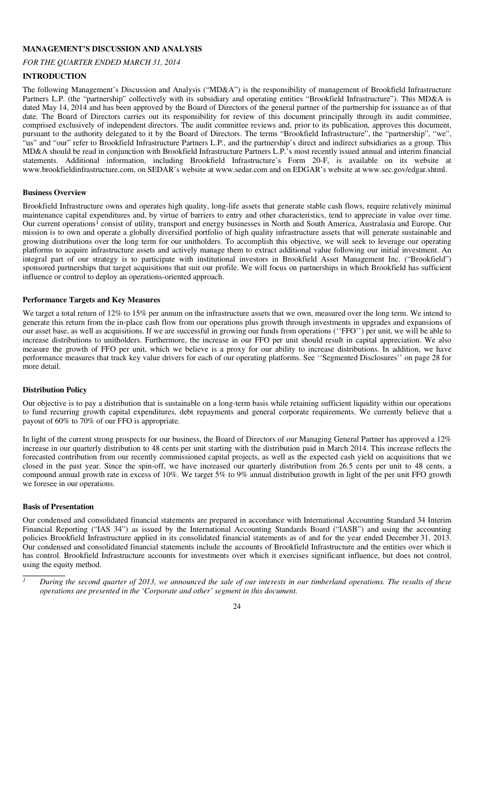## **MANAGEMENT'S DISCUSSION AND ANALYSIS**

# *FOR THE QUARTER ENDED MARCH 31, 2014*

## **INTRODUCTION**

The following Management's Discussion and Analysis ("MD&A") is the responsibility of management of Brookfield Infrastructure Partners L.P. (the "partnership" collectively with its subsidiary and operating entities "Brookfield Infrastructure"). This MD&A is dated May 14, 2014 and has been approved by the Board of Directors of the general partner of the partnership for issuance as of that date. The Board of Directors carries out its responsibility for review of this document principally through its audit committee, comprised exclusively of independent directors. The audit committee reviews and, prior to its publication, approves this document, pursuant to the authority delegated to it by the Board of Directors. The terms "Brookfield Infrastructure", the "partnership", "we", "us" and "our" refer to Brookfield Infrastructure Partners L.P., and the partnership's direct and indirect subsidiaries as a group. This MD&A should be read in conjunction with Brookfield Infrastructure Partners L.P.'s most recently issued annual and interim financial statements. Additional information, including Brookfield Infrastructure's Form 20-F, is available on its website at www.brookfieldinfrastructure.com, on SEDAR's website at www.sedar.com and on EDGAR's website at www.sec.gov/edgar.shtml.

#### **Business Overview**

Brookfield Infrastructure owns and operates high quality, long-life assets that generate stable cash flows, require relatively minimal maintenance capital expenditures and, by virtue of barriers to entry and other characteristics, tend to appreciate in value over time. Our current operations<sup>1</sup> consist of utility, transport and energy businesses in North and South America, Australasia and Europe. Our mission is to own and operate a globally diversified portfolio of high quality infrastructure assets that will generate sustainable and growing distributions over the long term for our unitholders. To accomplish this objective, we will seek to leverage our operating platforms to acquire infrastructure assets and actively manage them to extract additional value following our initial investment. An integral part of our strategy is to participate with institutional investors in Brookfield Asset Management Inc. ("Brookfield") sponsored partnerships that target acquisitions that suit our profile. We will focus on partnerships in which Brookfield has sufficient influence or control to deploy an operations-oriented approach.

#### **Performance Targets and Key Measures**

We target a total return of 12% to 15% per annum on the infrastructure assets that we own, measured over the long term. We intend to generate this return from the in-place cash flow from our operations plus growth through investments in upgrades and expansions of our asset base, as well as acquisitions. If we are successful in growing our funds from operations (''FFO'') per unit, we will be able to increase distributions to unitholders. Furthermore, the increase in our FFO per unit should result in capital appreciation. We also measure the growth of FFO per unit, which we believe is a proxy for our ability to increase distributions. In addition, we have performance measures that track key value drivers for each of our operating platforms. See ''Segmented Disclosures'' on page 28 for more detail.

#### **Distribution Policy**

Our objective is to pay a distribution that is sustainable on a long-term basis while retaining sufficient liquidity within our operations to fund recurring growth capital expenditures, debt repayments and general corporate requirements. We currently believe that a payout of 60% to 70% of our FFO is appropriate.

In light of the current strong prospects for our business, the Board of Directors of our Managing General Partner has approved a 12% increase in our quarterly distribution to 48 cents per unit starting with the distribution paid in March 2014. This increase reflects the forecasted contribution from our recently commissioned capital projects, as well as the expected cash yield on acquisitions that we closed in the past year. Since the spin-off, we have increased our quarterly distribution from 26.5 cents per unit to 48 cents, a compound annual growth rate in excess of 10%. We target 5% to 9% annual distribution growth in light of the per unit FFO growth we foresee in our operations.

#### **Basis of Presentation**

Our condensed and consolidated financial statements are prepared in accordance with International Accounting Standard 34 Interim Financial Reporting ("IAS 34") as issued by the International Accounting Standards Board ("IASB") and using the accounting policies Brookfield Infrastructure applied in its consolidated financial statements as of and for the year ended December 31, 2013. Our condensed and consolidated financial statements include the accounts of Brookfield Infrastructure and the entities over which it has control. Brookfield Infrastructure accounts for investments over which it exercises significant influence, but does not control, using the equity method.

*<sup>1</sup> During the second quarter of 2013, we announced the sale of our interests in our timberland operations. The results of these operations are presented in the 'Corporate and other' segment in this document.* 

<sup>24</sup>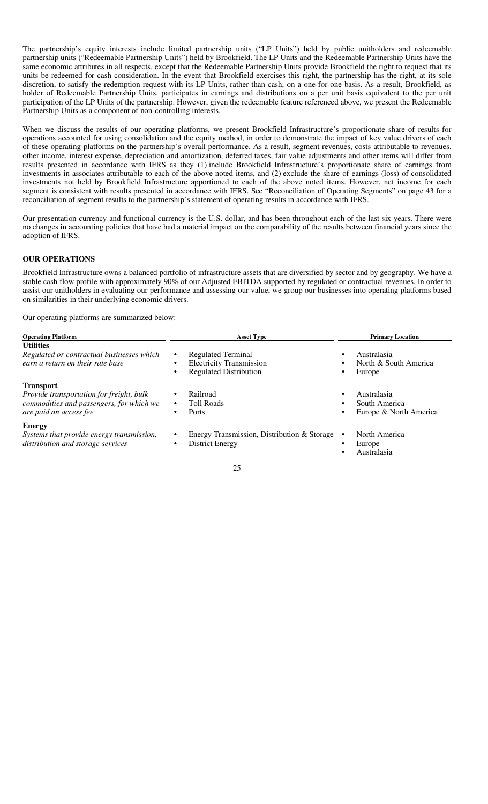The partnership's equity interests include limited partnership units ("LP Units") held by public unitholders and redeemable partnership units ("Redeemable Partnership Units") held by Brookfield. The LP Units and the Redeemable Partnership Units have the same economic attributes in all respects, except that the Redeemable Partnership Units provide Brookfield the right to request that its units be redeemed for cash consideration. In the event that Brookfield exercises this right, the partnership has the right, at its sole discretion, to satisfy the redemption request with its LP Units, rather than cash, on a one-for-one basis. As a result, Brookfield, as holder of Redeemable Partnership Units, participates in earnings and distributions on a per unit basis equivalent to the per unit participation of the LP Units of the partnership. However, given the redeemable feature referenced above, we present the Redeemable Partnership Units as a component of non-controlling interests.

When we discuss the results of our operating platforms, we present Brookfield Infrastructure's proportionate share of results for operations accounted for using consolidation and the equity method, in order to demonstrate the impact of key value drivers of each of these operating platforms on the partnership's overall performance. As a result, segment revenues, costs attributable to revenues, other income, interest expense, depreciation and amortization, deferred taxes, fair value adjustments and other items will differ from results presented in accordance with IFRS as they (1) include Brookfield Infrastructure's proportionate share of earnings from investments in associates attributable to each of the above noted items, and (2) exclude the share of earnings (loss) of consolidated investments not held by Brookfield Infrastructure apportioned to each of the above noted items. However, net income for each segment is consistent with results presented in accordance with IFRS. See "Reconciliation of Operating Segments" on page 43 for a reconciliation of segment results to the partnership's statement of operating results in accordance with IFRS.

Our presentation currency and functional currency is the U.S. dollar, and has been throughout each of the last six years. There were no changes in accounting policies that have had a material impact on the comparability of the results between financial years since the adoption of IFRS.

# **OUR OPERATIONS**

Brookfield Infrastructure owns a balanced portfolio of infrastructure assets that are diversified by sector and by geography. We have a stable cash flow profile with approximately 90% of our Adjusted EBITDA supported by regulated or contractual revenues. In order to assist our unitholders in evaluating our performance and assessing our value, we group our businesses into operating platforms based on similarities in their underlying economic drivers.

Our operating platforms are summarized below:

| <b>Operating Platform</b>                                                                                                          | <b>Asset Type</b>                                                                                          | <b>Primary Location</b>                                |  |  |  |  |
|------------------------------------------------------------------------------------------------------------------------------------|------------------------------------------------------------------------------------------------------------|--------------------------------------------------------|--|--|--|--|
| <b>Utilities</b><br>Regulated or contractual businesses which<br>earn a return on their rate base                                  | <b>Regulated Terminal</b><br>$\bullet$<br><b>Electricity Transmission</b><br><b>Regulated Distribution</b> | Australasia<br>North & South America<br>Europe         |  |  |  |  |
| <b>Transport</b><br>Provide transportation for freight, bulk<br>commodities and passengers, for which we<br>are paid an access fee | Railroad<br>٠<br><b>Toll Roads</b><br>٠<br>Ports<br>٠                                                      | Australasia<br>South America<br>Europe & North America |  |  |  |  |
| <b>Energy</b><br>Systems that provide energy transmission,<br>distribution and storage services                                    | Energy Transmission, Distribution & Storage<br><b>District Energy</b><br>٠                                 | North America<br>Europe<br>Australasia                 |  |  |  |  |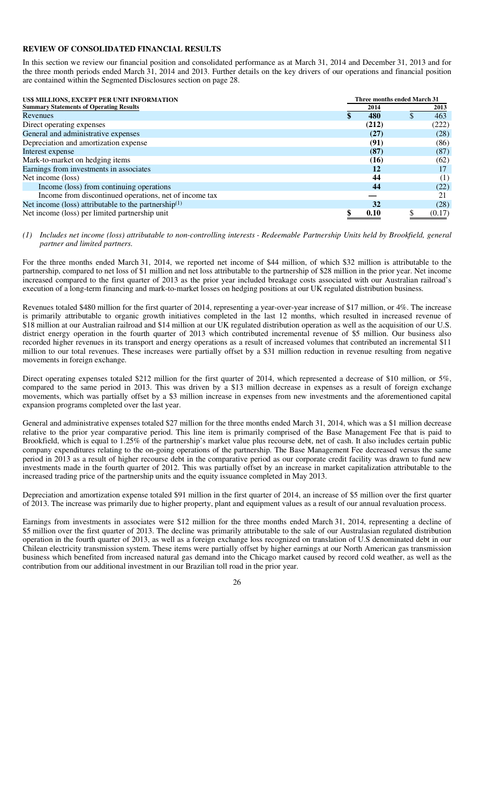#### **REVIEW OF CONSOLIDATED FINANCIAL RESULTS**

In this section we review our financial position and consolidated performance as at March 31, 2014 and December 31, 2013 and for the three month periods ended March 31, 2014 and 2013. Further details on the key drivers of our operations and financial position are contained within the Segmented Disclosures section on page 28.

| US\$ MILLIONS, EXCEPT PER UNIT INFORMATION              |       | Three months ended March 31 |  |  |
|---------------------------------------------------------|-------|-----------------------------|--|--|
| <b>Summary Statements of Operating Results</b>          | 2014  | 2013                        |  |  |
| Revenues                                                | 480   | 463                         |  |  |
| Direct operating expenses                               | (212) | (222)                       |  |  |
| General and administrative expenses                     | (27)  | (28)                        |  |  |
| Depreciation and amortization expense                   | (91)  | (86)                        |  |  |
| Interest expense                                        | (87)  | (87)                        |  |  |
| Mark-to-market on hedging items                         | (16)  | (62)                        |  |  |
| Earnings from investments in associates                 | 12    | 17                          |  |  |
| Net income (loss)                                       | 44    | (1)                         |  |  |
| Income (loss) from continuing operations                | 44    | (22)                        |  |  |
| Income from discontinued operations, net of income tax  |       |                             |  |  |
| Net income (loss) attributable to the partnership $(1)$ | 32    | (28)                        |  |  |
| Net income (loss) per limited partnership unit          | 0.10  | (0.17)                      |  |  |

#### *(1) Includes net income (loss) attributable to non-controlling interests - Redeemable Partnership Units held by Brookfield, general partner and limited partners.*

For the three months ended March 31, 2014, we reported net income of \$44 million, of which \$32 million is attributable to the partnership, compared to net loss of \$1 million and net loss attributable to the partnership of \$28 million in the prior year. Net income increased compared to the first quarter of 2013 as the prior year included breakage costs associated with our Australian railroad's execution of a long-term financing and mark-to-market losses on hedging positions at our UK regulated distribution business.

Revenues totaled \$480 million for the first quarter of 2014, representing a year-over-year increase of \$17 million, or 4%. The increase is primarily attributable to organic growth initiatives completed in the last 12 months, which resulted in increased revenue of \$18 million at our Australian railroad and \$14 million at our UK regulated distribution operation as well as the acquisition of our U.S. district energy operation in the fourth quarter of 2013 which contributed incremental revenue of \$5 million. Our business also recorded higher revenues in its transport and energy operations as a result of increased volumes that contributed an incremental \$11 million to our total revenues. These increases were partially offset by a \$31 million reduction in revenue resulting from negative movements in foreign exchange.

Direct operating expenses totaled \$212 million for the first quarter of 2014, which represented a decrease of \$10 million, or 5%, compared to the same period in 2013. This was driven by a \$13 million decrease in expenses as a result of foreign exchange movements, which was partially offset by a \$3 million increase in expenses from new investments and the aforementioned capital expansion programs completed over the last year.

General and administrative expenses totaled \$27 million for the three months ended March 31, 2014, which was a \$1 million decrease relative to the prior year comparative period. This line item is primarily comprised of the Base Management Fee that is paid to Brookfield, which is equal to 1.25% of the partnership's market value plus recourse debt, net of cash. It also includes certain public company expenditures relating to the on-going operations of the partnership. The Base Management Fee decreased versus the same period in 2013 as a result of higher recourse debt in the comparative period as our corporate credit facility was drawn to fund new investments made in the fourth quarter of 2012. This was partially offset by an increase in market capitalization attributable to the increased trading price of the partnership units and the equity issuance completed in May 2013.

Depreciation and amortization expense totaled \$91 million in the first quarter of 2014, an increase of \$5 million over the first quarter of 2013. The increase was primarily due to higher property, plant and equipment values as a result of our annual revaluation process.

Earnings from investments in associates were \$12 million for the three months ended March 31, 2014, representing a decline of \$5 million over the first quarter of 2013. The decline was primarily attributable to the sale of our Australasian regulated distribution operation in the fourth quarter of 2013, as well as a foreign exchange loss recognized on translation of U.S denominated debt in our Chilean electricity transmission system. These items were partially offset by higher earnings at our North American gas transmission business which benefited from increased natural gas demand into the Chicago market caused by record cold weather, as well as the contribution from our additional investment in our Brazilian toll road in the prior year.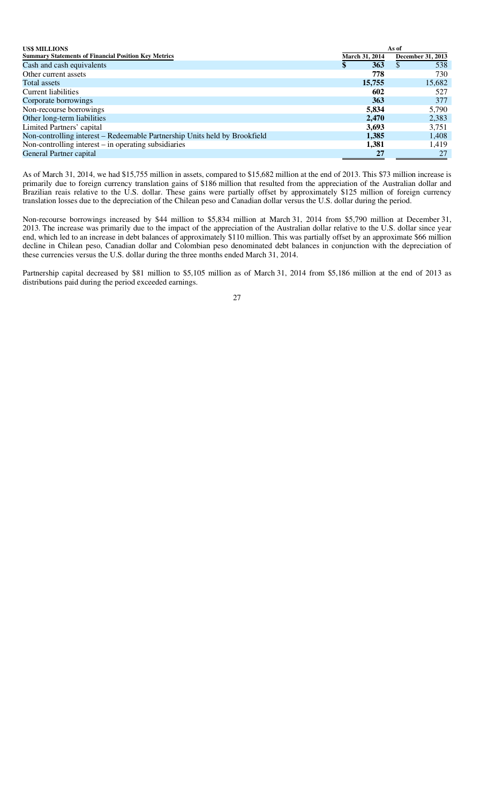| <b>US\$ MILLIONS</b>                                                       | As of |                |                   |  |
|----------------------------------------------------------------------------|-------|----------------|-------------------|--|
| <b>Summary Statements of Financial Position Key Metrics</b>                |       | March 31, 2014 | December 31, 2013 |  |
| Cash and cash equivalents                                                  | \$    | <b>363</b>     | 538<br><b>S</b>   |  |
| Other current assets                                                       |       | 778            | 730               |  |
| Total assets                                                               |       | 15,755         | 15,682            |  |
| Current liabilities                                                        |       | 602            | 527               |  |
| Corporate borrowings                                                       |       | 363            | 377               |  |
| Non-recourse borrowings                                                    |       | 5,834          | 5,790             |  |
| Other long-term liabilities                                                |       | 2,470          | 2,383             |  |
| Limited Partners' capital                                                  |       | 3,693          | 3,751             |  |
| Non-controlling interest – Redeemable Partnership Units held by Brookfield |       | 1,385          | 1,408             |  |
| Non-controlling interest $-$ in operating subsidiaries                     |       | 1,381          | 1,419             |  |
| General Partner capital                                                    |       | 27             | 27                |  |

As of March 31, 2014, we had \$15,755 million in assets, compared to \$15,682 million at the end of 2013. This \$73 million increase is primarily due to foreign currency translation gains of \$186 million that resulted from the appreciation of the Australian dollar and Brazilian reais relative to the U.S. dollar. These gains were partially offset by approximately \$125 million of foreign currency translation losses due to the depreciation of the Chilean peso and Canadian dollar versus the U.S. dollar during the period.

Non-recourse borrowings increased by \$44 million to \$5,834 million at March 31, 2014 from \$5,790 million at December 31, 2013. The increase was primarily due to the impact of the appreciation of the Australian dollar relative to the U.S. dollar since year end, which led to an increase in debt balances of approximately \$110 million. This was partially offset by an approximate \$66 million decline in Chilean peso, Canadian dollar and Colombian peso denominated debt balances in conjunction with the depreciation of these currencies versus the U.S. dollar during the three months ended March 31, 2014.

Partnership capital decreased by \$81 million to \$5,105 million as of March 31, 2014 from \$5,186 million at the end of 2013 as distributions paid during the period exceeded earnings.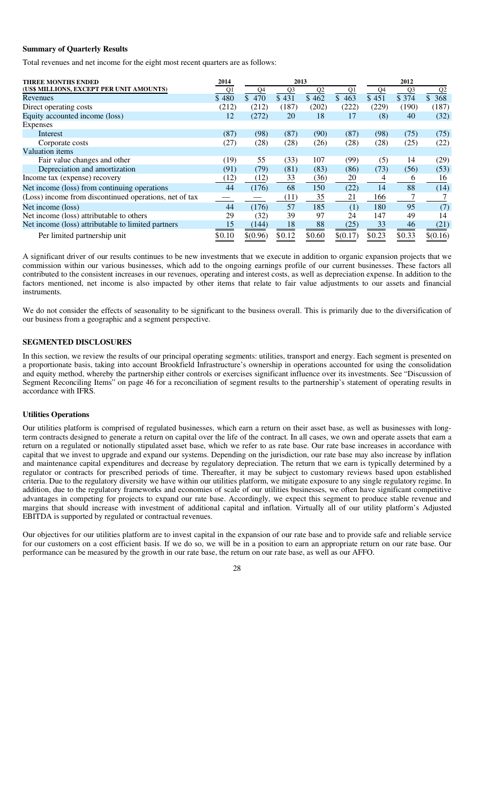## **Summary of Quarterly Results**

Total revenues and net income for the eight most recent quarters are as follows:

| <b>THREE MONTHS ENDED</b>                              | 2014   |          | 2013           |                |          |        | 2012           |                |
|--------------------------------------------------------|--------|----------|----------------|----------------|----------|--------|----------------|----------------|
| (US\$ MILLIONS, EXCEPT PER UNIT AMOUNTS)               | Q1     | Q4       | Q <sub>3</sub> | Q <sub>2</sub> | Q1       | Q4     | Q <sub>3</sub> | Q <sub>2</sub> |
| Revenues                                               | \$480  | \$470    | \$431          | \$462          | \$463    | \$451  | \$374          | \$368          |
| Direct operating costs                                 | (212)  | (212)    | (187)          | (202)          | (222)    | (229)  | (190)          | (187)          |
| Equity accounted income (loss)                         | 12     | (272)    | 20             | 18             | 17       | (8)    | 40             | (32)           |
| Expenses                                               |        |          |                |                |          |        |                |                |
| Interest                                               | (87)   | (98)     | (87)           | (90)           | (87)     | (98)   | (75)           | (75)           |
| Corporate costs                                        | (27)   | (28)     | (28)           | (26)           | (28)     | (28)   | (25)           | (22)           |
| Valuation items                                        |        |          |                |                |          |        |                |                |
| Fair value changes and other                           | (19)   | 55       | (33)           | 107            | (99)     | (5)    | 14             | (29)           |
| Depreciation and amortization                          | (91)   | (79)     | (81)           | (83)           | (86)     | (73)   | (56)           | (53)           |
| Income tax (expense) recovery                          | (12)   | (12)     | 33             | (36)           | 20       | 4      | 6              | 16             |
| Net income (loss) from continuing operations           | 44     | (176)    | 68             | 150            | (22)     | 14     | 88             | (14)           |
| (Loss) income from discontinued operations, net of tax |        |          | (11)           | 35             | 21       | 166    |                |                |
| Net income (loss)                                      | 44     | (176)    | 57             | 185            | (1)      | 180    | 95             | (7)            |
| Net income (loss) attributable to others               | 29     | (32)     | 39             | 97             | 24       | 147    | 49             | 14             |
| Net income (loss) attributable to limited partners     | 15     | (144)    | 18             | 88             | (25)     | 33     | 46             | (21)           |
| Per limited partnership unit                           | \$0.10 | \$(0.96) | \$0.12         | \$0.60         | \$(0.17) | \$0.23 | \$0.33         | \$(0.16)       |

A significant driver of our results continues to be new investments that we execute in addition to organic expansion projects that we commission within our various businesses, which add to the ongoing earnings profile of our current businesses. These factors all contributed to the consistent increases in our revenues, operating and interest costs, as well as depreciation expense. In addition to the factors mentioned, net income is also impacted by other items that relate to fair value adjustments to our assets and financial instruments.

We do not consider the effects of seasonality to be significant to the business overall. This is primarily due to the diversification of our business from a geographic and a segment perspective.

#### **SEGMENTED DISCLOSURES**

In this section, we review the results of our principal operating segments: utilities, transport and energy. Each segment is presented on a proportionate basis, taking into account Brookfield Infrastructure's ownership in operations accounted for using the consolidation and equity method, whereby the partnership either controls or exercises significant influence over its investments. See "Discussion of Segment Reconciling Items" on page 46 for a reconciliation of segment results to the partnership's statement of operating results in accordance with IFRS.

#### **Utilities Operations**

Our utilities platform is comprised of regulated businesses, which earn a return on their asset base, as well as businesses with longterm contracts designed to generate a return on capital over the life of the contract. In all cases, we own and operate assets that earn a return on a regulated or notionally stipulated asset base, which we refer to as rate base. Our rate base increases in accordance with capital that we invest to upgrade and expand our systems. Depending on the jurisdiction, our rate base may also increase by inflation and maintenance capital expenditures and decrease by regulatory depreciation. The return that we earn is typically determined by a regulator or contracts for prescribed periods of time. Thereafter, it may be subject to customary reviews based upon established criteria. Due to the regulatory diversity we have within our utilities platform, we mitigate exposure to any single regulatory regime. In addition, due to the regulatory frameworks and economies of scale of our utilities businesses, we often have significant competitive advantages in competing for projects to expand our rate base. Accordingly, we expect this segment to produce stable revenue and margins that should increase with investment of additional capital and inflation. Virtually all of our utility platform's Adjusted EBITDA is supported by regulated or contractual revenues.

Our objectives for our utilities platform are to invest capital in the expansion of our rate base and to provide safe and reliable service for our customers on a cost efficient basis. If we do so, we will be in a position to earn an appropriate return on our rate base. Our performance can be measured by the growth in our rate base, the return on our rate base, as well as our AFFO.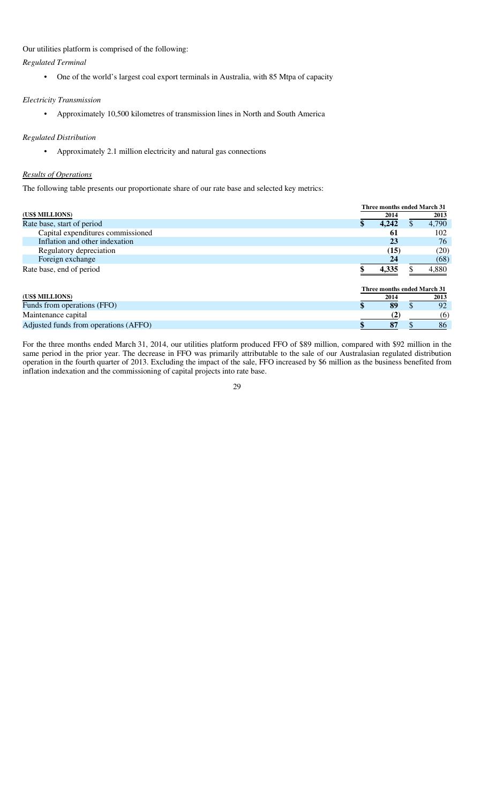Our utilities platform is comprised of the following:

*Regulated Terminal* 

• One of the world's largest coal export terminals in Australia, with 85 Mtpa of capacity

*Electricity Transmission* 

• Approximately 10,500 kilometres of transmission lines in North and South America

## *Regulated Distribution*

• Approximately 2.1 million electricity and natural gas connections

## *Results of Operations*

The following table presents our proportionate share of our rate base and selected key metrics:

|                                       |                             | Three months ended March 31 |       |
|---------------------------------------|-----------------------------|-----------------------------|-------|
| (US\$ MILLIONS)                       | 2014                        |                             | 2013  |
| Rate base, start of period            | 4,242                       | S.                          | 4,790 |
| Capital expenditures commissioned     | 61                          |                             | 102   |
| Inflation and other indexation        | 23                          |                             | 76    |
| Regulatory depreciation               | (15)                        |                             | (20)  |
| Foreign exchange                      | 24                          |                             | (68)  |
| Rate base, end of period              | 4,335                       |                             | 4,880 |
|                                       | Three months ended March 31 |                             |       |
| (US\$ MILLIONS)                       | 2014                        |                             | 2013  |
| Funds from operations (FFO)           | 89                          |                             | 92    |
| Maintenance capital                   | (2)                         |                             | (6)   |
| Adjusted funds from operations (AFFO) | 87                          |                             | 86    |

For the three months ended March 31, 2014, our utilities platform produced FFO of \$89 million, compared with \$92 million in the same period in the prior year. The decrease in FFO was primarily attributable to the sale of our Australasian regulated distribution operation in the fourth quarter of 2013. Excluding the impact of the sale, FFO increased by \$6 million as the business benefited from inflation indexation and the commissioning of capital projects into rate base.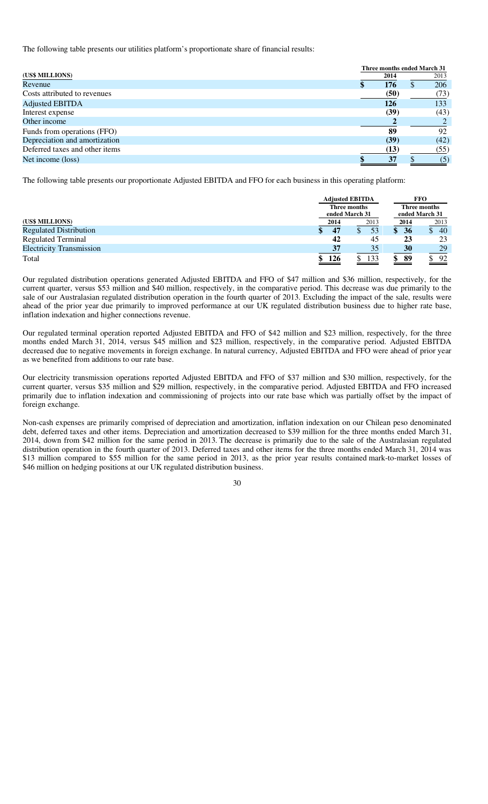The following table presents our utilities platform's proportionate share of financial results:

|                                |      | Three months ended March 31 |      |
|--------------------------------|------|-----------------------------|------|
| (US\$ MILLIONS)                | 2014 |                             | 2013 |
| Revenue                        | 176  | ιD                          | 206  |
| Costs attributed to revenues   | (50) |                             | (73) |
| <b>Adjusted EBITDA</b>         | 126  |                             | 133  |
| Interest expense               | (39) |                             | (43) |
| Other income                   |      |                             |      |
| Funds from operations (FFO)    | 89   |                             | 92   |
| Depreciation and amortization  | (39) |                             | (42) |
| Deferred taxes and other items | (13) |                             | (55) |
| Net income (loss)              | 37   |                             | (5)  |

The following table presents our proportionate Adjusted EBITDA and FFO for each business in this operating platform:

|                                 |                | <b>Adjusted EBITDA</b> |              |      |                | <b>FFO</b> |              |  |
|---------------------------------|----------------|------------------------|--------------|------|----------------|------------|--------------|--|
|                                 |                |                        | Three months |      |                |            | Three months |  |
|                                 | ended March 31 |                        |              |      | ended March 31 |            |              |  |
| (US\$ MILLIONS)                 |                | 2014                   |              | 2013 |                | 2014       | 2013         |  |
| <b>Regulated Distribution</b>   |                | 47                     |              | 53   |                | 36         | 40           |  |
| <b>Regulated Terminal</b>       |                | 42                     |              | 45   |                | 23         | 23           |  |
| <b>Electricity Transmission</b> |                | 37                     |              | 35   |                | 30         | 29           |  |
| Total                           |                | 126                    |              | 133  | \$             | 89         | 92           |  |

Our regulated distribution operations generated Adjusted EBITDA and FFO of \$47 million and \$36 million, respectively, for the current quarter, versus \$53 million and \$40 million, respectively, in the comparative period. This decrease was due primarily to the sale of our Australasian regulated distribution operation in the fourth quarter of 2013. Excluding the impact of the sale, results were ahead of the prior year due primarily to improved performance at our UK regulated distribution business due to higher rate base, inflation indexation and higher connections revenue.

Our regulated terminal operation reported Adjusted EBITDA and FFO of \$42 million and \$23 million, respectively, for the three months ended March 31, 2014, versus \$45 million and \$23 million, respectively, in the comparative period. Adjusted EBITDA decreased due to negative movements in foreign exchange. In natural currency, Adjusted EBITDA and FFO were ahead of prior year as we benefited from additions to our rate base.

Our electricity transmission operations reported Adjusted EBITDA and FFO of \$37 million and \$30 million, respectively, for the current quarter, versus \$35 million and \$29 million, respectively, in the comparative period. Adjusted EBITDA and FFO increased primarily due to inflation indexation and commissioning of projects into our rate base which was partially offset by the impact of foreign exchange.

Non-cash expenses are primarily comprised of depreciation and amortization, inflation indexation on our Chilean peso denominated debt, deferred taxes and other items. Depreciation and amortization decreased to \$39 million for the three months ended March 31, 2014, down from \$42 million for the same period in 2013. The decrease is primarily due to the sale of the Australasian regulated distribution operation in the fourth quarter of 2013. Deferred taxes and other items for the three months ended March 31, 2014 was \$13 million compared to \$55 million for the same period in 2013, as the prior year results contained mark-to-market losses of \$46 million on hedging positions at our UK regulated distribution business.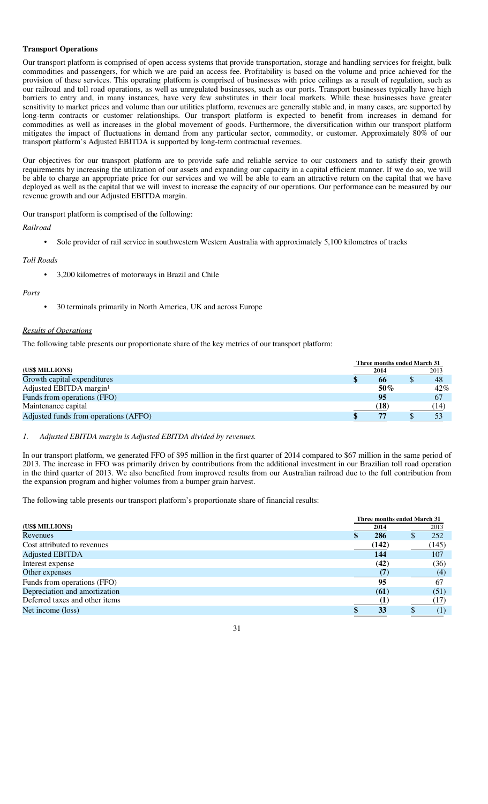### **Transport Operations**

Our transport platform is comprised of open access systems that provide transportation, storage and handling services for freight, bulk commodities and passengers, for which we are paid an access fee. Profitability is based on the volume and price achieved for the provision of these services. This operating platform is comprised of businesses with price ceilings as a result of regulation, such as our railroad and toll road operations, as well as unregulated businesses, such as our ports. Transport businesses typically have high barriers to entry and, in many instances, have very few substitutes in their local markets. While these businesses have greater sensitivity to market prices and volume than our utilities platform, revenues are generally stable and, in many cases, are supported by long-term contracts or customer relationships. Our transport platform is expected to benefit from increases in demand for commodities as well as increases in the global movement of goods. Furthermore, the diversification within our transport platform mitigates the impact of fluctuations in demand from any particular sector, commodity, or customer. Approximately 80% of our transport platform's Adjusted EBITDA is supported by long-term contractual revenues.

Our objectives for our transport platform are to provide safe and reliable service to our customers and to satisfy their growth requirements by increasing the utilization of our assets and expanding our capacity in a capital efficient manner. If we do so, we will be able to charge an appropriate price for our services and we will be able to earn an attractive return on the capital that we have deployed as well as the capital that we will invest to increase the capacity of our operations. Our performance can be measured by our revenue growth and our Adjusted EBITDA margin.

Our transport platform is comprised of the following:

*Railroad* 

• Sole provider of rail service in southwestern Western Australia with approximately 5,100 kilometres of tracks

## *Toll Roads*

• 3,200 kilometres of motorways in Brazil and Chile

#### *Ports*

• 30 terminals primarily in North America, UK and across Europe

## *Results of Operations*

The following table presents our proportionate share of the key metrics of our transport platform:

|                                       | Three months ended March 31 |        |
|---------------------------------------|-----------------------------|--------|
| (US\$ MILLIONS)                       | 2014                        | 2013   |
| Growth capital expenditures           | -66                         | -48    |
| Adjusted EBITDA margin <sup>1</sup>   | $50\%$                      | $42\%$ |
| Funds from operations (FFO)           | -95                         | 67     |
| Maintenance capital                   | (18)                        | (14)   |
| Adjusted funds from operations (AFFO) | 77                          |        |

## *1. Adjusted EBITDA margin is Adjusted EBITDA divided by revenues.*

In our transport platform, we generated FFO of \$95 million in the first quarter of 2014 compared to \$67 million in the same period of 2013. The increase in FFO was primarily driven by contributions from the additional investment in our Brazilian toll road operation in the third quarter of 2013. We also benefited from improved results from our Australian railroad due to the full contribution from the expansion program and higher volumes from a bumper grain harvest.

The following table presents our transport platform's proportionate share of financial results:

|                                | Three months ended March 31 |       |  |       |  |  |  |  |
|--------------------------------|-----------------------------|-------|--|-------|--|--|--|--|
| (US\$ MILLIONS)                |                             | 2014  |  | 2013  |  |  |  |  |
| Revenues                       |                             | 286   |  | 252   |  |  |  |  |
| Cost attributed to revenues    |                             | (142) |  | (145) |  |  |  |  |
| <b>Adjusted EBITDA</b>         |                             | 144   |  | 107   |  |  |  |  |
| Interest expense               |                             | (42)  |  | (36)  |  |  |  |  |
| Other expenses                 |                             |       |  | (4)   |  |  |  |  |
| Funds from operations (FFO)    |                             | 95    |  | 67    |  |  |  |  |
| Depreciation and amortization  |                             | (61)  |  | (51)  |  |  |  |  |
| Deferred taxes and other items |                             |       |  | (17)  |  |  |  |  |
| Net income (loss)              |                             | 33    |  |       |  |  |  |  |

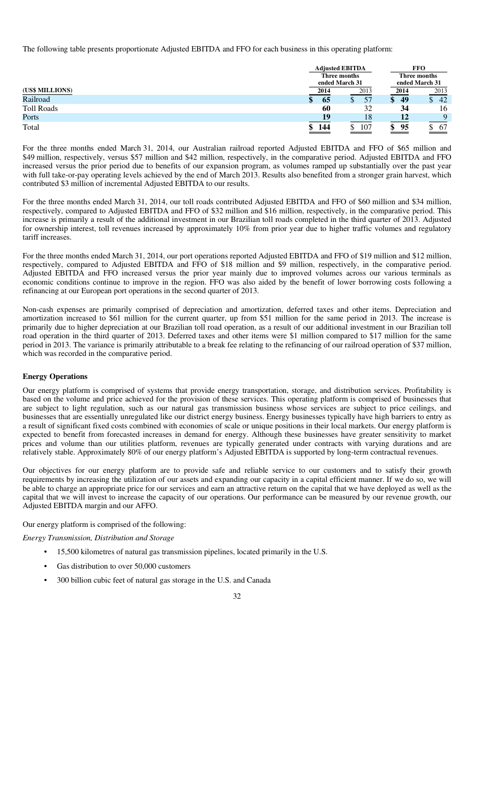The following table presents proportionate Adjusted EBITDA and FFO for each business in this operating platform:

|                   |   | <b>Adjusted EBITDA</b> |      | <b>FFO</b>                                                                                                                                                                                                                                                                                                                                                                                                                                                                                                 |              |  |
|-------------------|---|------------------------|------|------------------------------------------------------------------------------------------------------------------------------------------------------------------------------------------------------------------------------------------------------------------------------------------------------------------------------------------------------------------------------------------------------------------------------------------------------------------------------------------------------------|--------------|--|
| Three months      |   |                        |      |                                                                                                                                                                                                                                                                                                                                                                                                                                                                                                            | Three months |  |
|                   |   | ended March 31         |      | ended March 31                                                                                                                                                                                                                                                                                                                                                                                                                                                                                             |              |  |
| (US\$ MILLIONS)   |   | 2014                   | 2013 | 2014                                                                                                                                                                                                                                                                                                                                                                                                                                                                                                       | 2013         |  |
| Railroad          | Φ | 65                     | 57   | 49                                                                                                                                                                                                                                                                                                                                                                                                                                                                                                         | 42<br>J)     |  |
| <b>Toll Roads</b> |   | 60                     | 32   | 34                                                                                                                                                                                                                                                                                                                                                                                                                                                                                                         | 16           |  |
| Ports             |   | 19                     | 18   |                                                                                                                                                                                                                                                                                                                                                                                                                                                                                                            | $\mathbf Q$  |  |
| Total             |   | $\frac{144}{1}$        | 107  | 95<br>æ<br>$\begin{tabular}{l} \multicolumn{1}{c} {\textbf{1}} & \multicolumn{1}{c} {\textbf{1}} & \multicolumn{1}{c} {\textbf{1}} \\ \multicolumn{1}{c} {\textbf{1}} & \multicolumn{1}{c} {\textbf{1}} & \multicolumn{1}{c} {\textbf{1}} \\ \multicolumn{1}{c} {\textbf{1}} & \multicolumn{1}{c} {\textbf{1}} & \multicolumn{1}{c} {\textbf{1}} \\ \multicolumn{1}{c} {\textbf{1}} & \multicolumn{1}{c} {\textbf{1}} & \multicolumn{1}{c} {\textbf{1}} \\ \multicolumn{1}{c} {\textbf{1}} & \multicolumn$ | 67           |  |

For the three months ended March 31, 2014, our Australian railroad reported Adjusted EBITDA and FFO of \$65 million and \$49 million, respectively, versus \$57 million and \$42 million, respectively, in the comparative period. Adjusted EBITDA and FFO increased versus the prior period due to benefits of our expansion program, as volumes ramped up substantially over the past year with full take-or-pay operating levels achieved by the end of March 2013. Results also benefited from a stronger grain harvest, which contributed \$3 million of incremental Adjusted EBITDA to our results.

For the three months ended March 31, 2014, our toll roads contributed Adjusted EBITDA and FFO of \$60 million and \$34 million, respectively, compared to Adjusted EBITDA and FFO of \$32 million and \$16 million, respectively, in the comparative period. This increase is primarily a result of the additional investment in our Brazilian toll roads completed in the third quarter of 2013. Adjusted for ownership interest, toll revenues increased by approximately 10% from prior year due to higher traffic volumes and regulatory tariff increases.

For the three months ended March 31, 2014, our port operations reported Adjusted EBITDA and FFO of \$19 million and \$12 million, respectively, compared to Adjusted EBITDA and FFO of \$18 million and \$9 million, respectively, in the comparative period. Adjusted EBITDA and FFO increased versus the prior year mainly due to improved volumes across our various terminals as economic conditions continue to improve in the region. FFO was also aided by the benefit of lower borrowing costs following a refinancing at our European port operations in the second quarter of 2013.

Non-cash expenses are primarily comprised of depreciation and amortization, deferred taxes and other items. Depreciation and amortization increased to \$61 million for the current quarter, up from \$51 million for the same period in 2013. The increase is primarily due to higher depreciation at our Brazilian toll road operation, as a result of our additional investment in our Brazilian toll road operation in the third quarter of 2013. Deferred taxes and other items were \$1 million compared to \$17 million for the same period in 2013. The variance is primarily attributable to a break fee relating to the refinancing of our railroad operation of \$37 million, which was recorded in the comparative period.

## **Energy Operations**

Our energy platform is comprised of systems that provide energy transportation, storage, and distribution services. Profitability is based on the volume and price achieved for the provision of these services. This operating platform is comprised of businesses that are subject to light regulation, such as our natural gas transmission business whose services are subject to price ceilings, and businesses that are essentially unregulated like our district energy business. Energy businesses typically have high barriers to entry as a result of significant fixed costs combined with economies of scale or unique positions in their local markets. Our energy platform is expected to benefit from forecasted increases in demand for energy. Although these businesses have greater sensitivity to market prices and volume than our utilities platform, revenues are typically generated under contracts with varying durations and are relatively stable. Approximately 80% of our energy platform's Adjusted EBITDA is supported by long-term contractual revenues.

Our objectives for our energy platform are to provide safe and reliable service to our customers and to satisfy their growth requirements by increasing the utilization of our assets and expanding our capacity in a capital efficient manner. If we do so, we will be able to charge an appropriate price for our services and earn an attractive return on the capital that we have deployed as well as the capital that we will invest to increase the capacity of our operations. Our performance can be measured by our revenue growth, our Adjusted EBITDA margin and our AFFO.

Our energy platform is comprised of the following:

*Energy Transmission, Distribution and Storage* 

- 15,500 kilometres of natural gas transmission pipelines, located primarily in the U.S.
- Gas distribution to over 50,000 customers
- 300 billion cubic feet of natural gas storage in the U.S. and Canada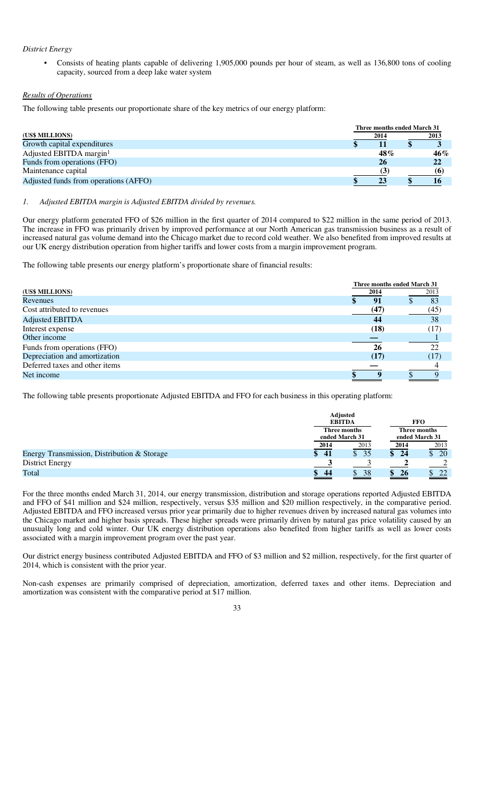### *District Energy*

• Consists of heating plants capable of delivering 1,905,000 pounds per hour of steam, as well as 136,800 tons of cooling capacity, sourced from a deep lake water system

### *Results of Operations*

The following table presents our proportionate share of the key metrics of our energy platform:

|                                       | Three months ended March 31 |        |
|---------------------------------------|-----------------------------|--------|
| (US\$ MILLIONS)                       | 2014                        | 2013   |
| Growth capital expenditures           |                             |        |
| Adjusted EBITDA margin <sup>1</sup>   | 48%                         | $46\%$ |
| Funds from operations (FFO)           | 26                          | 22     |
| Maintenance capital                   |                             | 661    |
| Adjusted funds from operations (AFFO) |                             |        |

#### *1. Adjusted EBITDA margin is Adjusted EBITDA divided by revenues.*

Our energy platform generated FFO of \$26 million in the first quarter of 2014 compared to \$22 million in the same period of 2013. The increase in FFO was primarily driven by improved performance at our North American gas transmission business as a result of increased natural gas volume demand into the Chicago market due to record cold weather. We also benefited from improved results at our UK energy distribution operation from higher tariffs and lower costs from a margin improvement program.

The following table presents our energy platform's proportionate share of financial results:

|                                | Three months ended March 31 |      |
|--------------------------------|-----------------------------|------|
| (US\$ MILLIONS)                | 2014                        | 2013 |
| Revenues                       | 91                          | 83   |
| Cost attributed to revenues    | (47)                        | (45) |
| <b>Adjusted EBITDA</b>         | 44                          | 38   |
| Interest expense               | (18)                        | (17) |
| Other income                   |                             |      |
| Funds from operations (FFO)    | 26                          | 22   |
| Depreciation and amortization  | (17)                        | (17) |
| Deferred taxes and other items |                             |      |
| Net income                     |                             |      |

The following table presents proportionate Adjusted EBITDA and FFO for each business in this operating platform:

|                                             |                    | <b>Adjusted</b><br><b>EBITDA</b> | <b>FFO</b>                     |                                |
|---------------------------------------------|--------------------|----------------------------------|--------------------------------|--------------------------------|
|                                             |                    | Three months<br>ended March 31   | Three months<br>ended March 31 |                                |
|                                             | 2014               | 2013                             | 2014                           | 2013                           |
| Energy Transmission, Distribution & Storage | 41<br>$\mathbf{s}$ | 35                               | 24<br>S.                       | <sup>20</sup><br>$\mathcal{S}$ |
| <b>District Energy</b>                      |                    |                                  |                                |                                |
| Total                                       | 44<br>S.           | 38                               | 26                             | 22                             |

For the three months ended March 31, 2014, our energy transmission, distribution and storage operations reported Adjusted EBITDA and FFO of \$41 million and \$24 million, respectively, versus \$35 million and \$20 million respectively, in the comparative period. Adjusted EBITDA and FFO increased versus prior year primarily due to higher revenues driven by increased natural gas volumes into the Chicago market and higher basis spreads. These higher spreads were primarily driven by natural gas price volatility caused by an unusually long and cold winter. Our UK energy distribution operations also benefited from higher tariffs as well as lower costs associated with a margin improvement program over the past year.

Our district energy business contributed Adjusted EBITDA and FFO of \$3 million and \$2 million, respectively, for the first quarter of 2014, which is consistent with the prior year.

Non-cash expenses are primarily comprised of depreciation, amortization, deferred taxes and other items. Depreciation and amortization was consistent with the comparative period at \$17 million.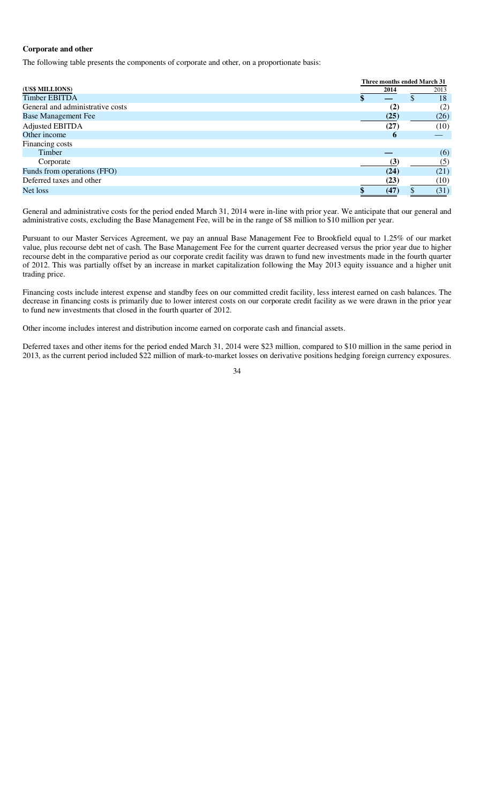### **Corporate and other**

The following table presents the components of corporate and other, on a proportionate basis:

|                                  |             | Three months ended March 31 |      |  |
|----------------------------------|-------------|-----------------------------|------|--|
| (US\$ MILLIONS)                  | 2014        | 2013                        |      |  |
| <b>Timber EBITDA</b>             |             | ۰D                          | 18   |  |
| General and administrative costs | (2)         |                             | (2)  |  |
| <b>Base Management Fee</b>       | (25)        |                             | (26) |  |
| Adjusted EBITDA                  | (27)        |                             | (10) |  |
| Other income                     | $\mathbf b$ |                             |      |  |
| Financing costs                  |             |                             |      |  |
| Timber                           |             |                             | (6)  |  |
| Corporate                        | (3)         |                             | (5)  |  |
| Funds from operations (FFO)      | (24)        |                             | (21) |  |
| Deferred taxes and other         | (23)        |                             | (10) |  |
| Net loss                         | (47         |                             | (31) |  |

General and administrative costs for the period ended March 31, 2014 were in-line with prior year. We anticipate that our general and administrative costs, excluding the Base Management Fee, will be in the range of \$8 million to \$10 million per year.

Pursuant to our Master Services Agreement, we pay an annual Base Management Fee to Brookfield equal to 1.25% of our market value, plus recourse debt net of cash. The Base Management Fee for the current quarter decreased versus the prior year due to higher recourse debt in the comparative period as our corporate credit facility was drawn to fund new investments made in the fourth quarter of 2012. This was partially offset by an increase in market capitalization following the May 2013 equity issuance and a higher unit trading price.

Financing costs include interest expense and standby fees on our committed credit facility, less interest earned on cash balances. The decrease in financing costs is primarily due to lower interest costs on our corporate credit facility as we were drawn in the prior year to fund new investments that closed in the fourth quarter of 2012.

Other income includes interest and distribution income earned on corporate cash and financial assets.

Deferred taxes and other items for the period ended March 31, 2014 were \$23 million, compared to \$10 million in the same period in 2013, as the current period included \$22 million of mark-to-market losses on derivative positions hedging foreign currency exposures.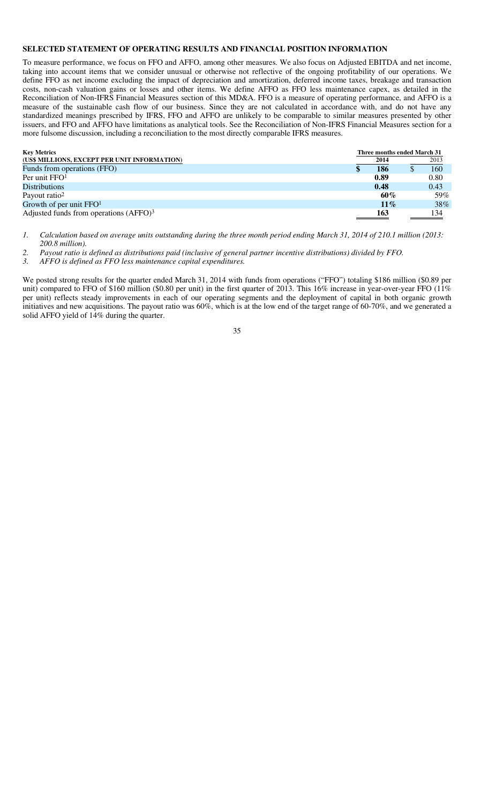## **SELECTED STATEMENT OF OPERATING RESULTS AND FINANCIAL POSITION INFORMATION**

To measure performance, we focus on FFO and AFFO, among other measures. We also focus on Adjusted EBITDA and net income, taking into account items that we consider unusual or otherwise not reflective of the ongoing profitability of our operations. We define FFO as net income excluding the impact of depreciation and amortization, deferred income taxes, breakage and transaction costs, non-cash valuation gains or losses and other items. We define AFFO as FFO less maintenance capex, as detailed in the Reconciliation of Non-IFRS Financial Measures section of this MD&A. FFO is a measure of operating performance, and AFFO is a measure of the sustainable cash flow of our business. Since they are not calculated in accordance with, and do not have any standardized meanings prescribed by IFRS, FFO and AFFO are unlikely to be comparable to similar measures presented by other issuers, and FFO and AFFO have limitations as analytical tools. See the Reconciliation of Non-IFRS Financial Measures section for a more fulsome discussion, including a reconciliation to the most directly comparable IFRS measures.

| <b>Key Metrics</b>                                 | Three months ended March 31 |  |      |
|----------------------------------------------------|-----------------------------|--|------|
| (US\$ MILLIONS, EXCEPT PER UNIT INFORMATION)       | 2014                        |  | 2013 |
| Funds from operations (FFO)                        | 186                         |  | 160  |
| Per unit FFO <sup>1</sup>                          | 0.89                        |  | 0.80 |
| <b>Distributions</b>                               | 0.48                        |  | 0.43 |
| Payout ratio <sup>2</sup>                          | 60%                         |  | 59%  |
| Growth of per unit $FFO1$                          | 11%                         |  | 38%  |
| Adjusted funds from operations (AFFO) <sup>3</sup> | 163                         |  | 134  |

*1. Calculation based on average units outstanding during the three month period ending March 31, 2014 of 210.1 million (2013: 200.8 million).* 

*2. Payout ratio is defined as distributions paid (inclusive of general partner incentive distributions) divided by FFO.* 

*3. AFFO is defined as FFO less maintenance capital expenditures.* 

We posted strong results for the quarter ended March 31, 2014 with funds from operations ("FFO") totaling \$186 million (\$0.89 per unit) compared to FFO of \$160 million (\$0.80 per unit) in the first quarter of 2013. This 16% increase in year-over-year FFO (11%) per unit) reflects steady improvements in each of our operating segments and the deployment of capital in both organic growth initiatives and new acquisitions. The payout ratio was 60%, which is at the low end of the target range of 60-70%, and we generated a solid AFFO yield of 14% during the quarter.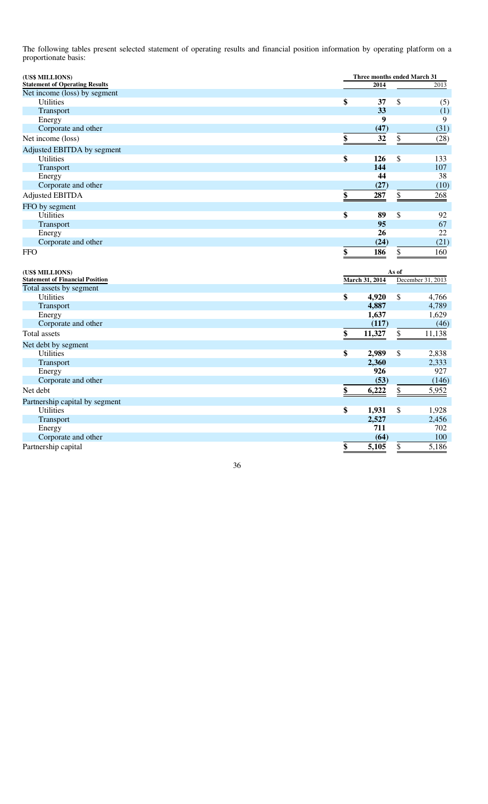The following tables present selected statement of operating results and financial position information by operating platform on a proportionate basis:

| (US\$ MILLIONS)                       |           |       | Three months ended March 31 |  |  |
|---------------------------------------|-----------|-------|-----------------------------|--|--|
| <b>Statement of Operating Results</b> | 2014      |       | 2013                        |  |  |
| Net income (loss) by segment          |           |       |                             |  |  |
| <b>Utilities</b>                      | \$<br>37  | \$    | (5)                         |  |  |
| Transport                             | 33        |       | (1)                         |  |  |
| Energy                                | 9         |       | 9                           |  |  |
| Corporate and other                   | (47)      |       | (31)                        |  |  |
| Net income (loss)                     | 32<br>\$  | \$.   | (28)                        |  |  |
| Adjusted EBITDA by segment            |           |       |                             |  |  |
| <b>Utilities</b>                      | \$<br>126 | \$    | 133                         |  |  |
| Transport                             | 144       |       | 107                         |  |  |
| Energy                                | 44        |       | 38                          |  |  |
| Corporate and other                   | (27)      |       | (10)                        |  |  |
| <b>Adjusted EBITDA</b>                | \$<br>287 | \$    | 268                         |  |  |
| FFO by segment                        |           |       |                             |  |  |
| <b>Utilities</b>                      | \$<br>89  | \$    | 92                          |  |  |
| Transport                             | 95        |       | 67                          |  |  |
| Energy                                | 26        |       | 22                          |  |  |
| Corporate and other                   | (24)      |       | (21)                        |  |  |
| <b>FFO</b>                            | \$<br>186 | \$    | 160                         |  |  |
| (US\$ MILLIONS)                       |           | As of |                             |  |  |

| <b>Statement of Financial Position</b> | March 31, 2014 |        |    | December 31, 2013 |  |
|----------------------------------------|----------------|--------|----|-------------------|--|
| Total assets by segment                |                |        |    |                   |  |
| <b>Utilities</b>                       | \$             | 4,920  | \$ | 4,766             |  |
| Transport                              |                | 4,887  |    | 4,789             |  |
| Energy                                 |                | 1,637  |    | 1,629             |  |
| Corporate and other                    |                | (117)  |    | (46)              |  |
| Total assets                           | \$             | 11,327 | \$ | 11,138            |  |
| Net debt by segment                    |                |        |    |                   |  |
| <b>Utilities</b>                       | \$             | 2,989  | \$ | 2,838             |  |
| <b>Transport</b>                       |                | 2,360  |    | 2,333             |  |
| Energy                                 |                | 926    |    | 927               |  |
| Corporate and other                    |                | (53)   |    | (146)             |  |
| Net debt                               | \$             | 6,222  | \$ | 5,952             |  |
| Partnership capital by segment         |                |        |    |                   |  |
| <b>Utilities</b>                       | \$             | 1,931  | \$ | 1,928             |  |
| <b>Transport</b>                       |                | 2,527  |    | 2,456             |  |
| Energy                                 |                | 711    |    | 702               |  |
| Corporate and other                    |                | (64)   |    | 100               |  |
| Partnership capital                    | \$             | 5,105  |    | 5,186             |  |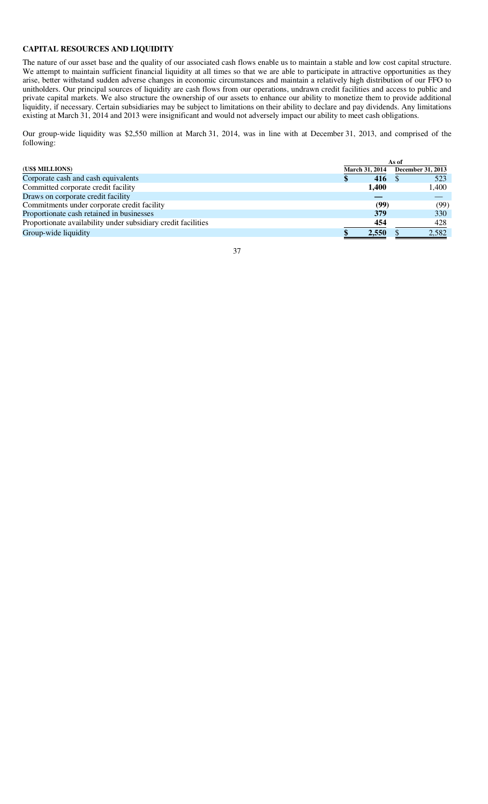## **CAPITAL RESOURCES AND LIQUIDITY**

The nature of our asset base and the quality of our associated cash flows enable us to maintain a stable and low cost capital structure. We attempt to maintain sufficient financial liquidity at all times so that we are able to participate in attractive opportunities as they arise, better withstand sudden adverse changes in economic circumstances and maintain a relatively high distribution of our FFO to unitholders. Our principal sources of liquidity are cash flows from our operations, undrawn credit facilities and access to public and private capital markets. We also structure the ownership of our assets to enhance our ability to monetize them to provide additional liquidity, if necessary. Certain subsidiaries may be subject to limitations on their ability to declare and pay dividends. Any limitations existing at March 31, 2014 and 2013 were insignificant and would not adversely impact our ability to meet cash obligations.

Our group-wide liquidity was \$2,550 million at March 31, 2014, was in line with at December 31, 2013, and comprised of the following:

| (US\$ MILLIONS)                                               |  | March 31, 2014 |  | December 31, 2013 |
|---------------------------------------------------------------|--|----------------|--|-------------------|
| Corporate cash and cash equivalents                           |  | 416            |  | 523               |
| Committed corporate credit facility                           |  | 1,400          |  | 1,400             |
| Draws on corporate credit facility                            |  |                |  |                   |
| Commitments under corporate credit facility                   |  | (99)           |  | (99)              |
| Proportionate cash retained in businesses                     |  | 379            |  | 330               |
| Proportionate availability under subsidiary credit facilities |  | 454            |  | 428               |
| Group-wide liquidity                                          |  | 2,550          |  | 2,582             |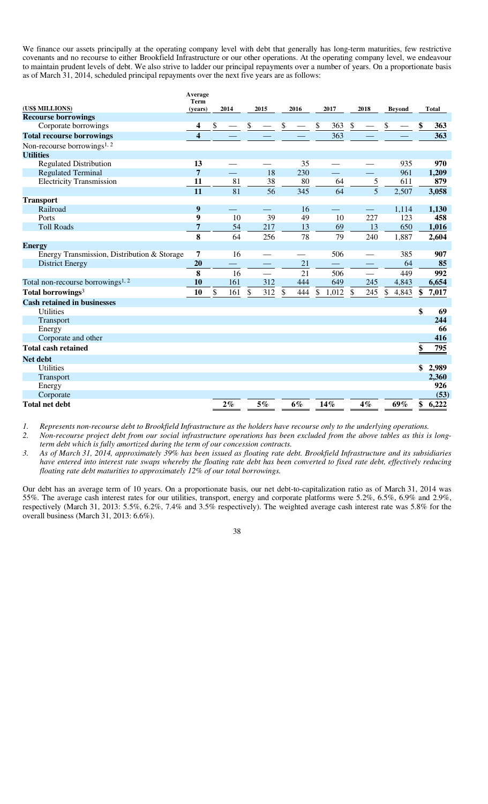We finance our assets principally at the operating company level with debt that generally has long-term maturities, few restrictive covenants and no recourse to either Brookfield Infrastructure or our other operations. At the operating company level, we endeavour to maintain prudent levels of debt. We also strive to ladder our principal repayments over a number of years. On a proportionate basis as of March 31, 2014, scheduled principal repayments over the next five years are as follows:

|                                               | Average<br><b>Term</b>  |      |       |               |                          |                                   |      |                          |       |                                   |                          |               |               |              |
|-----------------------------------------------|-------------------------|------|-------|---------------|--------------------------|-----------------------------------|------|--------------------------|-------|-----------------------------------|--------------------------|---------------|---------------|--------------|
| (US\$ MILLIONS)                               | (vears)                 |      | 2014  |               | 2015                     |                                   | 2016 |                          | 2017  |                                   | 2018                     |               | <b>Bevond</b> | <b>Total</b> |
| <b>Recourse borrowings</b>                    |                         |      |       |               |                          |                                   |      |                          |       |                                   |                          |               |               |              |
| Corporate borrowings                          | 4                       | \$   |       | $\frac{1}{2}$ |                          | $\frac{\mathcal{L}}{\mathcal{L}}$ |      | $\overline{\mathcal{L}}$ | 363   | $\frac{\mathcal{S}}{\mathcal{S}}$ |                          | $\frac{1}{2}$ |               | 363          |
| <b>Total recourse borrowings</b>              | $\overline{\mathbf{4}}$ |      |       |               |                          |                                   |      |                          | 363   |                                   |                          |               |               | 363          |
| Non-recourse borrowings <sup>1, 2</sup>       |                         |      |       |               |                          |                                   |      |                          |       |                                   |                          |               |               |              |
| <b>Utilities</b>                              |                         |      |       |               |                          |                                   |      |                          |       |                                   |                          |               |               |              |
| <b>Regulated Distribution</b>                 | 13                      |      |       |               |                          |                                   | 35   |                          |       |                                   |                          |               | 935           | 970          |
| <b>Regulated Terminal</b>                     | $\overline{7}$          |      |       |               | 18                       |                                   | 230  |                          |       |                                   |                          |               | 961           | 1,209        |
| <b>Electricity Transmission</b>               | 11                      |      | 81    |               | 38                       |                                   | 80   |                          | 64    |                                   | 5                        |               | 611           | 879          |
|                                               | 11                      |      | 81    |               | 56                       |                                   | 345  |                          | 64    |                                   | $\overline{5}$           |               | 2,507         | 3,058        |
| <b>Transport</b>                              |                         |      |       |               |                          |                                   |      |                          |       |                                   |                          |               |               |              |
| Railroad                                      | 9                       |      |       |               |                          |                                   | 16   |                          |       |                                   | $\overline{\phantom{0}}$ |               | 1,114         | 1,130        |
| Ports                                         | 9                       |      | 10    |               | 39                       |                                   | 49   |                          | 10    |                                   | 227                      |               | 123           | 458          |
| <b>Toll Roads</b>                             | 7                       |      | 54    |               | 217                      |                                   | 13   |                          | 69    |                                   | 13                       |               | 650           | 1,016        |
|                                               | 8                       |      | 64    |               | 256                      |                                   | 78   |                          | 79    |                                   | 240                      |               | 1,887         | 2,604        |
| <b>Energy</b>                                 |                         |      |       |               |                          |                                   |      |                          |       |                                   |                          |               |               |              |
| Energy Transmission, Distribution & Storage   | 7                       |      | 16    |               |                          |                                   |      |                          | 506   |                                   |                          |               | 385           | 907          |
| <b>District Energy</b>                        | 20                      |      | -     |               | $\overline{\phantom{0}}$ |                                   | 21   |                          |       |                                   |                          |               | 64            | 85           |
|                                               | 8                       |      | 16    |               | $\qquad \qquad$          |                                   | 21   |                          | 506   |                                   | $\overline{\phantom{0}}$ |               | 449           | 992          |
| Total non-recourse borrowings <sup>1, 2</sup> | 10                      |      | 161   |               | 312                      |                                   | 444  |                          | 649   |                                   | 245                      |               | 4,843         | 6,654        |
| Total borrowings <sup>3</sup>                 | 10                      | $\$$ | 161   | $\$$          | 312                      | $\$$                              | 444  | $\mathbb{S}$             | 1,012 | \$                                | 245                      | \$            | 4,843         | \$<br>7,017  |
| <b>Cash retained in businesses</b>            |                         |      |       |               |                          |                                   |      |                          |       |                                   |                          |               |               |              |
| <b>Utilities</b>                              |                         |      |       |               |                          |                                   |      |                          |       |                                   |                          |               |               | \$<br>69     |
| Transport                                     |                         |      |       |               |                          |                                   |      |                          |       |                                   |                          |               |               | 244          |
| Energy                                        |                         |      |       |               |                          |                                   |      |                          |       |                                   |                          |               |               | 66           |
| Corporate and other                           |                         |      |       |               |                          |                                   |      |                          |       |                                   |                          |               |               | 416          |
| <b>Total cash retained</b>                    |                         |      |       |               |                          |                                   |      |                          |       |                                   |                          |               |               | \$<br>795    |
| <b>Net debt</b>                               |                         |      |       |               |                          |                                   |      |                          |       |                                   |                          |               |               |              |
| <b>Utilities</b>                              |                         |      |       |               |                          |                                   |      |                          |       |                                   |                          |               |               | \$<br>2,989  |
| Transport                                     |                         |      |       |               |                          |                                   |      |                          |       |                                   |                          |               |               | 2,360        |
| Energy                                        |                         |      |       |               |                          |                                   |      |                          |       |                                   |                          |               |               | 926          |
| Corporate                                     |                         |      |       |               |                          |                                   |      |                          |       |                                   |                          |               |               | (53)         |
| <b>Total net debt</b>                         |                         |      | $2\%$ |               | 5%                       |                                   | 6%   |                          | 14%   |                                   | $4\%$                    |               | 69%           | \$<br>6,222  |

*1. Represents non-recourse debt to Brookfield Infrastructure as the holders have recourse only to the underlying operations.* 

*2. Non-recourse project debt from our social infrastructure operations has been excluded from the above tables as this is longterm debt which is fully amortized during the term of our concession contracts.* 

*3. As of March 31, 2014, approximately 39% has been issued as floating rate debt. Brookfield Infrastructure and its subsidiaries have entered into interest rate swaps whereby the floating rate debt has been converted to fixed rate debt, effectively reducing floating rate debt maturities to approximately 12% of our total borrowings.* 

Our debt has an average term of 10 years. On a proportionate basis, our net debt-to-capitalization ratio as of March 31, 2014 was 55%. The average cash interest rates for our utilities, transport, energy and corporate platforms were 5.2%, 6.5%, 6.9% and 2.9%, respectively (March 31, 2013: 5.5%, 6.2%, 7.4% and 3.5% respectively). The weighted average cash interest rate was 5.8% for the overall business (March 31, 2013: 6.6%).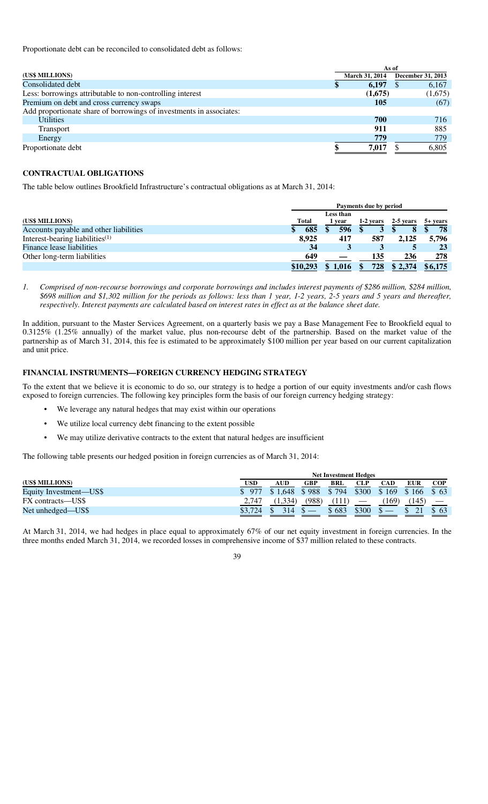Proportionate debt can be reconciled to consolidated debt as follows:

|                                                                     | As of                 |                   |  |  |  |  |
|---------------------------------------------------------------------|-----------------------|-------------------|--|--|--|--|
| (US\$ MILLIONS)                                                     | <b>March 31, 2014</b> | December 31, 2013 |  |  |  |  |
| Consolidated debt                                                   | 6,197                 | 6,167             |  |  |  |  |
| Less: borrowings attributable to non-controlling interest           | (1,675)               | (1,675)           |  |  |  |  |
| Premium on debt and cross currency swaps                            | 105                   | (67)              |  |  |  |  |
| Add proportionate share of borrowings of investments in associates: |                       |                   |  |  |  |  |
| <b>Utilities</b>                                                    | 700                   | 716               |  |  |  |  |
| <b>Transport</b>                                                    | 911                   | 885               |  |  |  |  |
| Energy                                                              | 779                   | 779               |  |  |  |  |
| Proportionate debt                                                  | 7,017                 | 6,805             |  |  |  |  |

## **CONTRACTUAL OBLIGATIONS**

The table below outlines Brookfield Infrastructure's contractual obligations as at March 31, 2014:

|                                        |              | Payments due by period |      |  |           |           |                      |  |  |
|----------------------------------------|--------------|------------------------|------|--|-----------|-----------|----------------------|--|--|
|                                        |              | Less than              |      |  |           |           |                      |  |  |
| (US\$ MILLIONS)                        | <b>Total</b> |                        | vear |  | 1-2 years | 2-5 years | $5 + \mathrm{years}$ |  |  |
| Accounts payable and other liabilities | 685          |                        | 596  |  |           | 8         | 78                   |  |  |
| Interest-bearing liabilities $(1)$     | 8.925        |                        | 417  |  | 587       | 2.125     | 5.796                |  |  |
| Finance lease liabilities              | 34           |                        |      |  |           |           | 23                   |  |  |
| Other long-term liabilities            | 649          |                        |      |  | 135       | 236       | 278                  |  |  |
|                                        | \$10,293     |                        |      |  | 728       | \$2,374   | \$6,175              |  |  |

*1. Comprised of non-recourse borrowings and corporate borrowings and includes interest payments of \$286 million, \$284 million, \$698 million and \$1,302 million for the periods as follows: less than 1 year, 1-2 years, 2-5 years and 5 years and thereafter, respectively. Interest payments are calculated based on interest rates in effect as at the balance sheet date.* 

In addition, pursuant to the Master Services Agreement, on a quarterly basis we pay a Base Management Fee to Brookfield equal to 0.3125% (1.25% annually) of the market value, plus non-recourse debt of the partnership. Based on the market value of the partnership as of March 31, 2014, this fee is estimated to be approximately \$100 million per year based on our current capitalization and unit price.

## **FINANCIAL INSTRUMENTS—FOREIGN CURRENCY HEDGING STRATEGY**

To the extent that we believe it is economic to do so, our strategy is to hedge a portion of our equity investments and/or cash flows exposed to foreign currencies. The following key principles form the basis of our foreign currency hedging strategy:

- We leverage any natural hedges that may exist within our operations
- We utilize local currency debt financing to the extent possible
- We may utilize derivative contracts to the extent that natural hedges are insufficient

The following table presents our hedged position in foreign currencies as of March 31, 2014:

|                        | <b>Net Investment Hedges</b> |            |       |       |       |       |            |            |  |  |
|------------------------|------------------------------|------------|-------|-------|-------|-------|------------|------------|--|--|
| (US\$ MILLIONS)        | USD                          | <b>AUD</b> | GBP   | BRL   | CLP   | CAD   | <b>EUR</b> | <b>COP</b> |  |  |
| Equity Investment—US\$ | -977                         | 1.648      | \$988 | \$794 | \$300 | \$169 | \$166      | \$ 63      |  |  |
| FX contracts—US\$      | 2.747                        | (1.334)    | (988) | 111)  |       | 169)  | (145)      |            |  |  |
| Net unhedged—US\$      |                              |            |       | 683   | \$300 |       |            | -63        |  |  |

At March 31, 2014, we had hedges in place equal to approximately 67% of our net equity investment in foreign currencies. In the three months ended March 31, 2014, we recorded losses in comprehensive income of \$37 million related to these contracts.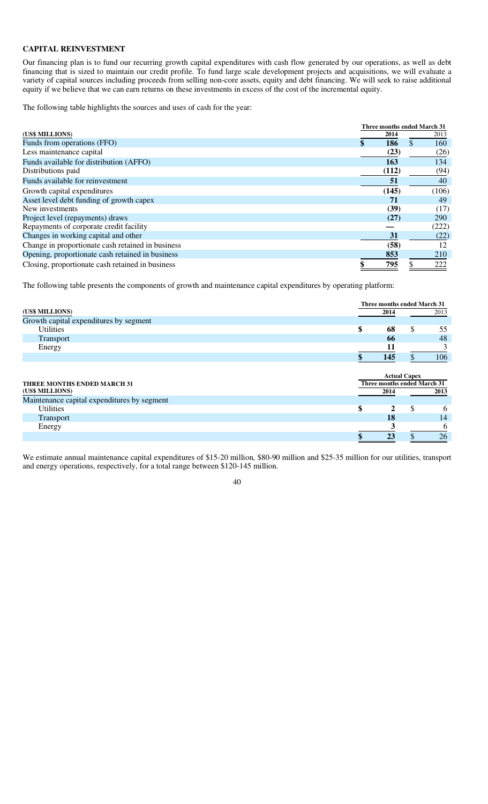# **CAPITAL REINVESTMENT**

Our financing plan is to fund our recurring growth capital expenditures with cash flow generated by our operations, as well as debt financing that is sized to maintain our credit profile. To fund large scale development projects and acquisitions, we will evaluate a variety of capital sources including proceeds from selling non-core assets, equity and debt financing. We will seek to raise additional equity if we believe that we can earn returns on these investments in excess of the cost of the incremental equity.

The following table highlights the sources and uses of cash for the year:

|                                                   |  | Three months ended March 31 |     |            |
|---------------------------------------------------|--|-----------------------------|-----|------------|
| (US\$ MILLIONS)                                   |  | 2014                        |     | 2013       |
| Funds from operations (FFO)                       |  | 186                         | \$. | 160        |
| Less maintenance capital                          |  | (23)                        |     | (26)       |
| Funds available for distribution (AFFO)           |  | 163                         |     | 134        |
| Distributions paid                                |  | (112)                       |     | (94)       |
| Funds available for reinvestment                  |  | 51                          |     | 40         |
| Growth capital expenditures                       |  | (145)                       |     | (106)      |
| Asset level debt funding of growth capex          |  | 71                          |     | 49         |
| New investments                                   |  | (39)                        |     | (17)       |
| Project level (repayments) draws                  |  | (27)                        |     | <b>290</b> |
| Repayments of corporate credit facility           |  |                             |     | (222)      |
| Changes in working capital and other              |  | 31                          |     | (22)       |
| Change in proportionate cash retained in business |  | (58)                        |     | 12         |
| Opening, proportionate cash retained in business  |  | 853                         |     | 210        |
| Closing, proportionate cash retained in business  |  | 795                         |     | 222        |

The following table presents the components of growth and maintenance capital expenditures by operating platform:

|                                             |                             | Three months ended March 31 |      |
|---------------------------------------------|-----------------------------|-----------------------------|------|
| (US\$ MILLIONS)                             | 2014                        |                             | 2013 |
| Growth capital expenditures by segment      |                             |                             |      |
| <b>Utilities</b>                            | \$<br>68                    | \$                          | 55   |
| Transport                                   | 66                          |                             | 48   |
| Energy                                      | 11                          |                             | 3    |
|                                             | 145                         | \$                          | 106  |
|                                             |                             |                             |      |
|                                             |                             | <b>Actual Capex</b>         |      |
| <b>THREE MONTHS ENDED MARCH 31</b>          | Three months ended March 31 |                             |      |
| (US\$ MILLIONS)                             | 2014                        |                             | 2013 |
| Maintenance capital expenditures by segment |                             |                             |      |
| <b>Utilities</b>                            | \$<br>2                     | \$                          | 6    |
| Transport                                   | 18                          |                             | 14   |
| Energy                                      |                             |                             | 6    |
|                                             | 23                          | ъ                           | 26   |

We estimate annual maintenance capital expenditures of \$15-20 million, \$80-90 million and \$25-35 million for our utilities, transport and energy operations, respectively, for a total range between \$120-145 million.

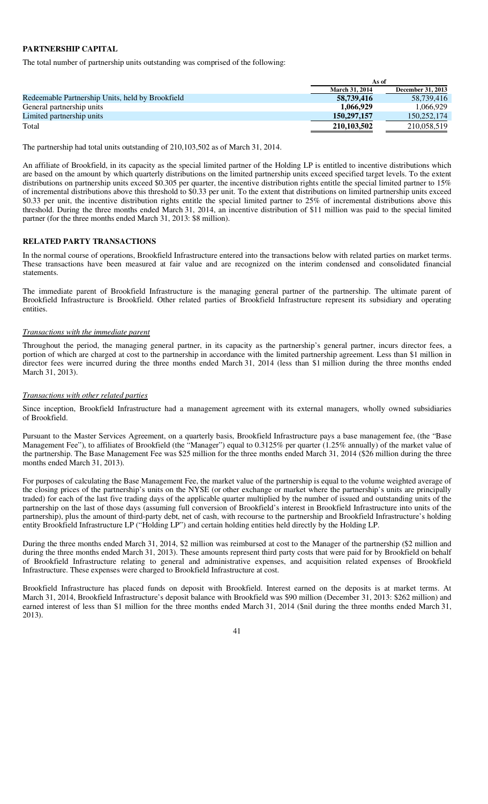## **PARTNERSHIP CAPITAL**

The total number of partnership units outstanding was comprised of the following:

|                                                  | As of                 |                   |
|--------------------------------------------------|-----------------------|-------------------|
|                                                  | <b>March 31, 2014</b> | December 31, 2013 |
| Redeemable Partnership Units, held by Brookfield | 58,739,416            | 58.739.416        |
| General partnership units                        | 1.066.929             | 1.066.929         |
| Limited partnership units                        | 150, 297, 157         | 150,252,174       |
| Total                                            | 210,103,502           | 210.058.519       |

The partnership had total units outstanding of 210,103,502 as of March 31, 2014.

An affiliate of Brookfield, in its capacity as the special limited partner of the Holding LP is entitled to incentive distributions which are based on the amount by which quarterly distributions on the limited partnership units exceed specified target levels. To the extent distributions on partnership units exceed \$0.305 per quarter, the incentive distribution rights entitle the special limited partner to 15% of incremental distributions above this threshold to \$0.33 per unit. To the extent that distributions on limited partnership units exceed \$0.33 per unit, the incentive distribution rights entitle the special limited partner to 25% of incremental distributions above this threshold. During the three months ended March 31, 2014, an incentive distribution of \$11 million was paid to the special limited partner (for the three months ended March 31, 2013: \$8 million).

## **RELATED PARTY TRANSACTIONS**

In the normal course of operations, Brookfield Infrastructure entered into the transactions below with related parties on market terms. These transactions have been measured at fair value and are recognized on the interim condensed and consolidated financial statements.

The immediate parent of Brookfield Infrastructure is the managing general partner of the partnership. The ultimate parent of Brookfield Infrastructure is Brookfield. Other related parties of Brookfield Infrastructure represent its subsidiary and operating entities.

## *Transactions with the immediate parent*

Throughout the period, the managing general partner, in its capacity as the partnership's general partner, incurs director fees, a portion of which are charged at cost to the partnership in accordance with the limited partnership agreement. Less than \$1 million in director fees were incurred during the three months ended March 31, 2014 (less than \$1 million during the three months ended March 31, 2013).

#### *Transactions with other related parties*

Since inception, Brookfield Infrastructure had a management agreement with its external managers, wholly owned subsidiaries of Brookfield.

Pursuant to the Master Services Agreement, on a quarterly basis, Brookfield Infrastructure pays a base management fee, (the "Base Management Fee"), to affiliates of Brookfield (the "Manager") equal to 0.3125% per quarter (1.25% annually) of the market value of the partnership. The Base Management Fee was \$25 million for the three months ended March 31, 2014 (\$26 million during the three months ended March 31, 2013).

For purposes of calculating the Base Management Fee, the market value of the partnership is equal to the volume weighted average of the closing prices of the partnership's units on the NYSE (or other exchange or market where the partnership's units are principally traded) for each of the last five trading days of the applicable quarter multiplied by the number of issued and outstanding units of the partnership on the last of those days (assuming full conversion of Brookfield's interest in Brookfield Infrastructure into units of the partnership), plus the amount of third-party debt, net of cash, with recourse to the partnership and Brookfield Infrastructure's holding entity Brookfield Infrastructure LP ("Holding LP") and certain holding entities held directly by the Holding LP.

During the three months ended March 31, 2014, \$2 million was reimbursed at cost to the Manager of the partnership (\$2 million and during the three months ended March 31, 2013). These amounts represent third party costs that were paid for by Brookfield on behalf of Brookfield Infrastructure relating to general and administrative expenses, and acquisition related expenses of Brookfield Infrastructure. These expenses were charged to Brookfield Infrastructure at cost.

Brookfield Infrastructure has placed funds on deposit with Brookfield. Interest earned on the deposits is at market terms. At March 31, 2014, Brookfield Infrastructure's deposit balance with Brookfield was \$90 million (December 31, 2013: \$262 million) and earned interest of less than \$1 million for the three months ended March 31, 2014 (\$nil during the three months ended March 31, 2013).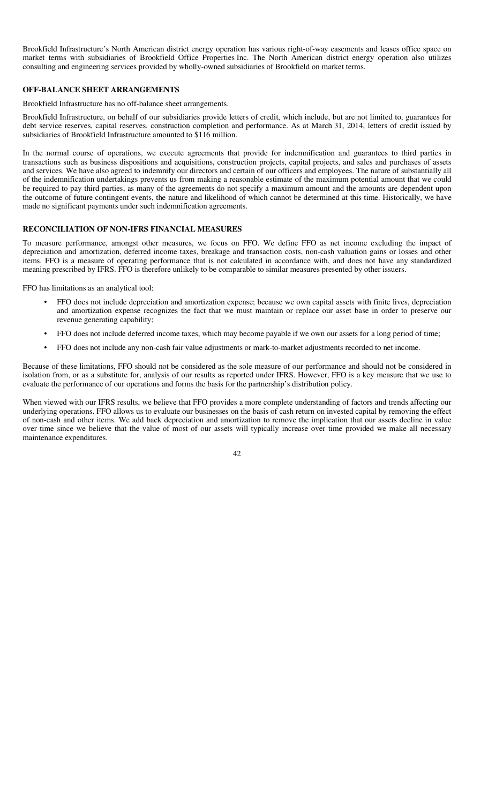Brookfield Infrastructure's North American district energy operation has various right-of-way easements and leases office space on market terms with subsidiaries of Brookfield Office Properties Inc. The North American district energy operation also utilizes consulting and engineering services provided by wholly-owned subsidiaries of Brookfield on market terms.

## **OFF-BALANCE SHEET ARRANGEMENTS**

Brookfield Infrastructure has no off-balance sheet arrangements.

Brookfield Infrastructure, on behalf of our subsidiaries provide letters of credit, which include, but are not limited to, guarantees for debt service reserves, capital reserves, construction completion and performance. As at March 31, 2014, letters of credit issued by subsidiaries of Brookfield Infrastructure amounted to \$116 million.

In the normal course of operations, we execute agreements that provide for indemnification and guarantees to third parties in transactions such as business dispositions and acquisitions, construction projects, capital projects, and sales and purchases of assets and services. We have also agreed to indemnify our directors and certain of our officers and employees. The nature of substantially all of the indemnification undertakings prevents us from making a reasonable estimate of the maximum potential amount that we could be required to pay third parties, as many of the agreements do not specify a maximum amount and the amounts are dependent upon the outcome of future contingent events, the nature and likelihood of which cannot be determined at this time. Historically, we have made no significant payments under such indemnification agreements.

## **RECONCILIATION OF NON-IFRS FINANCIAL MEASURES**

To measure performance, amongst other measures, we focus on FFO. We define FFO as net income excluding the impact of depreciation and amortization, deferred income taxes, breakage and transaction costs, non-cash valuation gains or losses and other items. FFO is a measure of operating performance that is not calculated in accordance with, and does not have any standardized meaning prescribed by IFRS. FFO is therefore unlikely to be comparable to similar measures presented by other issuers.

FFO has limitations as an analytical tool:

- FFO does not include depreciation and amortization expense; because we own capital assets with finite lives, depreciation and amortization expense recognizes the fact that we must maintain or replace our asset base in order to preserve our revenue generating capability;
- FFO does not include deferred income taxes, which may become payable if we own our assets for a long period of time;
- FFO does not include any non-cash fair value adjustments or mark-to-market adjustments recorded to net income.

Because of these limitations, FFO should not be considered as the sole measure of our performance and should not be considered in isolation from, or as a substitute for, analysis of our results as reported under IFRS. However, FFO is a key measure that we use to evaluate the performance of our operations and forms the basis for the partnership's distribution policy.

When viewed with our IFRS results, we believe that FFO provides a more complete understanding of factors and trends affecting our underlying operations. FFO allows us to evaluate our businesses on the basis of cash return on invested capital by removing the effect of non-cash and other items. We add back depreciation and amortization to remove the implication that our assets decline in value over time since we believe that the value of most of our assets will typically increase over time provided we make all necessary maintenance expenditures.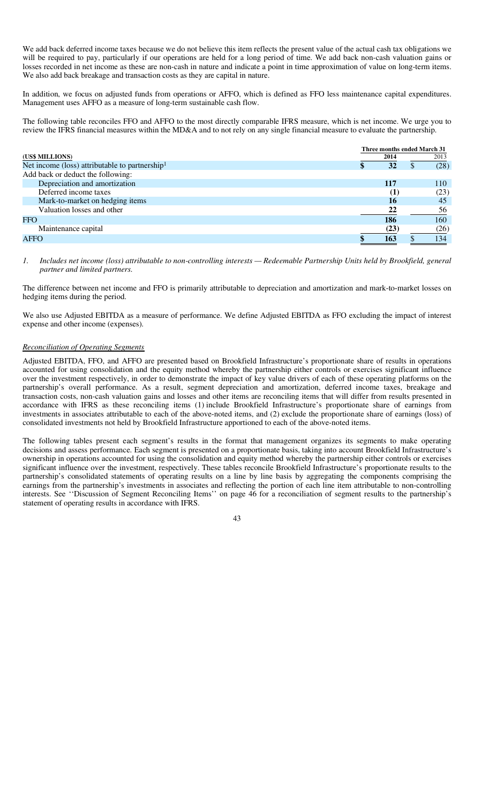We add back deferred income taxes because we do not believe this item reflects the present value of the actual cash tax obligations we will be required to pay, particularly if our operations are held for a long period of time. We add back non-cash valuation gains or losses recorded in net income as these are non-cash in nature and indicate a point in time approximation of value on long-term items. We also add back breakage and transaction costs as they are capital in nature.

In addition, we focus on adjusted funds from operations or AFFO, which is defined as FFO less maintenance capital expenditures. Management uses AFFO as a measure of long-term sustainable cash flow.

The following table reconciles FFO and AFFO to the most directly comparable IFRS measure, which is net income. We urge you to review the IFRS financial measures within the MD&A and to not rely on any single financial measure to evaluate the partnership.

|  | 2014     |  | 2013                        |
|--|----------|--|-----------------------------|
|  | 32       |  | (28)                        |
|  |          |  |                             |
|  | 117      |  | 110                         |
|  | $\bf(1)$ |  | (23)                        |
|  | 16       |  | 45                          |
|  | 22       |  | 56                          |
|  | 186      |  | 160                         |
|  | (23)     |  | (26)                        |
|  | 163      |  | 134                         |
|  |          |  | Three months ended March 31 |

*1. Includes net income (loss) attributable to non-controlling interests — Redeemable Partnership Units held by Brookfield, general partner and limited partners.* 

The difference between net income and FFO is primarily attributable to depreciation and amortization and mark-to-market losses on hedging items during the period.

We also use Adjusted EBITDA as a measure of performance. We define Adjusted EBITDA as FFO excluding the impact of interest expense and other income (expenses).

## *Reconciliation of Operating Segments*

Adjusted EBITDA, FFO, and AFFO are presented based on Brookfield Infrastructure's proportionate share of results in operations accounted for using consolidation and the equity method whereby the partnership either controls or exercises significant influence over the investment respectively, in order to demonstrate the impact of key value drivers of each of these operating platforms on the partnership's overall performance. As a result, segment depreciation and amortization, deferred income taxes, breakage and transaction costs, non-cash valuation gains and losses and other items are reconciling items that will differ from results presented in accordance with IFRS as these reconciling items (1) include Brookfield Infrastructure's proportionate share of earnings from investments in associates attributable to each of the above-noted items, and (2) exclude the proportionate share of earnings (loss) of consolidated investments not held by Brookfield Infrastructure apportioned to each of the above-noted items.

The following tables present each segment's results in the format that management organizes its segments to make operating decisions and assess performance. Each segment is presented on a proportionate basis, taking into account Brookfield Infrastructure's ownership in operations accounted for using the consolidation and equity method whereby the partnership either controls or exercises significant influence over the investment, respectively. These tables reconcile Brookfield Infrastructure's proportionate results to the partnership's consolidated statements of operating results on a line by line basis by aggregating the components comprising the earnings from the partnership's investments in associates and reflecting the portion of each line item attributable to non-controlling interests. See ''Discussion of Segment Reconciling Items'' on page 46 for a reconciliation of segment results to the partnership's statement of operating results in accordance with IFRS.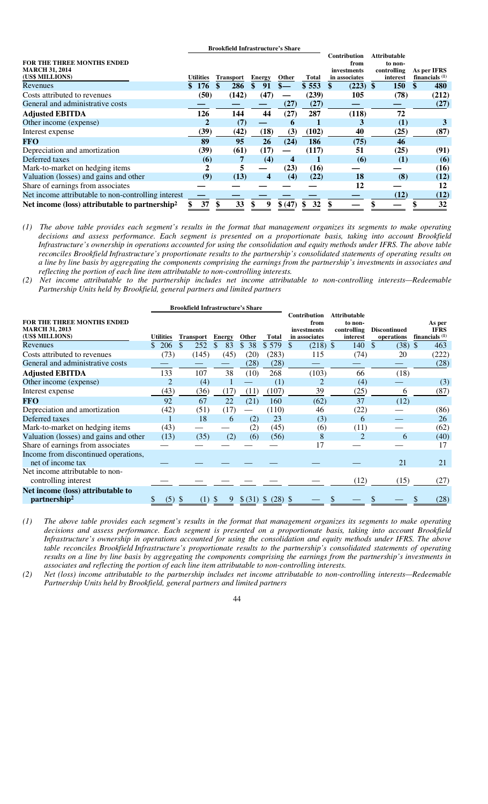|                                                            |           | <b>Brookfield Infrastructure's Share</b> |   |               |               |       |                              |                                |                                 |
|------------------------------------------------------------|-----------|------------------------------------------|---|---------------|---------------|-------|------------------------------|--------------------------------|---------------------------------|
| FOR THE THREE MONTHS ENDED<br><b>MARCH 31, 2014</b>        |           |                                          |   |               |               |       | <b>Contribution</b><br>from  | <b>Attributable</b><br>to non- |                                 |
| (US\$ MILLIONS)                                            | Utilities | <b>Transport</b>                         |   | <b>Energy</b> | <b>Other</b>  | Total | investments<br>in associates | controlling<br>interest        | As per IFRS<br>financials $(1)$ |
| Revenues                                                   | 176       | 286                                      |   | 91            | $\frac{1}{2}$ | \$553 | $(223)$ \$                   | <b>150</b>                     | 480                             |
| Costs attributed to revenues                               | (50)      | (142)                                    |   | (47)          |               | (239) | 105                          | (78)                           | (212)                           |
| General and administrative costs                           |           |                                          |   |               | (27)          | (27)  |                              |                                | (27)                            |
| <b>Adjusted EBITDA</b>                                     | 126       | 144                                      |   | 44            | (27)          | 287   | (118)                        | 72                             |                                 |
| Other income (expense)                                     |           | (7)                                      |   |               | 6             |       | 3                            | (1)                            |                                 |
| Interest expense                                           | (39)      | (42)                                     |   | (18)          | (3)           | (102) | 40                           | (25)                           | (87)                            |
| <b>FFO</b>                                                 | 89        | 95                                       |   | 26            | (24)          | 186   | (75)                         | 46                             |                                 |
| Depreciation and amortization                              | (39)      | (61)                                     |   | (17)          |               | (117) | 51                           | (25)                           | (91)                            |
| Deferred taxes                                             | (6)       |                                          | 7 | (4)           | 4             |       | $\boldsymbol{\epsilon}$      | (1)                            | (6)                             |
| Mark-to-market on hedging items                            | 2         |                                          | 5 |               | (23)          | (16)  |                              |                                | (16)                            |
| Valuation (losses) and gains and other                     | (9)       | (13)                                     |   | 4             | (4)           | (22)  | 18                           | (8)                            | (12)                            |
| Share of earnings from associates                          |           |                                          |   |               |               |       | 12                           |                                | 12                              |
| Net income attributable to non-controlling interest        |           |                                          |   |               |               |       |                              | (12)                           | (12)                            |
| Net income (loss) attributable to partnership <sup>2</sup> | 37        | 33                                       |   | 9             | \$(47)        | 32    |                              |                                | 32                              |

*(1) The above table provides each segment's results in the format that management organizes its segments to make operating decisions and assess performance. Each segment is presented on a proportionate basis, taking into account Brookfield Infrastructure's ownership in operations accounted for using the consolidation and equity methods under IFRS. The above table reconciles Brookfield Infrastructure's proportionate results to the partnership's consolidated statements of operating results on a line by line basis by aggregating the components comprising the earnings from the partnership's investments in associates and reflecting the portion of each line item attributable to non-controlling interests.*

*(2) Net income attributable to the partnership includes net income attributable to non-controlling interests—Redeemable Partnership Units held by Brookfield, general partners and limited partners*

|                                                                               |                  | <b>Brookfield Infrastructure's Share</b> |               |         |                            |                                                             |                                                           |                                   |                                           |
|-------------------------------------------------------------------------------|------------------|------------------------------------------|---------------|---------|----------------------------|-------------------------------------------------------------|-----------------------------------------------------------|-----------------------------------|-------------------------------------------|
| <b>FOR THE THREE MONTHS ENDED</b><br><b>MARCH 31, 2013</b><br>(US\$ MILLIONS) | <b>Utilities</b> | <b>Transport</b>                         | <b>Energy</b> | Other   | <b>Total</b>               | <b>Contribution</b><br>from<br>investments<br>in associates | <b>Attributable</b><br>to non-<br>controlling<br>interest | <b>Discontinued</b><br>operations | As per<br><b>IFRS</b><br>financials $(1)$ |
| Revenues                                                                      | \$206            | 252                                      | 83            | \$38    | \$579                      | \$<br>$(218)$ \$                                            | 140                                                       | $(38)$ \$<br>S                    | 463                                       |
| Costs attributed to revenues                                                  | (73)             | (145)                                    | (45)          | (20)    | (283)                      | 115                                                         | (74)                                                      | 20                                | (222)                                     |
| General and administrative costs                                              |                  |                                          |               | (28)    | (28)                       |                                                             |                                                           |                                   | (28)                                      |
| <b>Adjusted EBITDA</b>                                                        | 133              | 107                                      | 38            | (10)    | 268                        | (103)                                                       | 66                                                        | (18)                              |                                           |
| Other income (expense)                                                        |                  | (4)                                      |               |         | (1)                        | 2                                                           | (4)                                                       |                                   | (3)                                       |
| Interest expense                                                              | (43)             | (36)                                     | (17)          | (11)    | (107)                      | 39                                                          | (25)                                                      | 6                                 | (87)                                      |
| <b>FFO</b>                                                                    | 92               | 67                                       | 22            | (21)    | 160                        | (62)                                                        | 37                                                        | (12)                              |                                           |
| Depreciation and amortization                                                 | (42)             | (51)                                     | (17)          |         | (110)                      | 46                                                          | (22)                                                      |                                   | (86)                                      |
| Deferred taxes                                                                |                  | 18                                       | 6             | (2)     | 23                         | (3)                                                         | 6                                                         |                                   | 26                                        |
| Mark-to-market on hedging items                                               | (43)             |                                          |               | (2)     | (45)                       | (6)                                                         | (11)                                                      |                                   | (62)                                      |
| Valuation (losses) and gains and other                                        | (13)             | (35)                                     | (2)           | (6)     | (56)                       | 8                                                           | 2                                                         | 6                                 | (40)                                      |
| Share of earnings from associates                                             |                  |                                          |               |         |                            | 17                                                          |                                                           |                                   | 17                                        |
| Income from discontinued operations,<br>net of income tax                     |                  |                                          |               |         |                            |                                                             |                                                           | 21                                | 21                                        |
| Net income attributable to non-<br>controlling interest                       |                  |                                          |               |         |                            |                                                             | (12)                                                      | (15)                              | (27)                                      |
| Net income (loss) attributable to<br>partnership <sup>2</sup>                 | (5)              | (1)                                      | 9             | \$ (31) | $(28)$ \$<br><sup>\$</sup> |                                                             |                                                           |                                   | (28)                                      |
|                                                                               |                  |                                          |               |         |                            |                                                             |                                                           |                                   |                                           |

*(1) The above table provides each segment's results in the format that management organizes its segments to make operating decisions and assess performance. Each segment is presented on a proportionate basis, taking into account Brookfield Infrastructure's ownership in operations accounted for using the consolidation and equity methods under IFRS. The above table reconciles Brookfield Infrastructure's proportionate results to the partnership's consolidated statements of operating results on a line by line basis by aggregating the components comprising the earnings from the partnership's investments in associates and reflecting the portion of each line item attributable to non-controlling interests.* 

*(2) Net (loss) income attributable to the partnership includes net income attributable to non-controlling interests—Redeemable Partnership Units held by Brookfield, general partners and limited partners*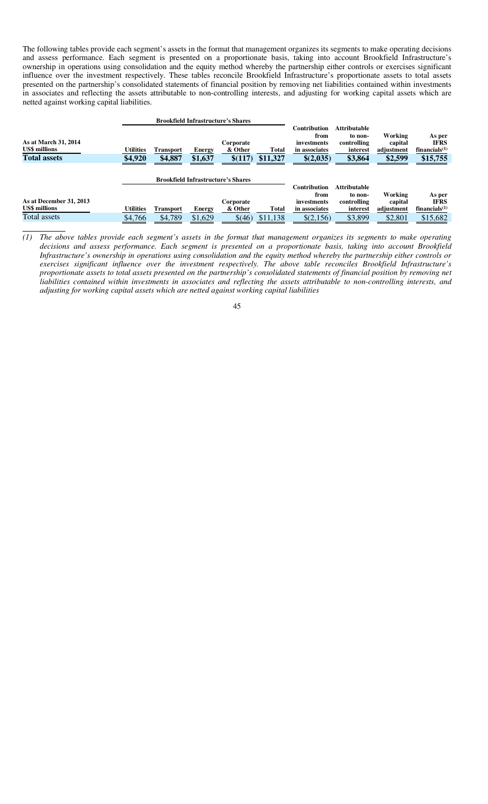The following tables provide each segment's assets in the format that management organizes its segments to make operating decisions and assess performance. Each segment is presented on a proportionate basis, taking into account Brookfield Infrastructure's ownership in operations using consolidation and the equity method whereby the partnership either controls or exercises significant influence over the investment respectively. These tables reconcile Brookfield Infrastructure's proportionate assets to total assets presented on the partnership's consolidated statements of financial position by removing net liabilities contained within investments in associates and reflecting the assets attributable to non-controlling interests, and adjusting for working capital assets which are netted against working capital liabilities.

|                                                                     |                             |                             |                   | <b>Brookfield Infrastructure's Shares</b> |                   |                                                                   |                                                                      |                                             |                                                       |
|---------------------------------------------------------------------|-----------------------------|-----------------------------|-------------------|-------------------------------------------|-------------------|-------------------------------------------------------------------|----------------------------------------------------------------------|---------------------------------------------|-------------------------------------------------------|
| As at March 31, 2014<br><b>US\$</b> millions<br><b>Total assets</b> | <b>Utilities</b><br>\$4,920 | <b>Transport</b><br>\$4,887 | Energy<br>\$1,637 | Corporate<br>& Other<br>\$(117)           | Total<br>\$11,327 | Contribution<br>from<br>investments<br>in associates<br>\$(2,035) | <b>Attributable</b><br>to non-<br>controlling<br>interest<br>\$3,864 | Working<br>capital<br>adjustment<br>\$2,599 | As per<br><b>IFRS</b><br>financials $(1)$<br>\$15,755 |
|                                                                     |                             |                             |                   |                                           |                   |                                                                   |                                                                      |                                             |                                                       |
|                                                                     |                             |                             |                   | <b>Brookfield Infrastructure's Shares</b> |                   |                                                                   |                                                                      |                                             |                                                       |
|                                                                     |                             |                             |                   |                                           |                   | Contribution                                                      | <b>Attributable</b>                                                  |                                             |                                                       |
| As at December 31, 2013<br><b>US\$</b> millions                     | <b>Utilities</b>            | <b>Transport</b>            | Energy            | Corporate<br>& Other                      | Total             | from<br>investments<br>in associates                              | to non-<br>controlling<br>interest                                   | Working<br>capital<br>adjustment            | As per<br><b>IFRS</b><br>financials $(1)$             |
| Total assets                                                        | \$4,766                     | \$4,789                     | \$1,629           | \$(46)                                    | \$11,138          | \$(2,156)                                                         | \$3,899                                                              | \$2,801                                     | \$15,682                                              |
|                                                                     |                             |                             |                   |                                           |                   |                                                                   |                                                                      |                                             |                                                       |

*<sup>(1)</sup> The above tables provide each segment's assets in the format that management organizes its segments to make operating decisions and assess performance. Each segment is presented on a proportionate basis, taking into account Brookfield Infrastructure's ownership in operations using consolidation and the equity method whereby the partnership either controls or exercises significant influence over the investment respectively. The above table reconciles Brookfield Infrastructure's proportionate assets to total assets presented on the partnership's consolidated statements of financial position by removing net liabilities contained within investments in associates and reflecting the assets attributable to non-controlling interests, and adjusting for working capital assets which are netted against working capital liabilities* 

<sup>45</sup>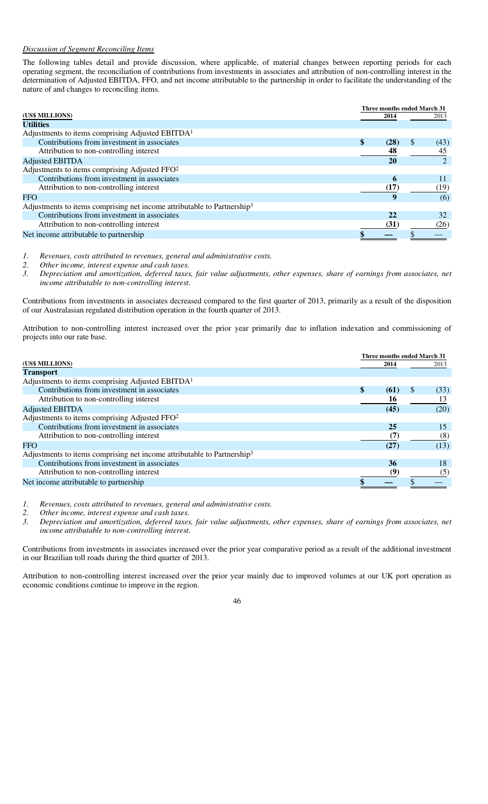#### *Discussion of Segment Reconciling Items*

The following tables detail and provide discussion, where applicable, of material changes between reporting periods for each operating segment, the reconciliation of contributions from investments in associates and attribution of non-controlling interest in the determination of Adjusted EBITDA, FFO, and net income attributable to the partnership in order to facilitate the understanding of the nature of and changes to reconciling items.

|                                                                                     | Three months ended March 31 |                       |  |  |
|-------------------------------------------------------------------------------------|-----------------------------|-----------------------|--|--|
| (US\$ MILLIONS)                                                                     | 2014                        | 2013                  |  |  |
| <b>Utilities</b>                                                                    |                             |                       |  |  |
| Adjustments to items comprising Adjusted EBITDA <sup>1</sup>                        |                             |                       |  |  |
| Contributions from investment in associates                                         | (28)                        | <sup>\$</sup><br>(43) |  |  |
| Attribution to non-controlling interest                                             | 48                          | 45                    |  |  |
| <b>Adjusted EBITDA</b>                                                              | 20                          |                       |  |  |
| Adjustments to items comprising Adjusted FFO <sup>2</sup>                           |                             |                       |  |  |
| Contributions from investment in associates                                         | 6                           |                       |  |  |
| Attribution to non-controlling interest                                             | (17)                        | (19)                  |  |  |
| <b>FFO</b>                                                                          |                             | (6)                   |  |  |
| Adjustments to items comprising net income attributable to Partnership <sup>3</sup> |                             |                       |  |  |
| Contributions from investment in associates                                         | 22                          | 32                    |  |  |
| Attribution to non-controlling interest                                             | (31)                        | (26)                  |  |  |
| Net income attributable to partnership                                              |                             |                       |  |  |

*1. Revenues, costs attributed to revenues, general and administrative costs.* 

*2. Other income, interest expense and cash taxes.* 

*3. Depreciation and amortization, deferred taxes, fair value adjustments, other expenses, share of earnings from associates, net income attributable to non-controlling interest.* 

Contributions from investments in associates decreased compared to the first quarter of 2013, primarily as a result of the disposition of our Australasian regulated distribution operation in the fourth quarter of 2013.

Attribution to non-controlling interest increased over the prior year primarily due to inflation indexation and commissioning of projects into our rate base.

|                                                                                     |      | Three months ended March 31 |      |
|-------------------------------------------------------------------------------------|------|-----------------------------|------|
| (US\$ MILLIONS)                                                                     | 2014 |                             | 2013 |
| <b>Transport</b>                                                                    |      |                             |      |
| Adjustments to items comprising Adjusted EBITDA <sup>1</sup>                        |      |                             |      |
| Contributions from investment in associates                                         | (61) | <sup>\$</sup>               | (33) |
| Attribution to non-controlling interest                                             | 16   |                             | 13   |
| <b>Adjusted EBITDA</b>                                                              | (45) |                             | (20) |
| Adjustments to items comprising Adjusted FFO <sup>2</sup>                           |      |                             |      |
| Contributions from investment in associates                                         | 25   |                             | 15   |
| Attribution to non-controlling interest                                             | (7)  |                             | (8)  |
| <b>FFO</b>                                                                          | (27) |                             | (13) |
| Adjustments to items comprising net income attributable to Partnership <sup>3</sup> |      |                             |      |
| Contributions from investment in associates                                         | 36   |                             | 18   |
| Attribution to non-controlling interest                                             | (9)  |                             | (5)  |
| Net income attributable to partnership                                              |      |                             |      |

*1. Revenues, costs attributed to revenues, general and administrative costs.* 

*2. Other income, interest expense and cash taxes.* 

*3. Depreciation and amortization, deferred taxes, fair value adjustments, other expenses, share of earnings from associates, net income attributable to non-controlling interest.* 

Contributions from investments in associates increased over the prior year comparative period as a result of the additional investment in our Brazilian toll roads during the third quarter of 2013.

Attribution to non-controlling interest increased over the prior year mainly due to improved volumes at our UK port operation as economic conditions continue to improve in the region.

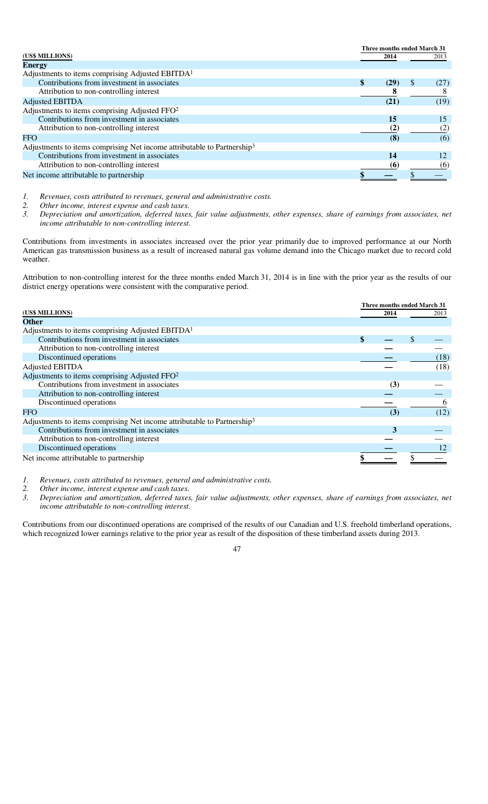|                                                                                     |      | Three months ended March 31 |      |
|-------------------------------------------------------------------------------------|------|-----------------------------|------|
| (US\$ MILLIONS)                                                                     | 2014 |                             | 2013 |
| <b>Energy</b>                                                                       |      |                             |      |
| Adjustments to items comprising Adjusted EBITDA <sup>1</sup>                        |      |                             |      |
| Contributions from investment in associates                                         | (29) | \$                          | (27) |
| Attribution to non-controlling interest                                             |      |                             |      |
| <b>Adjusted EBITDA</b>                                                              | (21) |                             | (19) |
| Adjustments to items comprising Adjusted FFO <sup>2</sup>                           |      |                             |      |
| Contributions from investment in associates                                         | 15   |                             | 15   |
| Attribution to non-controlling interest                                             | (2)  |                             | (2)  |
| <b>FFO</b>                                                                          | (8)  |                             | (6)  |
| Adjustments to items comprising Net income attributable to Partnership <sup>3</sup> |      |                             |      |
| Contributions from investment in associates                                         | 14   |                             | 12   |
| Attribution to non-controlling interest                                             | (6)  |                             | (6)  |
| Net income attributable to partnership                                              |      |                             |      |

*1. Revenues, costs attributed to revenues, general and administrative costs.* 

*2. Other income, interest expense and cash taxes.* 

*3. Depreciation and amortization, deferred taxes, fair value adjustments, other expenses, share of earnings from associates, net income attributable to non-controlling interest.* 

Contributions from investments in associates increased over the prior year primarily due to improved performance at our North American gas transmission business as a result of increased natural gas volume demand into the Chicago market due to record cold weather.

Attribution to non-controlling interest for the three months ended March 31, 2014 is in line with the prior year as the results of our district energy operations were consistent with the comparative period.

|                                                                                     | Three months ended March 31 |      |    |          |
|-------------------------------------------------------------------------------------|-----------------------------|------|----|----------|
| (US\$ MILLIONS)                                                                     |                             | 2014 |    | 2013     |
| <b>Other</b>                                                                        |                             |      |    |          |
| Adjustments to items comprising Adjusted EBITDA <sup>1</sup>                        |                             |      |    |          |
| Contributions from investment in associates                                         |                             |      | \$ |          |
| Attribution to non-controlling interest                                             |                             |      |    |          |
| Discontinued operations                                                             |                             |      |    | (18)     |
| Adjusted EBITDA                                                                     |                             |      |    | (18)     |
| Adjustments to items comprising Adjusted FFO <sup>2</sup>                           |                             |      |    |          |
| Contributions from investment in associates                                         |                             | (3)  |    |          |
| Attribution to non-controlling interest                                             |                             |      |    |          |
| Discontinued operations                                                             |                             |      |    | $\sigma$ |
| <b>FFO</b>                                                                          |                             | (3)  |    | (12)     |
| Adjustments to items comprising Net income attributable to Partnership <sup>3</sup> |                             |      |    |          |
| Contributions from investment in associates                                         |                             | 3    |    |          |
| Attribution to non-controlling interest                                             |                             |      |    |          |
| Discontinued operations                                                             |                             |      |    |          |
| Net income attributable to partnership                                              |                             |      |    |          |

*1. Revenues, costs attributed to revenues, general and administrative costs.* 

*2. Other income, interest expense and cash taxes.* 

*3. Depreciation and amortization, deferred taxes, fair value adjustments, other expenses, share of earnings from associates, net income attributable to non-controlling interest.* 

Contributions from our discontinued operations are comprised of the results of our Canadian and U.S. freehold timberland operations, which recognized lower earnings relative to the prior year as result of the disposition of these timberland assets during 2013.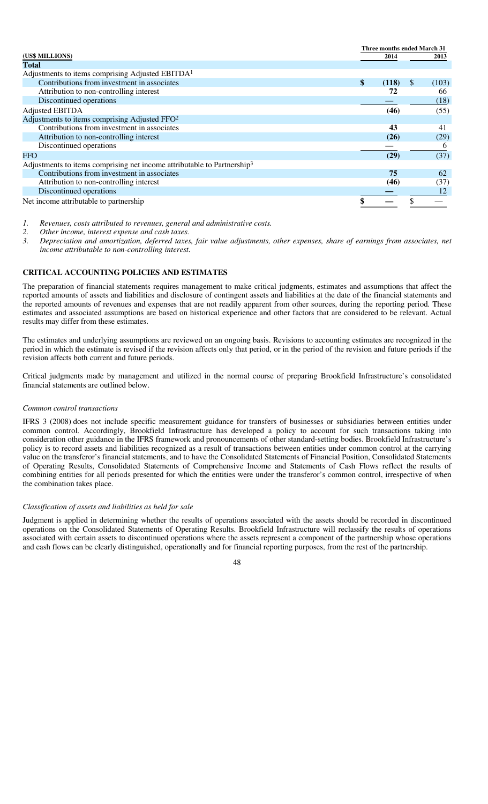|                                                                                     | Three months ended March 31 |       |               |             |
|-------------------------------------------------------------------------------------|-----------------------------|-------|---------------|-------------|
| (US\$ MILLIONS)                                                                     |                             | 2014  |               | 2013        |
| Total                                                                               |                             |       |               |             |
| Adjustments to items comprising Adjusted EBITDA <sup>1</sup>                        |                             |       |               |             |
| Contributions from investment in associates                                         | \$                          | (118) | <sup>\$</sup> | (103)       |
| Attribution to non-controlling interest                                             |                             | 72    |               | 66          |
| Discontinued operations                                                             |                             |       |               | (18)        |
| Adjusted EBITDA                                                                     |                             | (46)  |               | (55)        |
| Adjustments to items comprising Adjusted FFO <sup>2</sup>                           |                             |       |               |             |
| Contributions from investment in associates                                         |                             | 43    |               | 41          |
| Attribution to non-controlling interest                                             |                             | (26)  |               | (29)        |
| Discontinued operations                                                             |                             |       |               | $\mathbf b$ |
| FFO                                                                                 |                             | (29)  |               | (37)        |
| Adjustments to items comprising net income attributable to Partnership <sup>3</sup> |                             |       |               |             |
| Contributions from investment in associates                                         |                             | 75    |               | 62          |
| Attribution to non-controlling interest                                             |                             | (46)  |               | (37)        |
| Discontinued operations                                                             |                             |       |               | 12          |
| Net income attributable to partnership                                              |                             |       |               |             |

*1. Revenues, costs attributed to revenues, general and administrative costs.* 

*2. Other income, interest expense and cash taxes.* 

*3. Depreciation and amortization, deferred taxes, fair value adjustments, other expenses, share of earnings from associates, net income attributable to non-controlling interest.* 

## **CRITICAL ACCOUNTING POLICIES AND ESTIMATES**

The preparation of financial statements requires management to make critical judgments, estimates and assumptions that affect the reported amounts of assets and liabilities and disclosure of contingent assets and liabilities at the date of the financial statements and the reported amounts of revenues and expenses that are not readily apparent from other sources, during the reporting period. These estimates and associated assumptions are based on historical experience and other factors that are considered to be relevant. Actual results may differ from these estimates.

The estimates and underlying assumptions are reviewed on an ongoing basis. Revisions to accounting estimates are recognized in the period in which the estimate is revised if the revision affects only that period, or in the period of the revision and future periods if the revision affects both current and future periods.

Critical judgments made by management and utilized in the normal course of preparing Brookfield Infrastructure's consolidated financial statements are outlined below.

#### *Common control transactions*

IFRS 3 (2008) does not include specific measurement guidance for transfers of businesses or subsidiaries between entities under common control. Accordingly, Brookfield Infrastructure has developed a policy to account for such transactions taking into consideration other guidance in the IFRS framework and pronouncements of other standard-setting bodies. Brookfield Infrastructure's policy is to record assets and liabilities recognized as a result of transactions between entities under common control at the carrying value on the transferor's financial statements, and to have the Consolidated Statements of Financial Position, Consolidated Statements of Operating Results, Consolidated Statements of Comprehensive Income and Statements of Cash Flows reflect the results of combining entities for all periods presented for which the entities were under the transferor's common control, irrespective of when the combination takes place.

#### *Classification of assets and liabilities as held for sale*

Judgment is applied in determining whether the results of operations associated with the assets should be recorded in discontinued operations on the Consolidated Statements of Operating Results. Brookfield Infrastructure will reclassify the results of operations associated with certain assets to discontinued operations where the assets represent a component of the partnership whose operations and cash flows can be clearly distinguished, operationally and for financial reporting purposes, from the rest of the partnership.

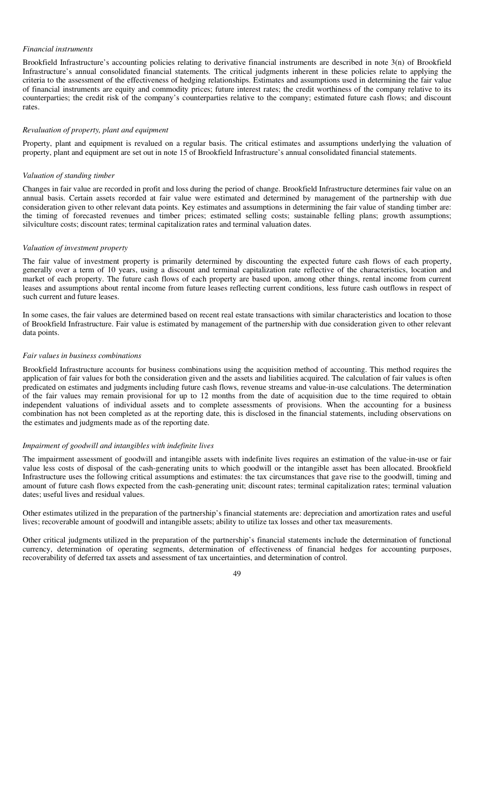#### *Financial instruments*

Brookfield Infrastructure's accounting policies relating to derivative financial instruments are described in note 3(n) of Brookfield Infrastructure's annual consolidated financial statements. The critical judgments inherent in these policies relate to applying the criteria to the assessment of the effectiveness of hedging relationships. Estimates and assumptions used in determining the fair value of financial instruments are equity and commodity prices; future interest rates; the credit worthiness of the company relative to its counterparties; the credit risk of the company's counterparties relative to the company; estimated future cash flows; and discount rates.

#### *Revaluation of property, plant and equipment*

Property, plant and equipment is revalued on a regular basis. The critical estimates and assumptions underlying the valuation of property, plant and equipment are set out in note 15 of Brookfield Infrastructure's annual consolidated financial statements.

#### *Valuation of standing timber*

Changes in fair value are recorded in profit and loss during the period of change. Brookfield Infrastructure determines fair value on an annual basis. Certain assets recorded at fair value were estimated and determined by management of the partnership with due consideration given to other relevant data points. Key estimates and assumptions in determining the fair value of standing timber are: the timing of forecasted revenues and timber prices; estimated selling costs; sustainable felling plans; growth assumptions; silviculture costs; discount rates; terminal capitalization rates and terminal valuation dates.

#### *Valuation of investment property*

The fair value of investment property is primarily determined by discounting the expected future cash flows of each property, generally over a term of 10 years, using a discount and terminal capitalization rate reflective of the characteristics, location and market of each property. The future cash flows of each property are based upon, among other things, rental income from current leases and assumptions about rental income from future leases reflecting current conditions, less future cash outflows in respect of such current and future leases.

In some cases, the fair values are determined based on recent real estate transactions with similar characteristics and location to those of Brookfield Infrastructure. Fair value is estimated by management of the partnership with due consideration given to other relevant data points.

#### *Fair values in business combinations*

Brookfield Infrastructure accounts for business combinations using the acquisition method of accounting. This method requires the application of fair values for both the consideration given and the assets and liabilities acquired. The calculation of fair values is often predicated on estimates and judgments including future cash flows, revenue streams and value-in-use calculations. The determination of the fair values may remain provisional for up to 12 months from the date of acquisition due to the time required to obtain independent valuations of individual assets and to complete assessments of provisions. When the accounting for a business combination has not been completed as at the reporting date, this is disclosed in the financial statements, including observations on the estimates and judgments made as of the reporting date.

#### *Impairment of goodwill and intangibles with indefinite lives*

The impairment assessment of goodwill and intangible assets with indefinite lives requires an estimation of the value-in-use or fair value less costs of disposal of the cash-generating units to which goodwill or the intangible asset has been allocated. Brookfield Infrastructure uses the following critical assumptions and estimates: the tax circumstances that gave rise to the goodwill, timing and amount of future cash flows expected from the cash-generating unit; discount rates; terminal capitalization rates; terminal valuation dates; useful lives and residual values.

Other estimates utilized in the preparation of the partnership's financial statements are: depreciation and amortization rates and useful lives; recoverable amount of goodwill and intangible assets; ability to utilize tax losses and other tax measurements.

Other critical judgments utilized in the preparation of the partnership's financial statements include the determination of functional currency, determination of operating segments, determination of effectiveness of financial hedges for accounting purposes, recoverability of deferred tax assets and assessment of tax uncertainties, and determination of control.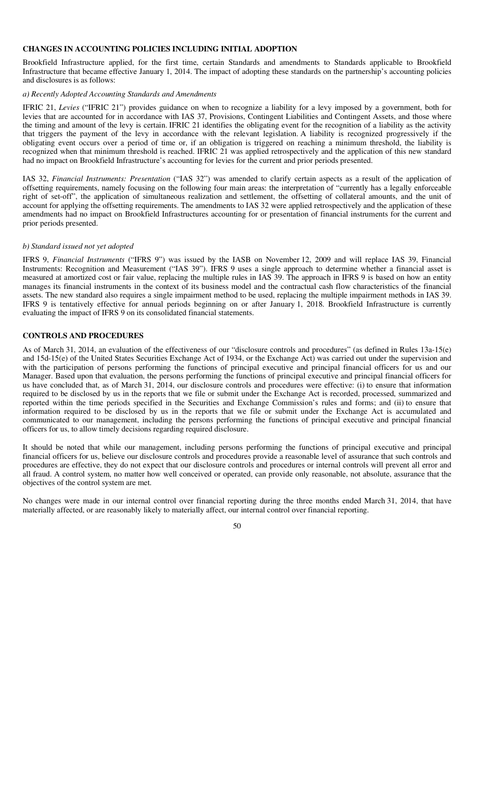## **CHANGES IN ACCOUNTING POLICIES INCLUDING INITIAL ADOPTION**

Brookfield Infrastructure applied, for the first time, certain Standards and amendments to Standards applicable to Brookfield Infrastructure that became effective January 1, 2014. The impact of adopting these standards on the partnership's accounting policies and disclosures is as follows:

## *a) Recently Adopted Accounting Standards and Amendments*

IFRIC 21, *Levies* ("IFRIC 21") provides guidance on when to recognize a liability for a levy imposed by a government, both for levies that are accounted for in accordance with IAS 37, Provisions, Contingent Liabilities and Contingent Assets, and those where the timing and amount of the levy is certain. IFRIC 21 identifies the obligating event for the recognition of a liability as the activity that triggers the payment of the levy in accordance with the relevant legislation. A liability is recognized progressively if the obligating event occurs over a period of time or, if an obligation is triggered on reaching a minimum threshold, the liability is recognized when that minimum threshold is reached. IFRIC 21 was applied retrospectively and the application of this new standard had no impact on Brookfield Infrastructure's accounting for levies for the current and prior periods presented.

IAS 32, *Financial Instruments: Presentation* ("IAS 32") was amended to clarify certain aspects as a result of the application of offsetting requirements, namely focusing on the following four main areas: the interpretation of "currently has a legally enforceable right of set-off", the application of simultaneous realization and settlement, the offsetting of collateral amounts, and the unit of account for applying the offsetting requirements. The amendments to IAS 32 were applied retrospectively and the application of these amendments had no impact on Brookfield Infrastructures accounting for or presentation of financial instruments for the current and prior periods presented.

#### *b) Standard issued not yet adopted*

IFRS 9, *Financial Instruments* ("IFRS 9") was issued by the IASB on November 12, 2009 and will replace IAS 39, Financial Instruments: Recognition and Measurement ("IAS 39"). IFRS 9 uses a single approach to determine whether a financial asset is measured at amortized cost or fair value, replacing the multiple rules in IAS 39. The approach in IFRS 9 is based on how an entity manages its financial instruments in the context of its business model and the contractual cash flow characteristics of the financial assets. The new standard also requires a single impairment method to be used, replacing the multiple impairment methods in IAS 39. IFRS 9 is tentatively effective for annual periods beginning on or after January 1, 2018. Brookfield Infrastructure is currently evaluating the impact of IFRS 9 on its consolidated financial statements.

## **CONTROLS AND PROCEDURES**

As of March 31, 2014, an evaluation of the effectiveness of our "disclosure controls and procedures" (as defined in Rules 13a-15(e) and 15d-15(e) of the United States Securities Exchange Act of 1934, or the Exchange Act) was carried out under the supervision and with the participation of persons performing the functions of principal executive and principal financial officers for us and our Manager. Based upon that evaluation, the persons performing the functions of principal executive and principal financial officers for us have concluded that, as of March 31, 2014, our disclosure controls and procedures were effective: (i) to ensure that information required to be disclosed by us in the reports that we file or submit under the Exchange Act is recorded, processed, summarized and reported within the time periods specified in the Securities and Exchange Commission's rules and forms; and (ii) to ensure that information required to be disclosed by us in the reports that we file or submit under the Exchange Act is accumulated and communicated to our management, including the persons performing the functions of principal executive and principal financial officers for us, to allow timely decisions regarding required disclosure.

It should be noted that while our management, including persons performing the functions of principal executive and principal financial officers for us, believe our disclosure controls and procedures provide a reasonable level of assurance that such controls and procedures are effective, they do not expect that our disclosure controls and procedures or internal controls will prevent all error and all fraud. A control system, no matter how well conceived or operated, can provide only reasonable, not absolute, assurance that the objectives of the control system are met.

No changes were made in our internal control over financial reporting during the three months ended March 31, 2014, that have materially affected, or are reasonably likely to materially affect, our internal control over financial reporting.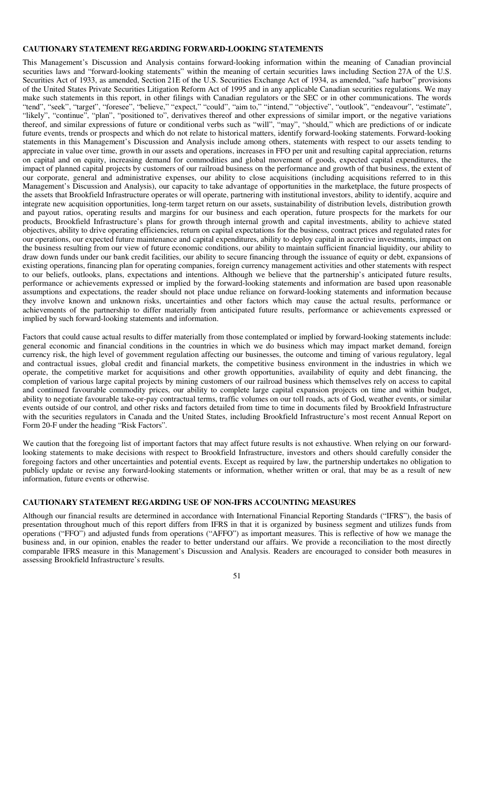#### **CAUTIONARY STATEMENT REGARDING FORWARD-LOOKING STATEMENTS**

This Management's Discussion and Analysis contains forward-looking information within the meaning of Canadian provincial securities laws and "forward-looking statements" within the meaning of certain securities laws including Section 27A of the U.S. Securities Act of 1933, as amended, Section 21E of the U.S. Securities Exchange Act of 1934, as amended, "safe harbor" provisions of the United States Private Securities Litigation Reform Act of 1995 and in any applicable Canadian securities regulations. We may make such statements in this report, in other filings with Canadian regulators or the SEC or in other communications. The words "tend", "seek", "target", "foresee", "believe," "expect," "could", "aim to," "intend," "objective", "outlook", "endeavour", "estimate", "likely", "continue", "plan", "positioned to", derivatives thereof and other expressions of similar import, or the negative variations thereof, and similar expressions of future or conditional verbs such as "will", "may", "should," which are predictions of or indicate future events, trends or prospects and which do not relate to historical matters, identify forward-looking statements. Forward-looking statements in this Management's Discussion and Analysis include among others, statements with respect to our assets tending to appreciate in value over time, growth in our assets and operations, increases in FFO per unit and resulting capital appreciation, returns on capital and on equity, increasing demand for commodities and global movement of goods, expected capital expenditures, the impact of planned capital projects by customers of our railroad business on the performance and growth of that business, the extent of our corporate, general and administrative expenses, our ability to close acquisitions (including acquisitions referred to in this Management's Discussion and Analysis), our capacity to take advantage of opportunities in the marketplace, the future prospects of the assets that Brookfield Infrastructure operates or will operate, partnering with institutional investors, ability to identify, acquire and integrate new acquisition opportunities, long-term target return on our assets, sustainability of distribution levels, distribution growth and payout ratios, operating results and margins for our business and each operation, future prospects for the markets for our products, Brookfield Infrastructure's plans for growth through internal growth and capital investments, ability to achieve stated objectives, ability to drive operating efficiencies, return on capital expectations for the business, contract prices and regulated rates for our operations, our expected future maintenance and capital expenditures, ability to deploy capital in accretive investments, impact on the business resulting from our view of future economic conditions, our ability to maintain sufficient financial liquidity, our ability to draw down funds under our bank credit facilities, our ability to secure financing through the issuance of equity or debt, expansions of existing operations, financing plan for operating companies, foreign currency management activities and other statements with respect to our beliefs, outlooks, plans, expectations and intentions. Although we believe that the partnership's anticipated future results, performance or achievements expressed or implied by the forward-looking statements and information are based upon reasonable assumptions and expectations, the reader should not place undue reliance on forward-looking statements and information because they involve known and unknown risks, uncertainties and other factors which may cause the actual results, performance or achievements of the partnership to differ materially from anticipated future results, performance or achievements expressed or implied by such forward-looking statements and information.

Factors that could cause actual results to differ materially from those contemplated or implied by forward-looking statements include: general economic and financial conditions in the countries in which we do business which may impact market demand, foreign currency risk, the high level of government regulation affecting our businesses, the outcome and timing of various regulatory, legal and contractual issues, global credit and financial markets, the competitive business environment in the industries in which we operate, the competitive market for acquisitions and other growth opportunities, availability of equity and debt financing, the completion of various large capital projects by mining customers of our railroad business which themselves rely on access to capital and continued favourable commodity prices, our ability to complete large capital expansion projects on time and within budget, ability to negotiate favourable take-or-pay contractual terms, traffic volumes on our toll roads, acts of God, weather events, or similar events outside of our control, and other risks and factors detailed from time to time in documents filed by Brookfield Infrastructure with the securities regulators in Canada and the United States, including Brookfield Infrastructure's most recent Annual Report on Form 20-F under the heading "Risk Factors".

We caution that the foregoing list of important factors that may affect future results is not exhaustive. When relying on our forwardlooking statements to make decisions with respect to Brookfield Infrastructure, investors and others should carefully consider the foregoing factors and other uncertainties and potential events. Except as required by law, the partnership undertakes no obligation to publicly update or revise any forward-looking statements or information, whether written or oral, that may be as a result of new information, future events or otherwise.

## **CAUTIONARY STATEMENT REGARDING USE OF NON-IFRS ACCOUNTING MEASURES**

Although our financial results are determined in accordance with International Financial Reporting Standards ("IFRS"), the basis of presentation throughout much of this report differs from IFRS in that it is organized by business segment and utilizes funds from operations ("FFO") and adjusted funds from operations ("AFFO") as important measures. This is reflective of how we manage the business and, in our opinion, enables the reader to better understand our affairs. We provide a reconciliation to the most directly comparable IFRS measure in this Management's Discussion and Analysis. Readers are encouraged to consider both measures in assessing Brookfield Infrastructure's results.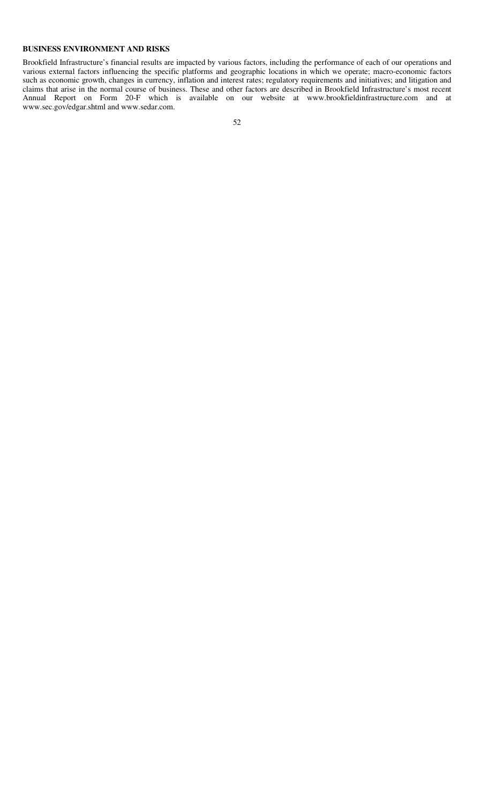## **BUSINESS ENVIRONMENT AND RISKS**

Brookfield Infrastructure's financial results are impacted by various factors, including the performance of each of our operations and various external factors influencing the specific platforms and geographic locations in which we operate; macro-economic factors such as economic growth, changes in currency, inflation and interest rates; regulatory requirements and initiatives; and litigation and claims that arise in the normal course of business. These and other factors are described in Brookfield Infrastructure's most recent Annual Report on Form 20-F which is available on our website at www.brookfieldinfrastructure.com and at www.sec.gov/edgar.shtml and www.sedar.com.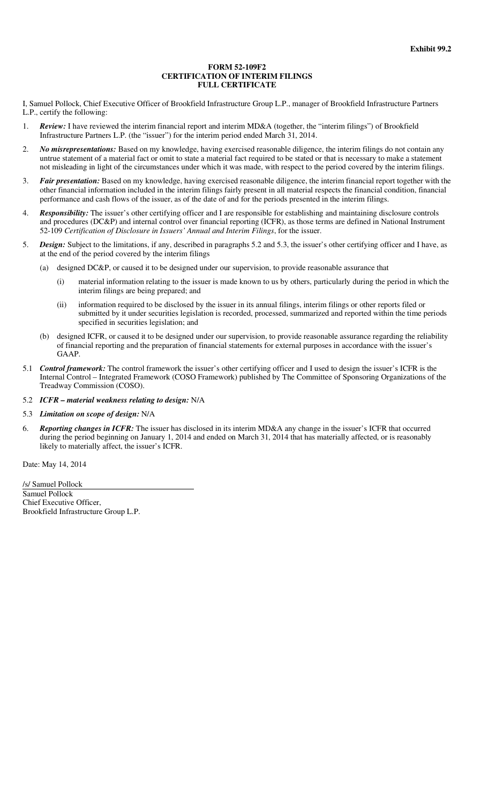#### **FORM 52-109F2 CERTIFICATION OF INTERIM FILINGS FULL CERTIFICATE**

I, Samuel Pollock, Chief Executive Officer of Brookfield Infrastructure Group L.P., manager of Brookfield Infrastructure Partners L.P., certify the following:

- 1. *Review:* I have reviewed the interim financial report and interim MD&A (together, the "interim filings") of Brookfield Infrastructure Partners L.P. (the "issuer") for the interim period ended March 31, 2014.
- 2. *No misrepresentations:* Based on my knowledge, having exercised reasonable diligence, the interim filings do not contain any untrue statement of a material fact or omit to state a material fact required to be stated or that is necessary to make a statement not misleading in light of the circumstances under which it was made, with respect to the period covered by the interim filings.
- 3. *Fair presentation:* Based on my knowledge, having exercised reasonable diligence, the interim financial report together with the other financial information included in the interim filings fairly present in all material respects the financial condition, financial performance and cash flows of the issuer, as of the date of and for the periods presented in the interim filings.
- 4. *Responsibility:* The issuer's other certifying officer and I are responsible for establishing and maintaining disclosure controls and procedures (DC&P) and internal control over financial reporting (ICFR), as those terms are defined in National Instrument 52-109 *Certification of Disclosure in Issuers' Annual and Interim Filings*, for the issuer.
- 5. *Design:* Subject to the limitations, if any, described in paragraphs 5.2 and 5.3, the issuer's other certifying officer and I have, as at the end of the period covered by the interim filings
	- (a) designed DC&P, or caused it to be designed under our supervision, to provide reasonable assurance that
		- (i) material information relating to the issuer is made known to us by others, particularly during the period in which the interim filings are being prepared; and
		- (ii) information required to be disclosed by the issuer in its annual filings, interim filings or other reports filed or submitted by it under securities legislation is recorded, processed, summarized and reported within the time periods specified in securities legislation; and
	- (b) designed ICFR, or caused it to be designed under our supervision, to provide reasonable assurance regarding the reliability of financial reporting and the preparation of financial statements for external purposes in accordance with the issuer's GAAP.
- 5.1 *Control framework:* The control framework the issuer's other certifying officer and I used to design the issuer's ICFR is the Internal Control – Integrated Framework (COSO Framework) published by The Committee of Sponsoring Organizations of the Treadway Commission (COSO).
- 5.2 *ICFR – material weakness relating to design:* N/A
- 5.3 *Limitation on scope of design:* N/A
- 6. *Reporting changes in ICFR:* The issuer has disclosed in its interim MD&A any change in the issuer's ICFR that occurred during the period beginning on January 1, 2014 and ended on March 31, 2014 that has materially affected, or is reasonably likely to materially affect, the issuer's ICFR.

Date: May 14, 2014

/s/ Samuel Pollock Samuel Pollock Chief Executive Officer, Brookfield Infrastructure Group L.P.